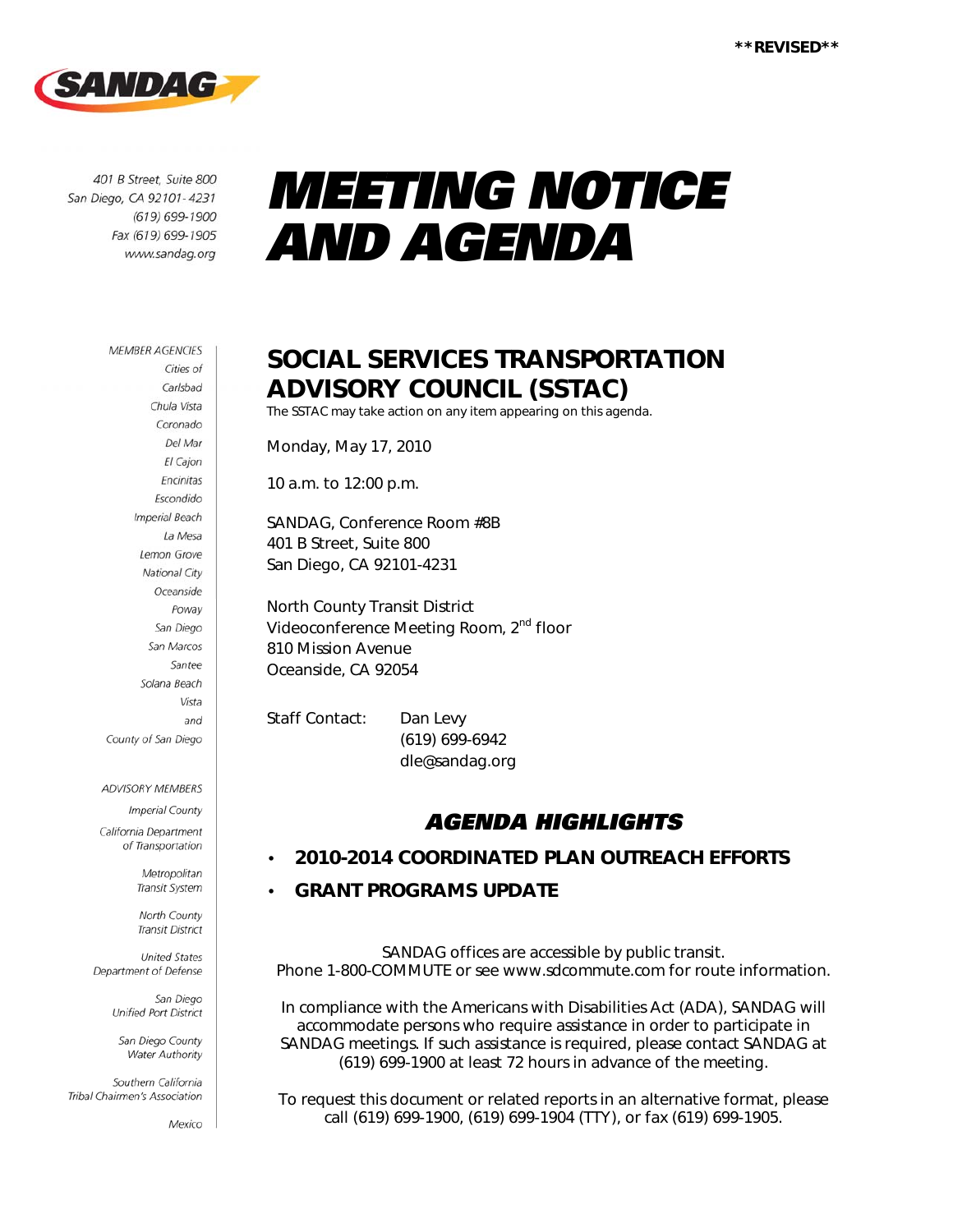

401 B Street, Suite 800 San Diego, CA 92101-4231 (619) 699-1900 Fax (619) 699-1905 www.sandag.org

# *MEETING NOTICE AND AGENDA*

#### **MEMBER AGENCIES**

Cities of Carlsbad Chula Vista Coronado Del Mar El Cajon Encinitas Escondido **Imperial Beach** La Mesa Lemon Grove National City Oceanside Poway San Diego San Marcos Santee Solana Beach Vista and County of San Diego

#### ADVISORY MEMBERS

**Imperial County** California Department

of Transportation

Metropolitan Transit System

North County **Transit District** 

**United States** Department of Defense

> San Diego Unified Port District

San Diego County Water Authority

Southern California Tribal Chairmen's Association

Mexico

### **SOCIAL SERVICES TRANSPORTATION ADVISORY COUNCIL (SSTAC)**

The SSTAC may take action on any item appearing on this agenda.

Monday, May 17, 2010

10 a.m. to 12:00 p.m.

SANDAG, Conference Room #8B 401 B Street, Suite 800 San Diego, CA 92101-4231

North County Transit District Videoconference Meeting Room, 2<sup>nd</sup> floor 810 Mission Avenue Oceanside, CA 92054

Staff Contact: Dan Levy (619) 699-6942 dle@sandag.org

### *AGENDA HIGHLIGHTS*

#### • **2010-2014 COORDINATED PLAN OUTREACH EFFORTS**

#### • **GRANT PROGRAMS UPDATE**

SANDAG offices are accessible by public transit. Phone 1-800-COMMUTE or see www.sdcommute.com for route information.

*In compliance with the Americans with Disabilities Act (ADA), SANDAG will accommodate persons who require assistance in order to participate in SANDAG meetings. If such assistance is required, please contact SANDAG at (619) 699-1900 at least 72 hours in advance of the meeting.* 

*To request this document or related reports in an alternative format, please call (619) 699-1900, (619) 699-1904 (TTY), or fax (619) 699-1905.*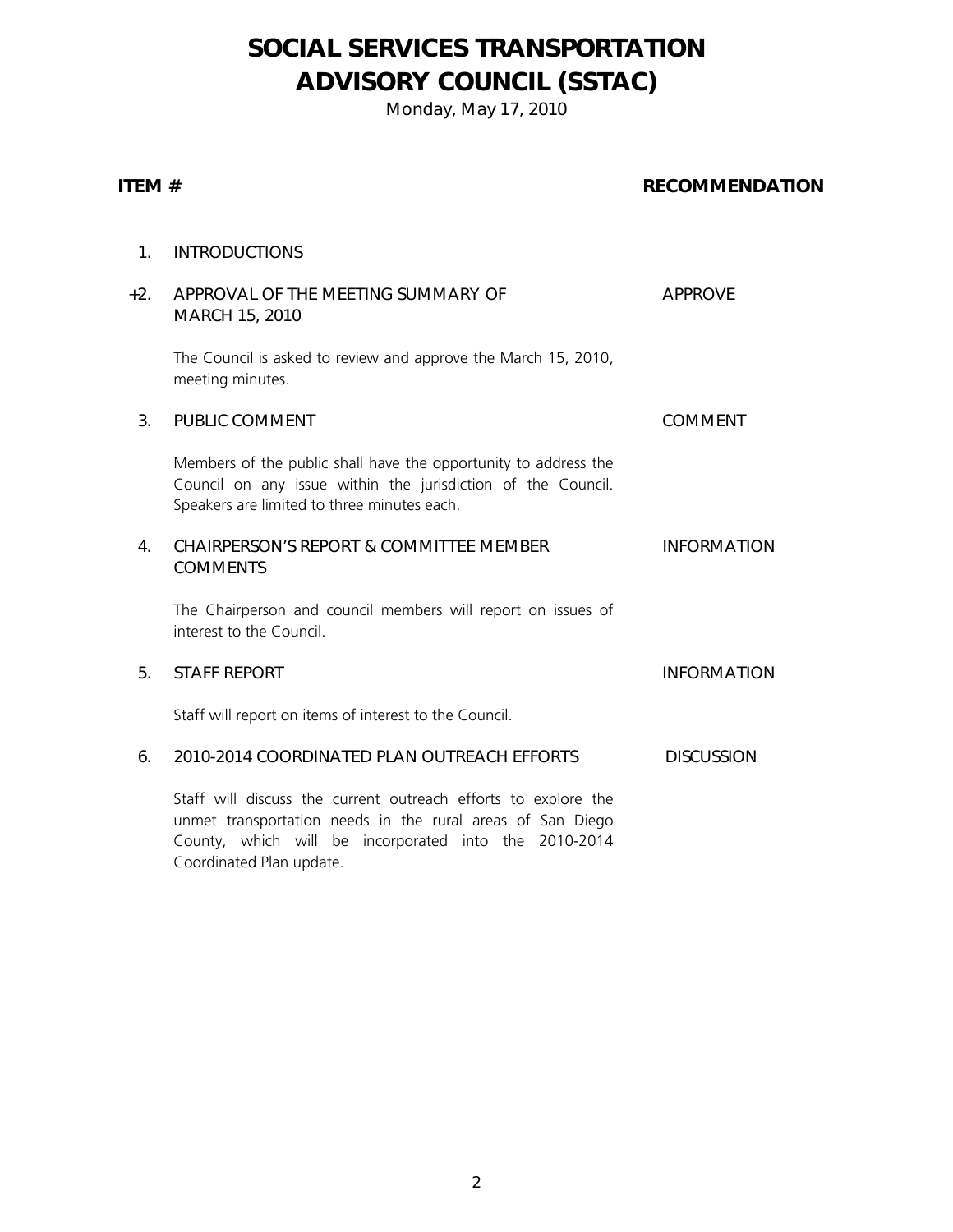### **SOCIAL SERVICES TRANSPORTATION ADVISORY COUNCIL (SSTAC)**

Monday, May 17, 2010

#### **ITEM #** RECOMMENDATION

| 1.             | <b>INTRODUCTIONS</b>                                                                                                                                                           |                    |
|----------------|--------------------------------------------------------------------------------------------------------------------------------------------------------------------------------|--------------------|
| $+2.$          | APPROVAL OF THE MEETING SUMMARY OF<br>MARCH 15, 2010                                                                                                                           | <b>APPROVE</b>     |
|                | The Council is asked to review and approve the March 15, 2010,<br>meeting minutes.                                                                                             |                    |
| 3 <sub>1</sub> | PUBLIC COMMENT                                                                                                                                                                 | <b>COMMENT</b>     |
|                | Members of the public shall have the opportunity to address the<br>Council on any issue within the jurisdiction of the Council.<br>Speakers are limited to three minutes each. |                    |
| 4.             | <b>CHAIRPERSON'S REPORT &amp; COMMITTEE MEMBER</b><br><b>COMMENTS</b>                                                                                                          | <b>INFORMATION</b> |
|                | The Chairperson and council members will report on issues of<br>interest to the Council.                                                                                       |                    |
| 5.             | <b>STAFF REPORT</b>                                                                                                                                                            | <b>INFORMATION</b> |
|                | Staff will report on items of interest to the Council.                                                                                                                         |                    |
| 6.             | 2010-2014 COORDINATED PLAN OUTREACH EFFORTS                                                                                                                                    | <b>DISCUSSION</b>  |
|                | Staff will discuss the current outreach efforts to explore the<br>unmot transportation noods in the rural areas of San Diogo                                                   |                    |

unmet transportation needs in the rural areas of San Diego County, which will be incorporated into the 2010-2014 Coordinated Plan update.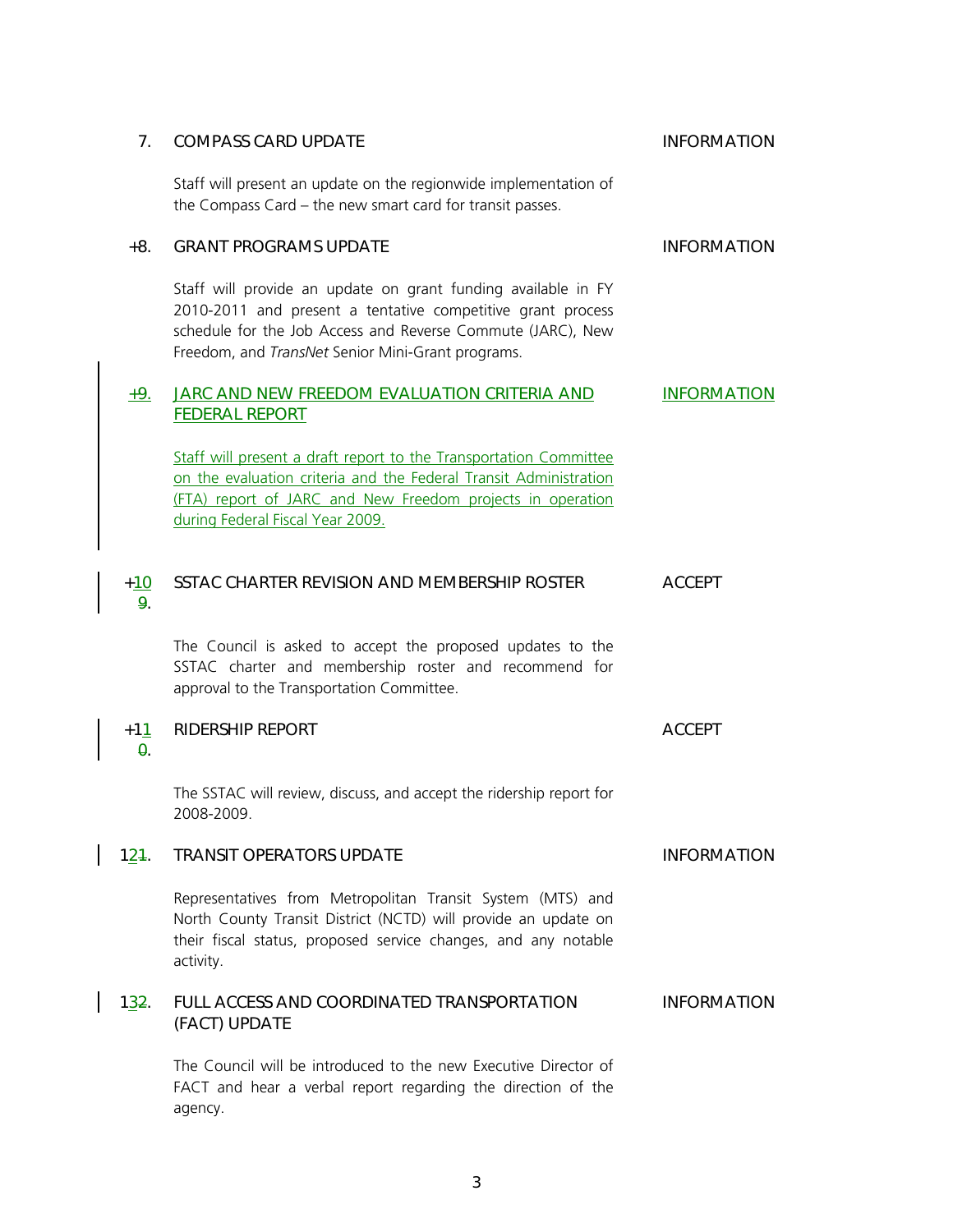| 7.            | <b>COMPASS CARD UPDATE</b>                                                                                                                                                                                                                       | <b>INFORMATION</b> |
|---------------|--------------------------------------------------------------------------------------------------------------------------------------------------------------------------------------------------------------------------------------------------|--------------------|
|               | Staff will present an update on the regionwide implementation of<br>the Compass Card - the new smart card for transit passes.                                                                                                                    |                    |
| $+8.$         | <b>GRANT PROGRAMS UPDATE</b>                                                                                                                                                                                                                     | <b>INFORMATION</b> |
|               | Staff will provide an update on grant funding available in FY<br>2010-2011 and present a tentative competitive grant process<br>schedule for the Job Access and Reverse Commute (JARC), New<br>Freedom, and TransNet Senior Mini-Grant programs. |                    |
| $+9.$         | JARC AND NEW FREEDOM EVALUATION CRITERIA AND<br><b>FEDERAL REPORT</b>                                                                                                                                                                            | <b>INFORMATION</b> |
|               | Staff will present a draft report to the Transportation Committee<br>on the evaluation criteria and the Federal Transit Administration<br>(FTA) report of JARC and New Freedom projects in operation<br>during Federal Fiscal Year 2009.         |                    |
| $+10$<br>9.   | SSTAC CHARTER REVISION AND MEMBERSHIP ROSTER                                                                                                                                                                                                     | <b>ACCEPT</b>      |
|               | The Council is asked to accept the proposed updates to the<br>SSTAC charter and membership roster and recommend for<br>approval to the Transportation Committee.                                                                                 |                    |
| $+11$<br>θ.   | <b>RIDERSHIP REPORT</b>                                                                                                                                                                                                                          | <b>ACCEPT</b>      |
|               | The SSTAC will review, discuss, and accept the ridership report for<br>2008-2009.                                                                                                                                                                |                    |
| 121.          | <b>TRANSIT OPERATORS UPDATE</b>                                                                                                                                                                                                                  | <b>INFORMATION</b> |
|               | Representatives from Metropolitan Transit System (MTS) and<br>North County Transit District (NCTD) will provide an update on<br>their fiscal status, proposed service changes, and any notable<br>activity.                                      |                    |
| 1 <u>3</u> 2. | FULL ACCESS AND COORDINATED TRANSPORTATION<br>(FACT) UPDATE                                                                                                                                                                                      | <b>INFORMATION</b> |
|               | The Council will be introduced to the new Executive Director of<br>FACT and hear a verbal report regarding the direction of the<br>agency.                                                                                                       |                    |

 $\overline{\phantom{a}}$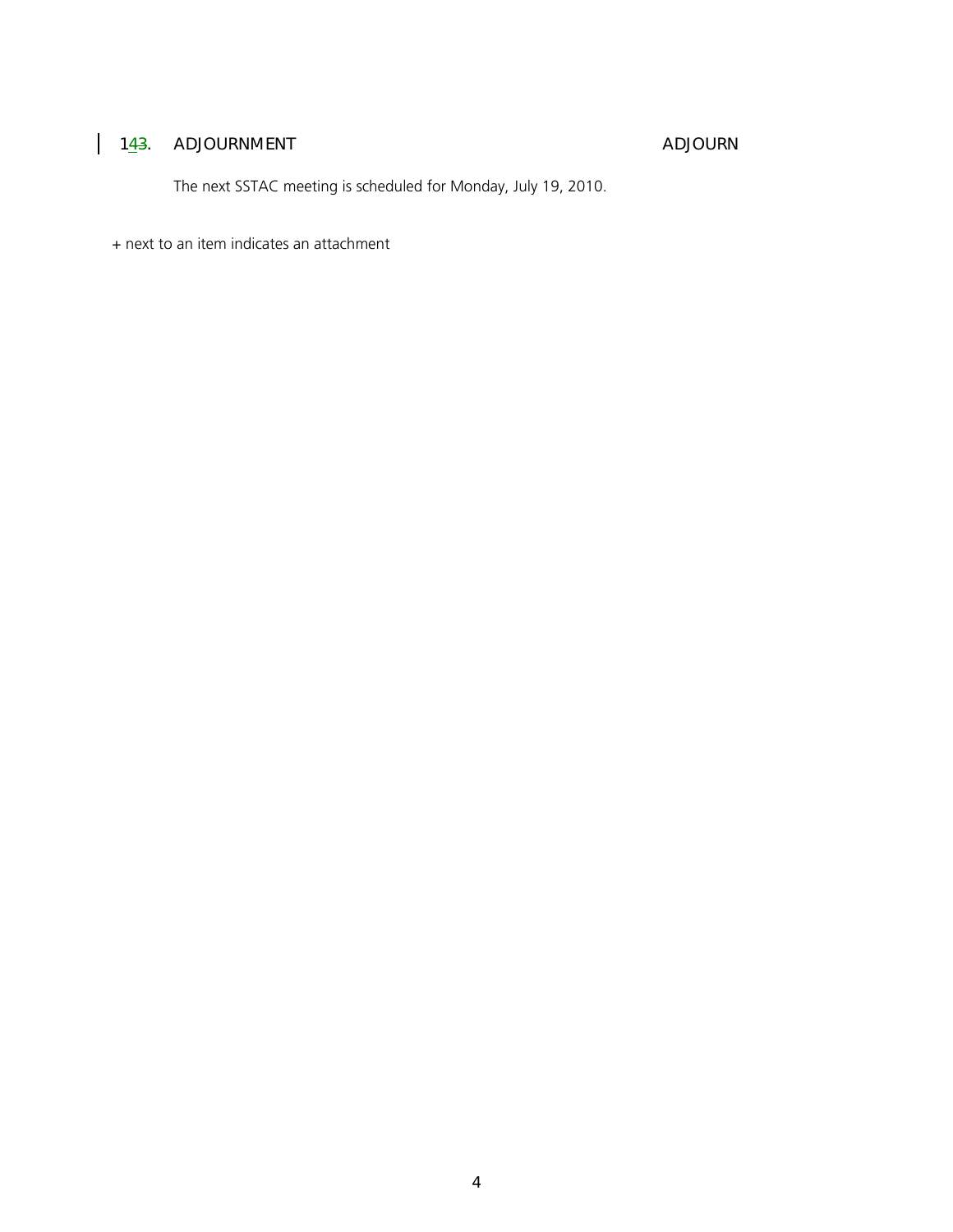#### 1<u>4</u>3. ADJOURNMENT ADJOURNERS ADJOURNERS AND ADJOURNERS AND ADJOURNERS AND ADJOURNERS ALL ASSAULTS AND ADJOURNERS AND ADJOURNERS AND ADJOURNERS AND ADJOURNERS AND ADJOURNERS AND ADJOURNERS AND ADJOURNERS AND ADJOURNERS AND

The next SSTAC meeting is scheduled for Monday, July 19, 2010.

+ next to an item indicates an attachment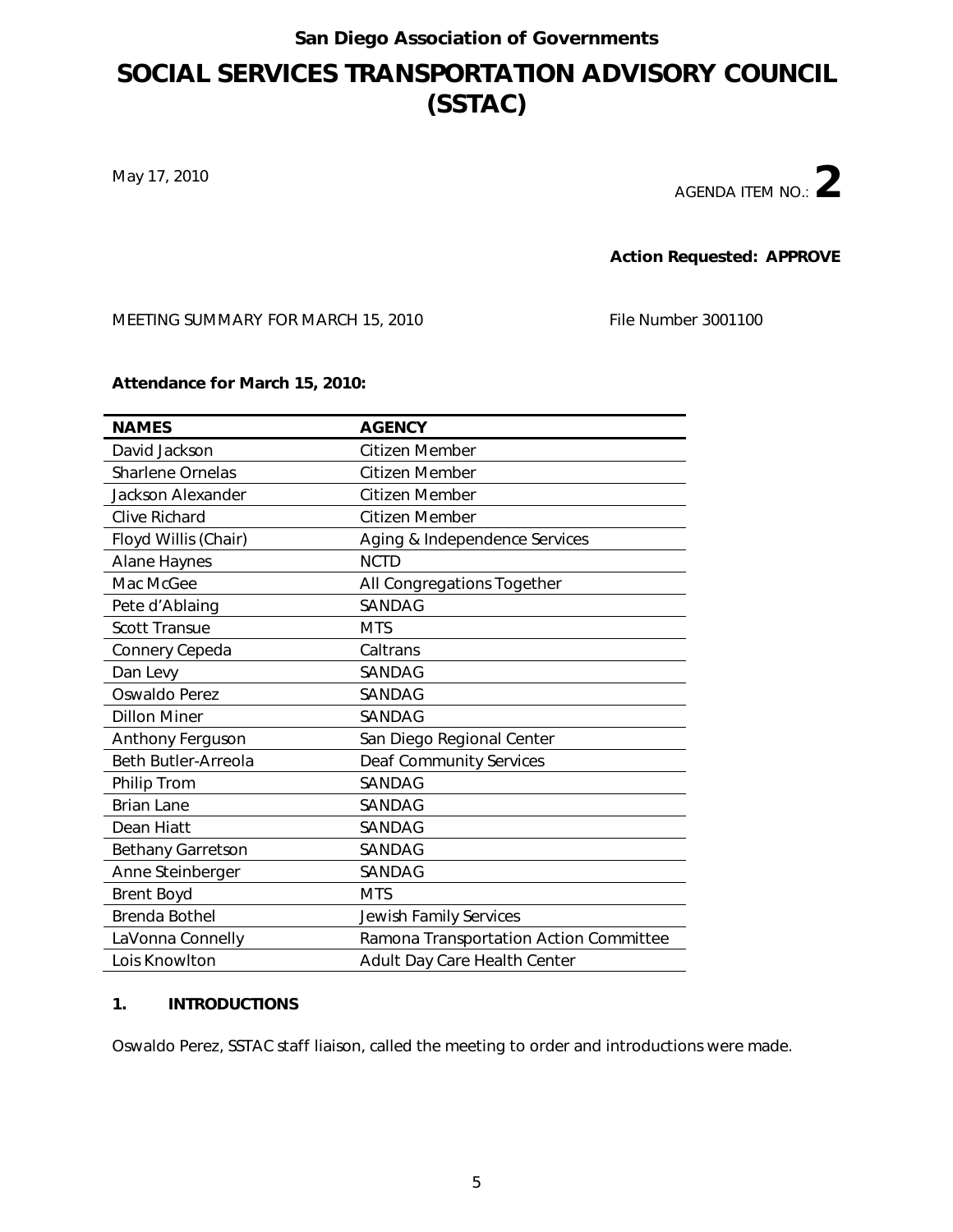### **SOCIAL SERVICES TRANSPORTATION ADVISORY COUNCIL (SSTAC)**

May 17, 2010

AGENDA ITEM NO.:**2**

**Action Requested: APPROVE**

MEETING SUMMARY FOR MARCH 15, 2010 File Number 3001100

**Attendance for March 15, 2010:** 

| <b>NAMES</b>             | <b>AGENCY</b>                          |
|--------------------------|----------------------------------------|
| David Jackson            | Citizen Member                         |
| <b>Sharlene Ornelas</b>  | <b>Citizen Member</b>                  |
| Jackson Alexander        | Citizen Member                         |
| Clive Richard            | Citizen Member                         |
| Floyd Willis (Chair)     | Aging & Independence Services          |
| <b>Alane Haynes</b>      | <b>NCTD</b>                            |
| Mac McGee                | All Congregations Together             |
| Pete d'Ablaing           | <b>SANDAG</b>                          |
| <b>Scott Transue</b>     | <b>MTS</b>                             |
| Connery Cepeda           | Caltrans                               |
| Dan Levy                 | <b>SANDAG</b>                          |
| Oswaldo Perez            | SANDAG                                 |
| <b>Dillon Miner</b>      | <b>SANDAG</b>                          |
| Anthony Ferguson         | San Diego Regional Center              |
| Beth Butler-Arreola      | <b>Deaf Community Services</b>         |
| <b>Philip Trom</b>       | <b>SANDAG</b>                          |
| <b>Brian Lane</b>        | <b>SANDAG</b>                          |
| Dean Hiatt               | SANDAG                                 |
| <b>Bethany Garretson</b> | <b>SANDAG</b>                          |
| Anne Steinberger         | <b>SANDAG</b>                          |
| <b>Brent Boyd</b>        | <b>MTS</b>                             |
| <b>Brenda Bothel</b>     | <b>Jewish Family Services</b>          |
| LaVonna Connelly         | Ramona Transportation Action Committee |
| Lois Knowlton            | Adult Day Care Health Center           |

#### **1. INTRODUCTIONS**

Oswaldo Perez, SSTAC staff liaison, called the meeting to order and introductions were made.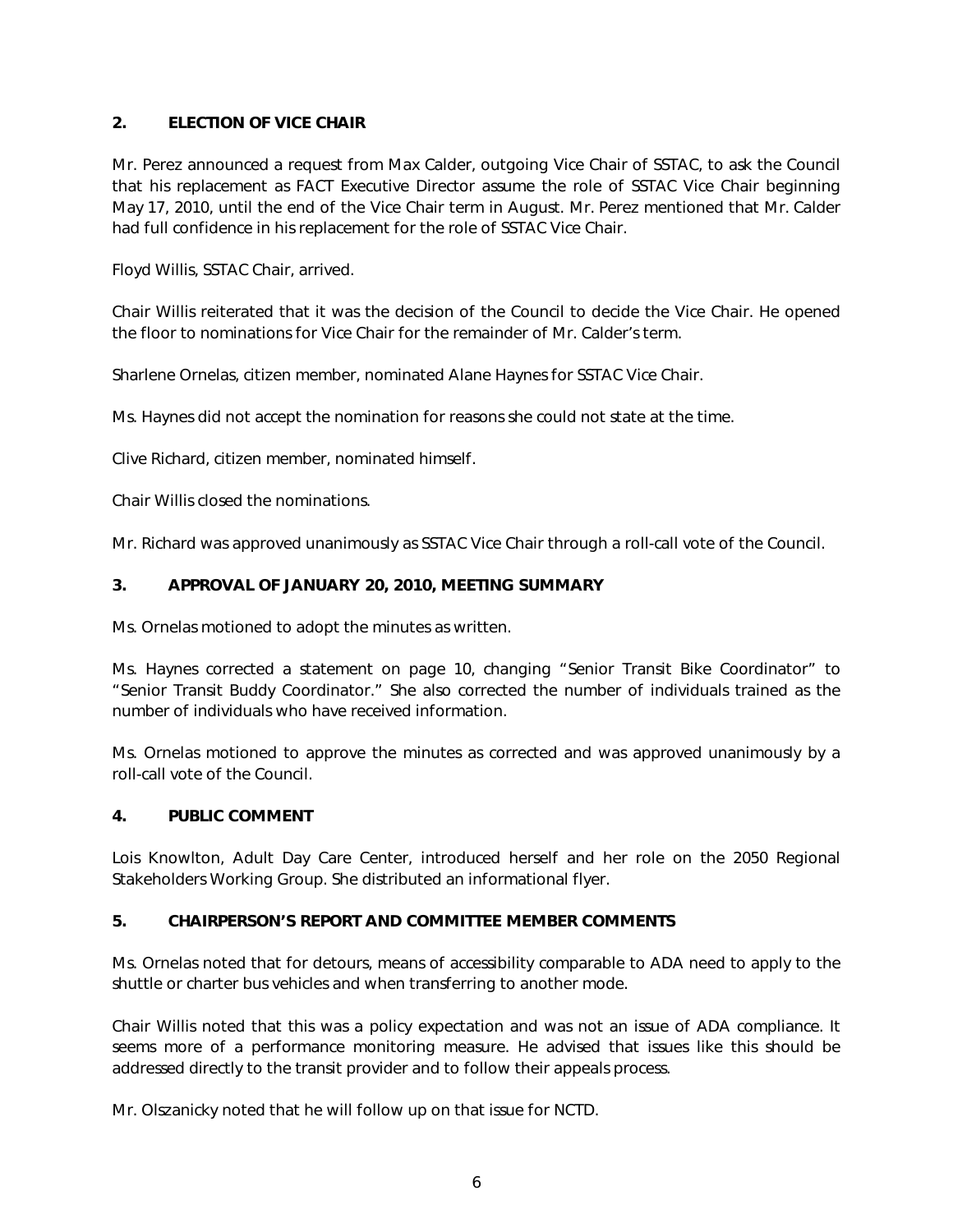#### **2. ELECTION OF VICE CHAIR**

Mr. Perez announced a request from Max Calder, outgoing Vice Chair of SSTAC, to ask the Council that his replacement as FACT Executive Director assume the role of SSTAC Vice Chair beginning May 17, 2010, until the end of the Vice Chair term in August. Mr. Perez mentioned that Mr. Calder had full confidence in his replacement for the role of SSTAC Vice Chair.

Floyd Willis, SSTAC Chair, arrived.

Chair Willis reiterated that it was the decision of the Council to decide the Vice Chair. He opened the floor to nominations for Vice Chair for the remainder of Mr. Calder's term.

Sharlene Ornelas, citizen member, nominated Alane Haynes for SSTAC Vice Chair.

Ms. Haynes did not accept the nomination for reasons she could not state at the time.

Clive Richard, citizen member, nominated himself.

Chair Willis closed the nominations.

Mr. Richard was approved unanimously as SSTAC Vice Chair through a roll-call vote of the Council.

#### **3. APPROVAL OF JANUARY 20, 2010, MEETING SUMMARY**

Ms. Ornelas motioned to adopt the minutes as written.

Ms. Haynes corrected a statement on page 10, changing "Senior Transit Bike Coordinator" to "Senior Transit Buddy Coordinator." She also corrected the number of individuals trained as the number of individuals who have received information.

Ms. Ornelas motioned to approve the minutes as corrected and was approved unanimously by a roll-call vote of the Council.

#### **4. PUBLIC COMMENT**

Lois Knowlton, Adult Day Care Center, introduced herself and her role on the 2050 Regional Stakeholders Working Group. She distributed an informational flyer.

#### **5. CHAIRPERSON'S REPORT AND COMMITTEE MEMBER COMMENTS**

Ms. Ornelas noted that for detours, means of accessibility comparable to ADA need to apply to the shuttle or charter bus vehicles and when transferring to another mode.

Chair Willis noted that this was a policy expectation and was not an issue of ADA compliance. It seems more of a performance monitoring measure. He advised that issues like this should be addressed directly to the transit provider and to follow their appeals process.

Mr. Olszanicky noted that he will follow up on that issue for NCTD.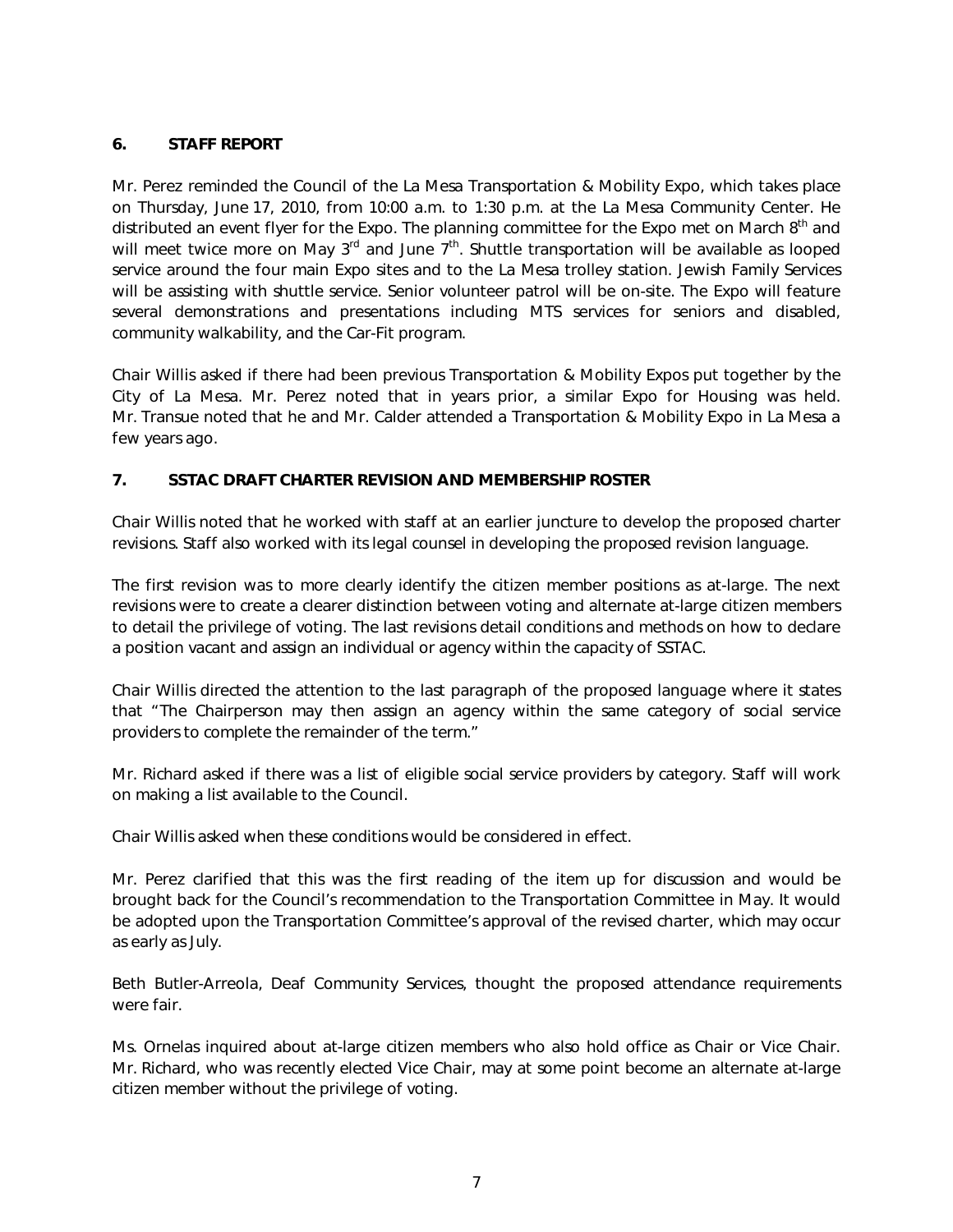#### **6. STAFF REPORT**

Mr. Perez reminded the Council of the La Mesa Transportation & Mobility Expo, which takes place on Thursday, June 17, 2010, from 10:00 a.m. to 1:30 p.m. at the La Mesa Community Center. He distributed an event flyer for the Expo. The planning committee for the Expo met on March 8<sup>th</sup> and will meet twice more on May  $3<sup>rd</sup>$  and June  $7<sup>th</sup>$ . Shuttle transportation will be available as looped service around the four main Expo sites and to the La Mesa trolley station. Jewish Family Services will be assisting with shuttle service. Senior volunteer patrol will be on-site. The Expo will feature several demonstrations and presentations including MTS services for seniors and disabled, community walkability, and the Car-Fit program.

Chair Willis asked if there had been previous Transportation & Mobility Expos put together by the City of La Mesa. Mr. Perez noted that in years prior, a similar Expo for Housing was held. Mr. Transue noted that he and Mr. Calder attended a Transportation & Mobility Expo in La Mesa a few years ago.

#### **7. SSTAC DRAFT CHARTER REVISION AND MEMBERSHIP ROSTER**

Chair Willis noted that he worked with staff at an earlier juncture to develop the proposed charter revisions. Staff also worked with its legal counsel in developing the proposed revision language.

The first revision was to more clearly identify the citizen member positions as at-large. The next revisions were to create a clearer distinction between voting and alternate at-large citizen members to detail the privilege of voting. The last revisions detail conditions and methods on how to declare a position vacant and assign an individual or agency within the capacity of SSTAC.

Chair Willis directed the attention to the last paragraph of the proposed language where it states that *"The Chairperson may then assign an agency within the same category of social service providers to complete the remainder of the term."*

Mr. Richard asked if there was a list of eligible social service providers by category. Staff will work on making a list available to the Council.

Chair Willis asked when these conditions would be considered in effect.

Mr. Perez clarified that this was the first reading of the item up for discussion and would be brought back for the Council's recommendation to the Transportation Committee in May. It would be adopted upon the Transportation Committee's approval of the revised charter, which may occur as early as July.

Beth Butler-Arreola, Deaf Community Services, thought the proposed attendance requirements were fair.

Ms. Ornelas inquired about at-large citizen members who also hold office as Chair or Vice Chair. Mr. Richard, who was recently elected Vice Chair, may at some point become an alternate at-large citizen member without the privilege of voting.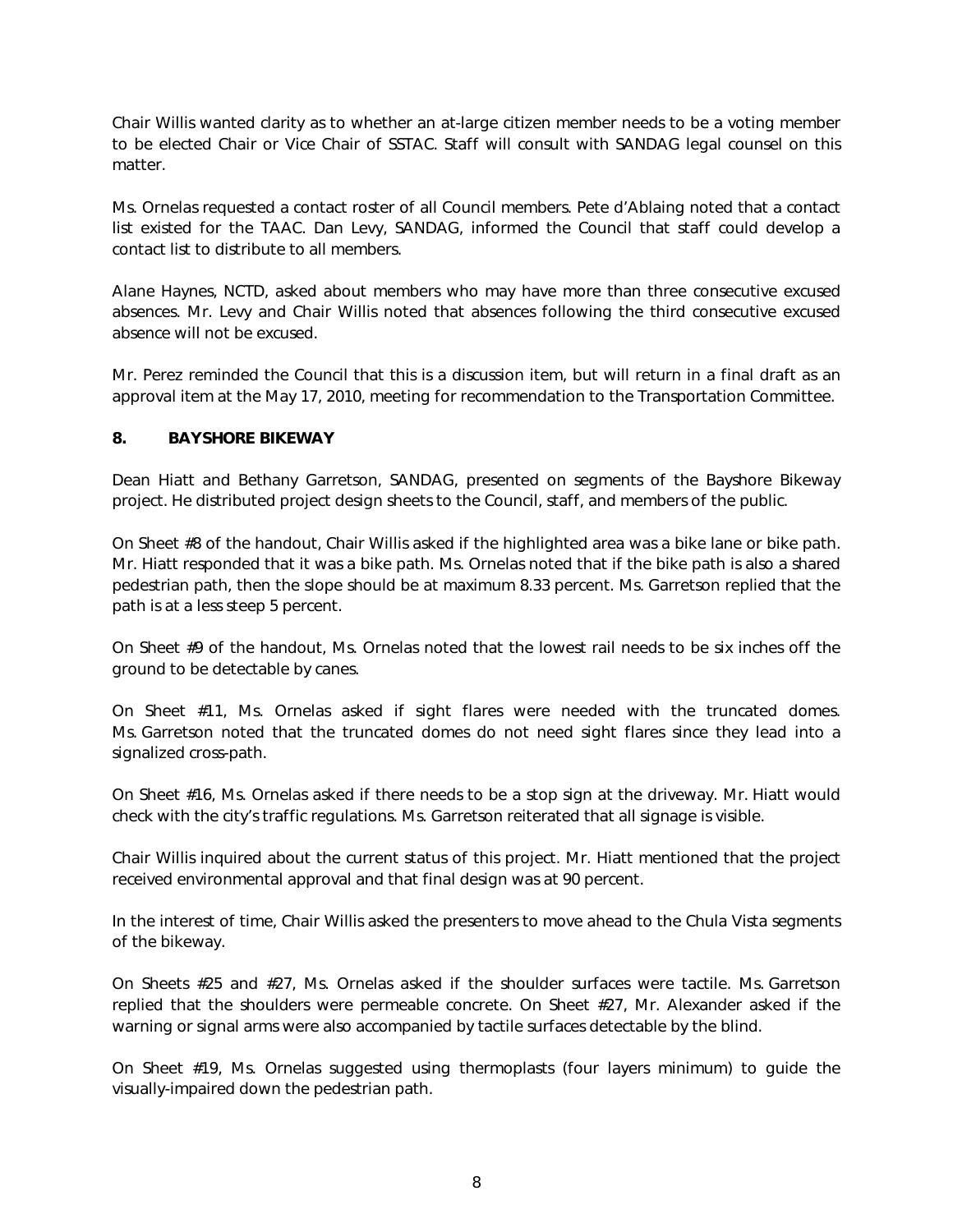Chair Willis wanted clarity as to whether an at-large citizen member needs to be a voting member to be elected Chair or Vice Chair of SSTAC. Staff will consult with SANDAG legal counsel on this matter.

Ms. Ornelas requested a contact roster of all Council members. Pete d'Ablaing noted that a contact list existed for the TAAC. Dan Levy, SANDAG, informed the Council that staff could develop a contact list to distribute to all members.

Alane Haynes, NCTD, asked about members who may have more than three consecutive excused absences. Mr. Levy and Chair Willis noted that absences following the third consecutive excused absence will not be excused.

Mr. Perez reminded the Council that this is a discussion item, but will return in a final draft as an approval item at the May 17, 2010, meeting for recommendation to the Transportation Committee.

#### **8. BAYSHORE BIKEWAY**

Dean Hiatt and Bethany Garretson, SANDAG, presented on segments of the Bayshore Bikeway project. He distributed project design sheets to the Council, staff, and members of the public.

On Sheet #8 of the handout, Chair Willis asked if the highlighted area was a bike lane or bike path. Mr. Hiatt responded that it was a bike path. Ms. Ornelas noted that if the bike path is also a shared pedestrian path, then the slope should be at maximum 8.33 percent. Ms. Garretson replied that the path is at a less steep 5 percent.

On Sheet #9 of the handout, Ms. Ornelas noted that the lowest rail needs to be six inches off the ground to be detectable by canes.

On Sheet #11, Ms. Ornelas asked if sight flares were needed with the truncated domes. Ms. Garretson noted that the truncated domes do not need sight flares since they lead into a signalized cross-path.

On Sheet #16, Ms. Ornelas asked if there needs to be a stop sign at the driveway. Mr. Hiatt would check with the city's traffic regulations. Ms. Garretson reiterated that all signage is visible.

Chair Willis inquired about the current status of this project. Mr. Hiatt mentioned that the project received environmental approval and that final design was at 90 percent.

In the interest of time, Chair Willis asked the presenters to move ahead to the Chula Vista segments of the bikeway.

On Sheets #25 and #27, Ms. Ornelas asked if the shoulder surfaces were tactile. Ms. Garretson replied that the shoulders were permeable concrete. On Sheet #27, Mr. Alexander asked if the warning or signal arms were also accompanied by tactile surfaces detectable by the blind.

On Sheet #19, Ms. Ornelas suggested using thermoplasts (four layers minimum) to guide the visually-impaired down the pedestrian path.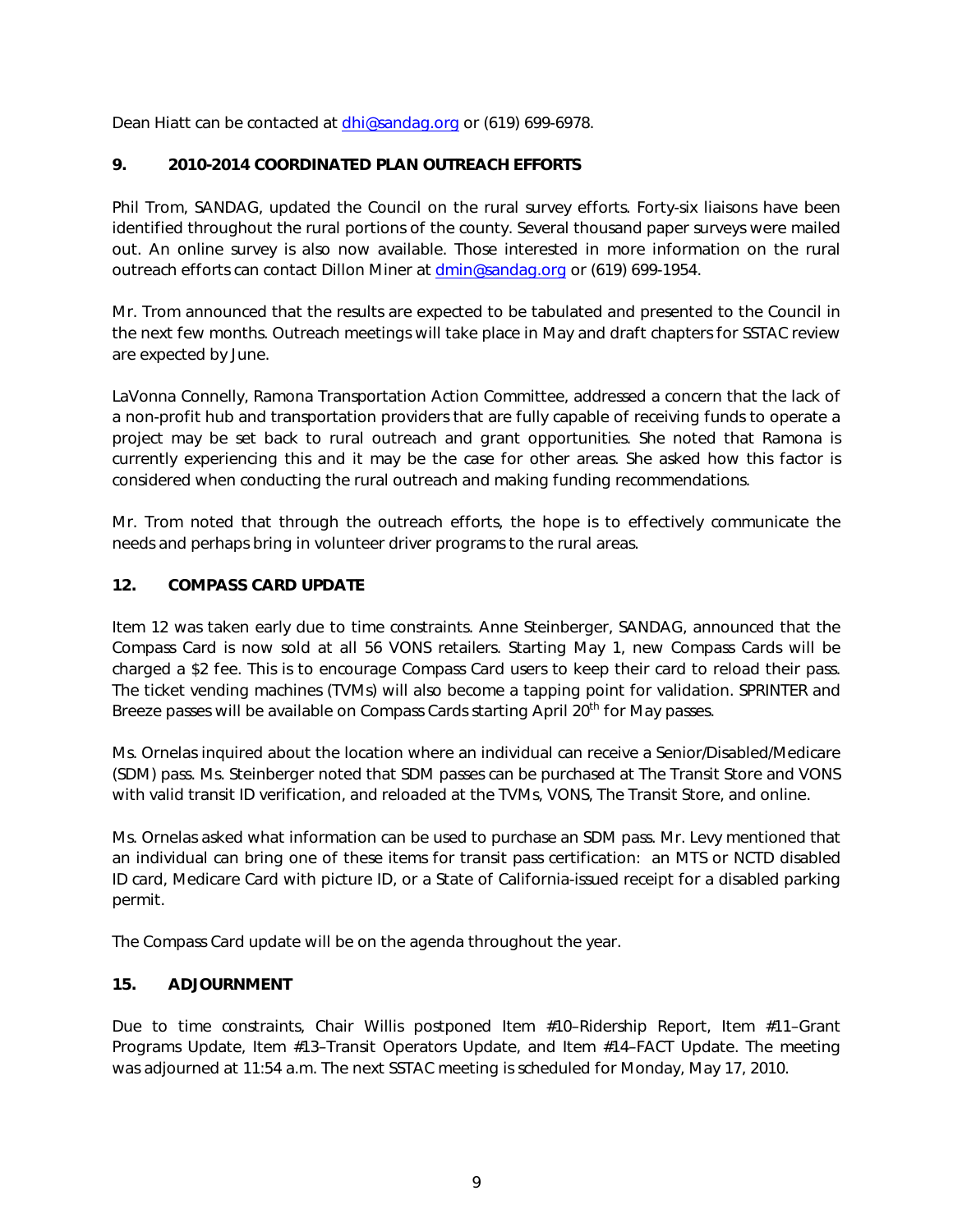Dean Hiatt can be contacted at dhi@sandag.org or (619) 699-6978.

#### **9. 2010-2014 COORDINATED PLAN OUTREACH EFFORTS**

Phil Trom, SANDAG, updated the Council on the rural survey efforts. Forty-six liaisons have been identified throughout the rural portions of the county. Several thousand paper surveys were mailed out. An online survey is also now available. Those interested in more information on the rural outreach efforts can contact Dillon Miner at dmin@sandag.org or (619) 699-1954.

Mr. Trom announced that the results are expected to be tabulated and presented to the Council in the next few months. Outreach meetings will take place in May and draft chapters for SSTAC review are expected by June.

LaVonna Connelly, Ramona Transporta[tion Action Com](mailto:dhi@sandag.org)mittee, addressed a concern that the lack of a non-profit hub and transportation providers that are fully capable of receiving funds to operate a project may be set back to rural outreach and grant opportunities. She noted that Ramona is currently experiencing this and it may be the case for other areas. She asked how this factor is considered when conducting the rural outreach and making funding recommendations.

Mr. Trom noted that through the outreach efforts, the hope is to effectiv[ely communicate t](mailto:dmin@sandag.org)he needs and perhaps bring in volunteer driver programs to the rural areas.

#### **12. COMPASS CARD UPDATE**

Item 12 was taken early due to time constraints. Anne Steinberger, SANDAG, announced that the Compass Card is now sold at all 56 VONS retailers. Starting May 1, new Compass Cards will be charged a \$2 fee. This is to encourage Compass Card users to keep their card to reload their pass. The ticket vending machines (TVMs) will also become a tapping point for validation. SPRINTER and Breeze passes will be available on Compass Cards starting April 20<sup>th</sup> for Mav passes.

Ms. Ornelas inquired about the location where an individual can receive a Senior/Disabled/Medicare (SDM) pass. Ms. Steinberger noted that SDM passes can be purchased at The Transit Store and VONS with valid transit ID verification, and reloaded at the TVMs, VONS, The Transit Store, and online.

Ms. Ornelas asked what information can be used to purchase an SDM pass. Mr. Levy mentioned that an individual can bring one of these items for transit pass certification: an MTS or NCTD disabled ID card, Medicare Card with picture ID, or a State of California-issued receipt for a disabled parking permit.

The Compass Card update will be on the agenda throughout the year.

#### **15. ADJOURNMENT**

Due to time constraints, Chair Willis postponed Item #10–Ridership Report, Item #11–Grant Programs Update, Item #13–Transit Operators Update, and Item #14–FACT Update. The meeting was adjourned at 11:54 a.m. The next SSTAC meeting is scheduled for Monday, May 17, 2010.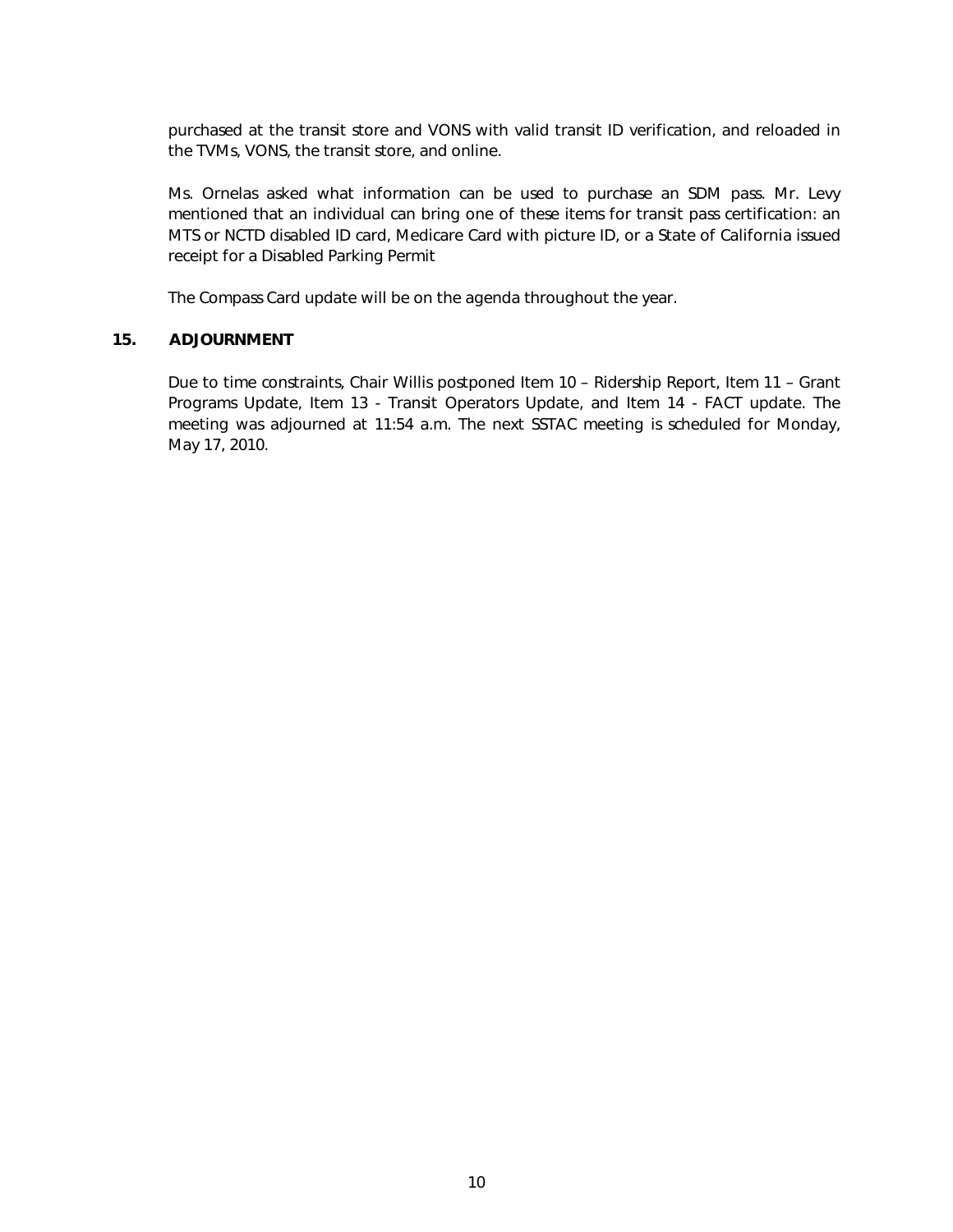purchased at the transit store and VONS with valid transit ID verification, and reloaded in the TVMs, VONS, the transit store, and online.

Ms. Ornelas asked what information can be used to purchase an SDM pass. Mr. Levy mentioned that an individual can bring one of these items for transit pass certification: an MTS or NCTD disabled ID card, Medicare Card with picture ID, or a State of California issued receipt for a Disabled Parking Permit

The Compass Card update will be on the agenda throughout the year.

#### **15. ADJOURNMENT**

Due to time constraints, Chair Willis postponed Item 10 – Ridership Report, Item 11 – Grant Programs Update, Item 13 - Transit Operators Update, and Item 14 - FACT update. The meeting was adjourned at 11:54 a.m. The next SSTAC meeting is scheduled for Monday, May 17, 2010.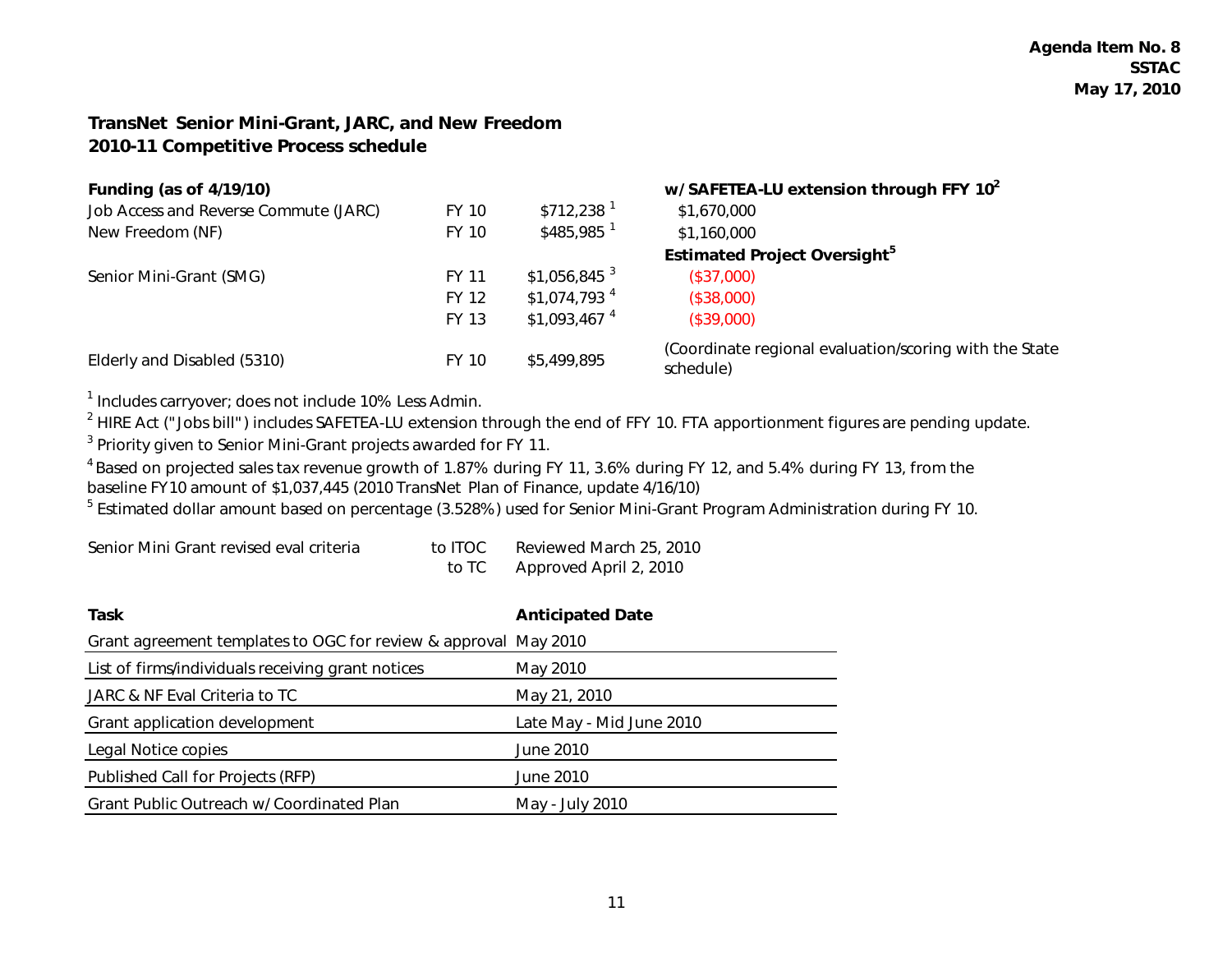#### *TransNet* **Senior Mini-Grant, JARC, and New Freedom 2010-11 Competitive Process schedule**

| <b>Funding (as of 4/19/10)</b>        |              |                           | w/ SAFETEA-LU extension through FFY 10 <sup>2</sup>                 |  |  |
|---------------------------------------|--------------|---------------------------|---------------------------------------------------------------------|--|--|
| Job Access and Reverse Commute (JARC) | FY 10        | $$712.238$ <sup>1</sup>   | \$1,670,000                                                         |  |  |
| New Freedom (NF)                      | FY 10        | $$485,985$ <sup>1</sup>   | \$1,160,000                                                         |  |  |
|                                       |              |                           | <b>Estimated Project Oversight</b> <sup>5</sup>                     |  |  |
| Senior Mini-Grant (SMG)               | FY 11        | $$1,056,845$ <sup>3</sup> | (\$37,000)                                                          |  |  |
|                                       | <b>FY 12</b> | $$1,074,793$ <sup>4</sup> | (\$38,000)                                                          |  |  |
|                                       | <b>FY 13</b> | $$1,093,467$ <sup>4</sup> | (\$39,000)                                                          |  |  |
| Elderly and Disabled (5310)           | FY 10        | \$5,499,895               | (Coordinate regional evaluation/scoring with the State<br>schedule) |  |  |

<sup>1</sup> Includes carryover; does not include 10% Less Admin.

<sup>2</sup> HIRE Act ("Jobs bill") includes SAFETEA-LU extension through the end of FFY 10. FTA apportionment figures are pending update.

<sup>3</sup> Priority given to Senior Mini-Grant projects awarded for FY 11.

<sup>4</sup> Based on projected sales tax revenue growth of 1.87% during FY 11, 3.6% during FY 12, and 5.4% during FY 13, from the baseline FY10 amount of \$1,037,445 (2010 *TransNet* Plan of Finance, update 4/16/10)

<sup>5</sup> Estimated dollar amount based on percentage (3.528%) used for Senior Mini-Grant Program Administration during FY 10.

| Senior Mini Grant revised eval criteria | to ITOC. | Reviewed March 25, 2010 |
|-----------------------------------------|----------|-------------------------|
|                                         | to TC    | Approved April 2, 2010  |

| Task                                                            | <b>Anticipated Date</b>  |
|-----------------------------------------------------------------|--------------------------|
| Grant agreement templates to OGC for review & approval May 2010 |                          |
| List of firms/individuals receiving grant notices               | May 2010                 |
| JARC & NF Eval Criteria to TC                                   | May 21, 2010             |
| Grant application development                                   | Late May - Mid June 2010 |
| Legal Notice copies                                             | June 2010                |
| Published Call for Projects (RFP)                               | June 2010                |
| Grant Public Outreach w/ Coordinated Plan                       | May - July 2010          |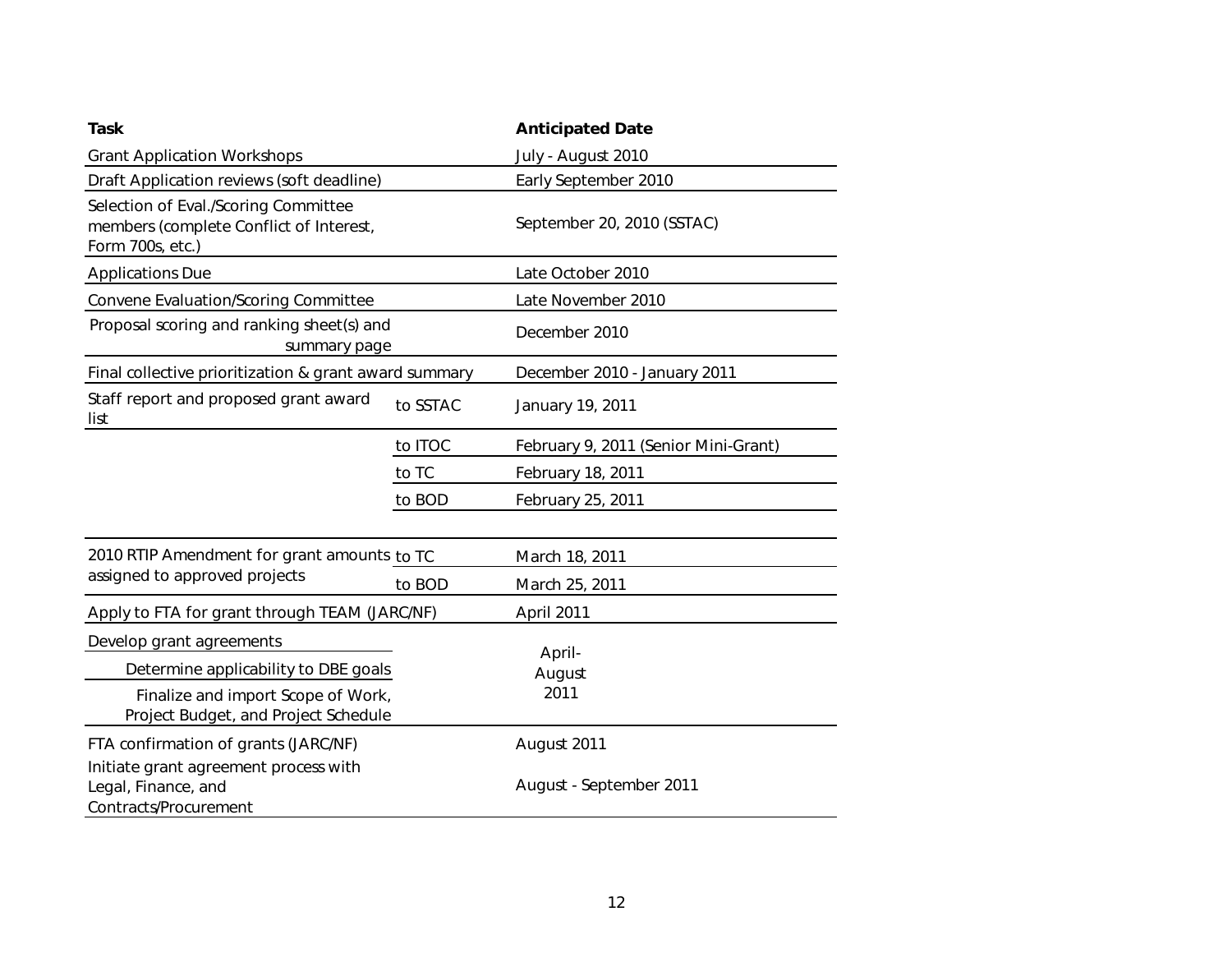| Task                                                                                                | <b>Anticipated Date</b> |                                      |  |  |
|-----------------------------------------------------------------------------------------------------|-------------------------|--------------------------------------|--|--|
| <b>Grant Application Workshops</b>                                                                  | July - August 2010      |                                      |  |  |
| Draft Application reviews (soft deadline)                                                           | Early September 2010    |                                      |  |  |
| Selection of Eval./Scoring Committee<br>members (complete Conflict of Interest,<br>Form 700s, etc.) |                         | September 20, 2010 (SSTAC)           |  |  |
| <b>Applications Due</b>                                                                             |                         | Late October 2010                    |  |  |
| Convene Evaluation/Scoring Committee                                                                |                         | Late November 2010                   |  |  |
| Proposal scoring and ranking sheet(s) and<br>summary page                                           | December 2010           |                                      |  |  |
| Final collective prioritization & grant award summary                                               |                         | December 2010 - January 2011         |  |  |
| Staff report and proposed grant award<br>list                                                       | to SSTAC                | January 19, 2011                     |  |  |
|                                                                                                     | to ITOC                 | February 9, 2011 (Senior Mini-Grant) |  |  |
|                                                                                                     | to TC                   | February 18, 2011                    |  |  |
|                                                                                                     | to BOD                  | February 25, 2011                    |  |  |
| 2010 RTIP Amendment for grant amounts to TC                                                         |                         | March 18, 2011                       |  |  |
| assigned to approved projects                                                                       | to BOD                  | March 25, 2011                       |  |  |
| Apply to FTA for grant through TEAM (JARC/NF)                                                       | April 2011              |                                      |  |  |
| Develop grant agreements                                                                            |                         |                                      |  |  |
| Determine applicability to DBE goals                                                                |                         | April-<br>August                     |  |  |
| Finalize and import Scope of Work,<br>Project Budget, and Project Schedule                          |                         | 2011                                 |  |  |
| FTA confirmation of grants (JARC/NF)<br>Initiate grant agreement process with                       |                         | August 2011                          |  |  |
| Legal, Finance, and<br>Contracts/Procurement                                                        |                         | August - September 2011              |  |  |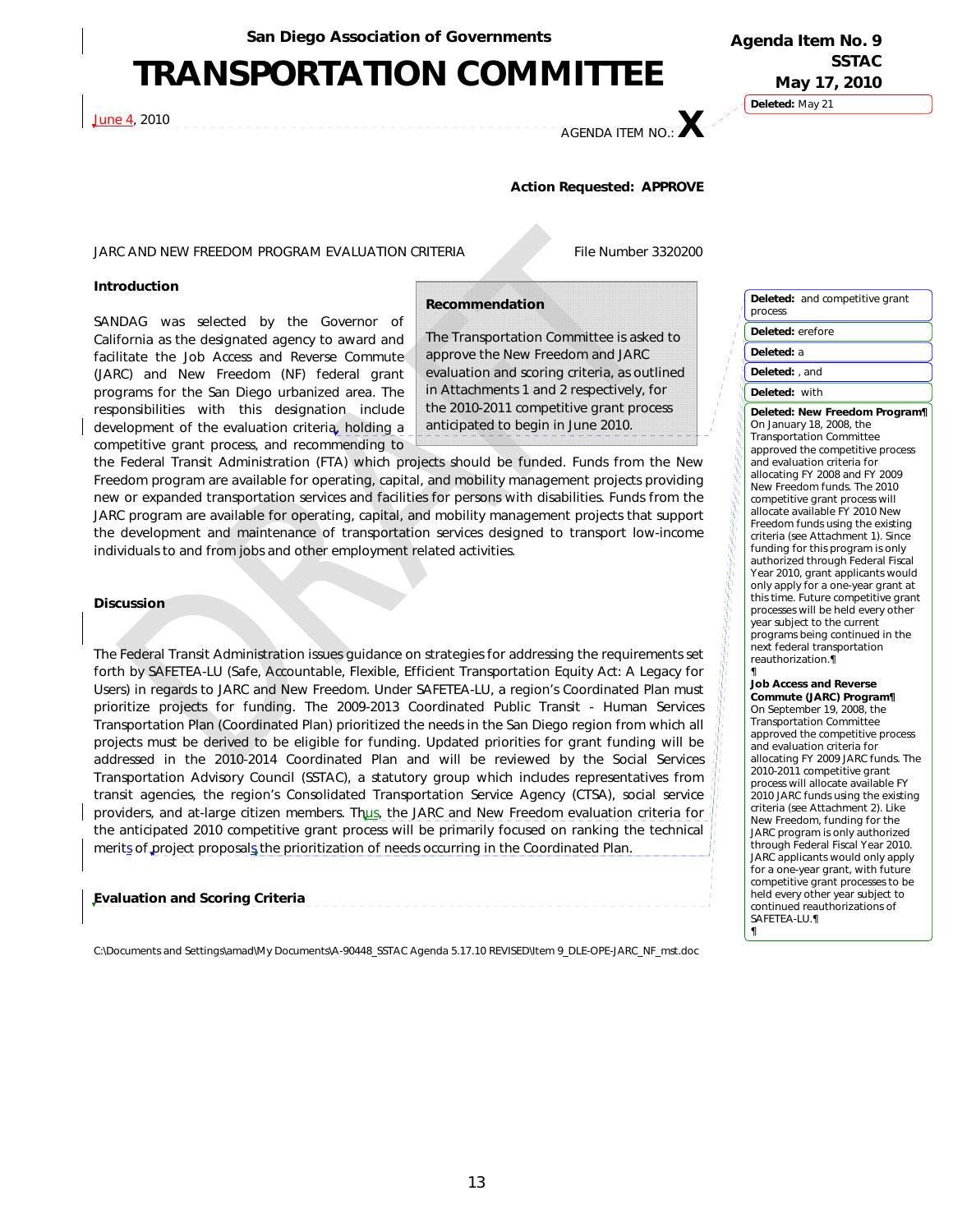## **TRANSPORTATION COMMITTEE**

J<u>une 4,</u> 2010

**Deleted:** May 21 **Agenda Item No. 9 SSTAC May 17, 2010** 

## AGENDA ITEM NO.: **X**

#### **Action Requested: APPROVE**

#### JARC AND NEW FREEDOM PROGRAM EVALUATION CRITERIA File Number 3320200

#### **Introduction**

SANDAG was selected by the Governor of California as the designated agency to award and facilitate the Job Access and Reverse Commute (JARC) and New Freedom (NF) federal grant programs for the San Diego urbanized area. The responsibilities with this designation include development of the evaluation criteria, holding a competitive grant process, and recommending to

#### **Recommendation**

The Transportation Committee is asked to approve the New Freedom and JARC evaluation and scoring criteria, as outlined in Attachments 1 and 2 respectively, for the 2010-2011 competitive grant process anticipated to begin in June 2010.

the Federal Transit Administration (FTA) which projects should be funded. Funds from the New Freedom program are available for operating, capital, and mobility management projects providing new or expanded transportation services and facilities for persons with disabilities. Funds from the JARC program are available for operating, capital, and mobility management projects that support the development and maintenance of transportation services designed to transport low-income individuals to and from jobs and other employment related activities.

#### **Discussion**

The Federal Transit Administration issues guidance on strategies for addressing the requirements set forth by SAFETEA-LU (Safe, Accountable, Flexible, Efficient Transportation Equity Act: A Legacy for Users) in regards to JARC and New Freedom. Under SAFETEA-LU, a region's Coordinated Plan must prioritize projects for funding. The 2009-2013 Coordinated Public Transit - Human Services Transportation Plan (Coordinated Plan) prioritized the needs in the San Diego region from which all projects must be derived to be eligible for funding. Updated priorities for grant funding will be addressed in the 2010-2014 Coordinated Plan and will be reviewed by the Social Services Transportation Advisory Council (SSTAC), a statutory group which includes representatives from transit agencies, the region's Consolidated Transportation Service Agency (CTSA), social service providers, and at-large citizen members. Thus, the JARC and New Freedom evaluation criteria for the anticipated 2010 competitive grant process will be primarily focused on ranking the technical merits of project proposals the prioritization of needs occurring in the Coordinated Plan.

#### *Evaluation and Scoring Criteria*

C:\Documents and Settings\amad\My Documents\A-90448\_SSTAC Agenda 5.17.10 REVISED\Item 9\_DLE-OPE-JARC\_NF\_mst.doc

#### **Deleted:** and competitive grant process **Deleted:** erefore **Deleted:** a **Deleted:** , and **Deleted:** with **Deleted:** *New Freedom Program¶* On January 18, 2008, the Transportation Committee approved the competitive process and evaluation criteria for allocating FY 2008 and FY 2009 New Freedom funds. The 2010 competitive grant process will allocate available FY 2010 New Freedom funds using the existing criteria (see Attachment 1). Since

funding for this program is only authorized through Federal Fiscal Year 2010, grant applicants would only apply for a one-year grant at this time. Future competitive grant processes will be held every other year subject to the current programs being continued in the next federal transportation reauthorization.¶

#### ¶ *Job Access and Reverse Commute (JARC) Program¶* On September 19, 2008, the Transportation Committee approved the competitive process and evaluation criteria for allocating FY 2009 JARC funds. The 2010-2011 competitive grant process will allocate available FY 2010 JARC funds using the existing criteria (see Attachment 2). Like New Freedom, funding for the JARC program is only authorized through Federal Fiscal Year 2010. JARC applicants would only apply for a one-year grant, with future competitive grant processes to be held every other year subject to continued reauthorizations of SAFETEA-LU.¶ ¶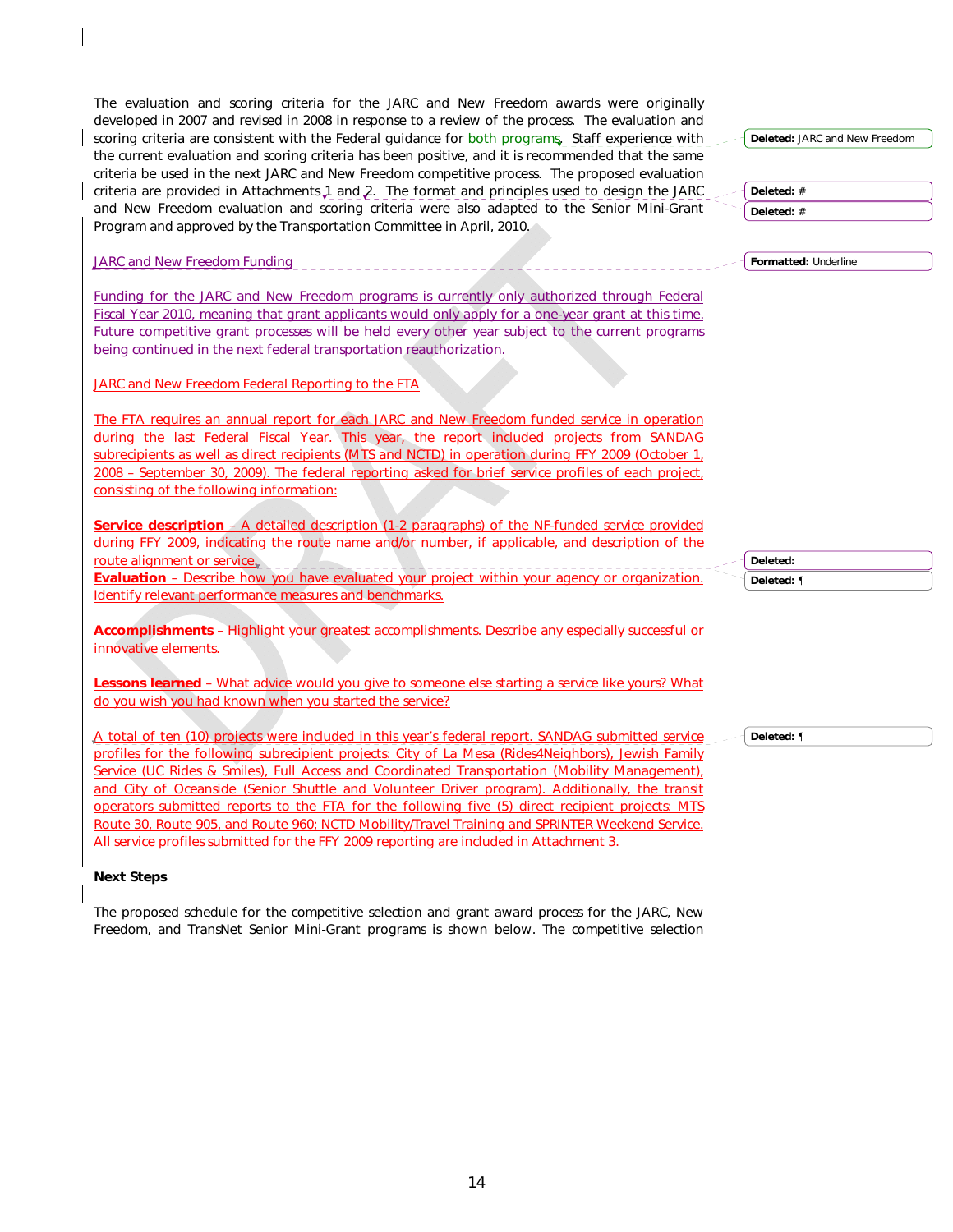The evaluation and scoring criteria for the JARC and New Freedom awards were originally developed in 2007 and revised in 2008 in response to a review of the process. The evaluation and scoring criteria are consistent with the Federal guidance for **both programs**. Staff experience with the current evaluation and scoring criteria has been positive, and it is recommended that the same criteria be used in the next JARC and New Freedom competitive process. The proposed evaluation criteria are provided in Attachments 1 and 2. The format and principles used to design the JARC and New Freedom evaluation and scoring criteria were also adapted to the Senior Mini-Grant Program and approved by the Transportation Committee in April, 2010.

JARC and New Freedom Funding

Funding for the JARC and New Freedom programs is currently only authorized through Federal Fiscal Year 2010, meaning that grant applicants would only apply for a one-year grant at this time. Future competitive grant processes will be held every other year subject to the current programs being continued in the next federal transportation reauthorization.

JARC and New Freedom Federal Reporting to the FTA

The FTA requires an annual report for each JARC and New Freedom funded service in operation during the last Federal Fiscal Year. This year, the report included projects from SANDAG subrecipients as well as direct recipients (MTS and NCTD) in operation during FFY 2009 (October 1, 2008 – September 30, 2009). The federal reporting asked for brief service profiles of each project, consisting of the following information:

**Service description** – A detailed description (1-2 paragraphs) of the NF-funded service provided during FFY 2009, indicating the route name and/or number, if applicable, and description of the route alignment or service.

**Evaluation** – Describe how you have evaluated your project within your agency or organization. Identify relevant performance measures and benchmarks.

**Accomplishments** – Highlight your greatest accomplishments. Describe any especially successful or innovative elements.

**Lessons learned** – What advice would you give to someone else starting a service like yours? What do you wish you had known when you started the service?

A total of ten (10) projects were included in this year's federal report. SANDAG submitted service profiles for the following subrecipient projects: City of La Mesa (Rides4Neighbors), Jewish Family Service (UC Rides & Smiles), Full Access and Coordinated Transportation (Mobility Management), and City of Oceanside (Senior Shuttle and Volunteer Driver program). Additionally, the transit operators submitted reports to the FTA for the following five (5) direct recipient projects: MTS Route 30, Route 905, and Route 960; NCTD Mobility/Travel Training and SPRINTER Weekend Service. All service profiles submitted for the FFY 2009 reporting are included in Attachment 3.

#### *Next Steps*

The proposed schedule for the competitive selection and grant award process for the JARC, New Freedom, and *TransNet* Senior Mini-Grant programs is shown below. The competitive selection **Deleted:** JARC and New Freedom **Deleted:** #

**Deleted:** #

**Formatted:** Underline

**Deleted: Deleted:** ¶

**Deleted:** ¶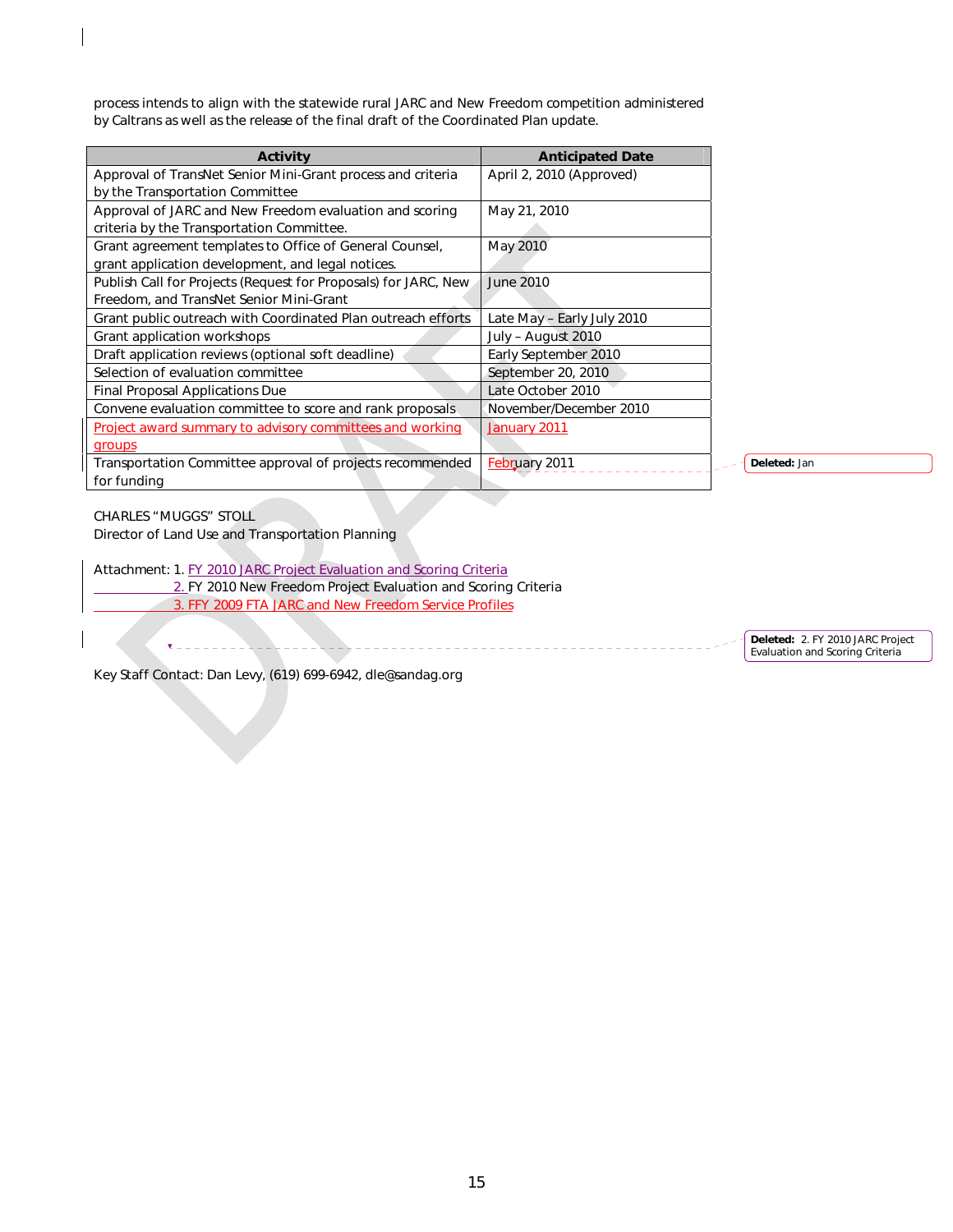process intends to align with the statewide rural JARC and New Freedom competition administered by Caltrans as well as the release of the final draft of the Coordinated Plan update.

| <b>Activity</b>                                                    | <b>Anticipated Date</b>    |
|--------------------------------------------------------------------|----------------------------|
| Approval of <i>TransNet</i> Senior Mini-Grant process and criteria | April 2, 2010 (Approved)   |
| by the Transportation Committee                                    |                            |
| Approval of JARC and New Freedom evaluation and scoring            | May 21, 2010               |
| criteria by the Transportation Committee.                          |                            |
| Grant agreement templates to Office of General Counsel,            | May 2010                   |
| grant application development, and legal notices.                  |                            |
| Publish Call for Projects (Request for Proposals) for JARC, New    | <b>June 2010</b>           |
| Freedom, and <i>TransNet</i> Senior Mini-Grant                     |                            |
| Grant public outreach with Coordinated Plan outreach efforts       | Late May - Early July 2010 |
| Grant application workshops                                        | July – August 2010         |
| Draft application reviews (optional soft deadline)                 | Early September 2010       |
| Selection of evaluation committee                                  | September 20, 2010         |
| Final Proposal Applications Due                                    | Late October 2010          |
| Convene evaluation committee to score and rank proposals           | November/December 2010     |
| Project award summary to advisory committees and working           | January 2011               |
| groups                                                             |                            |
| Transportation Committee approval of projects recommended          | February 2011              |
| for funding                                                        |                            |

**Deleted:** Jan

CHARLES "MUGGS" STOLL

Director of Land Use and Transportation Planning

Attachment: 1. FY 2010 JARC Project Evaluation and Scoring Criteria 2. FY 2010 New Freedom Project Evaluation and Scoring Criteria 3. FFY 2009 FTA JARC and New Freedom Service Profiles

 $- - - -$ 

**Deleted:** 2. FY 2010 JARC Project Evaluation and Scoring Criteria

Key Staff Contact: Dan Levy, (619) 699-6942, dle@sandag.org

<u> - - - - - - - - - - - -</u>

\_\_\_\_\_\_\_\_\_\_\_\_\_\_\_\_\_\_\_\_\_\_\_\_\_\_\_\_\_\_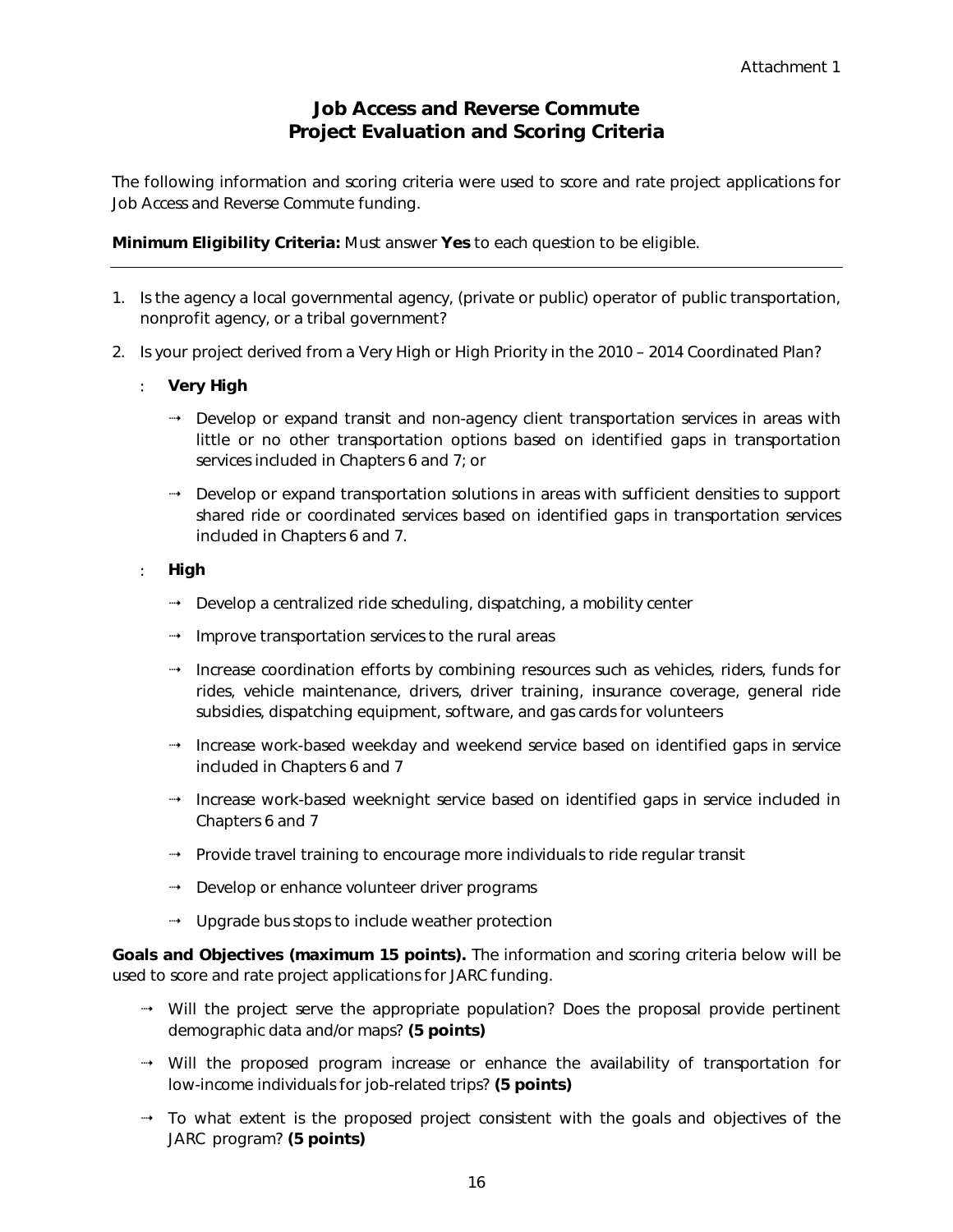#### **Job Access and Reverse Commute Project Evaluation and Scoring Criteria**

The following information and scoring criteria were used to score and rate project applications for Job Access and Reverse Commute funding.

*Minimum Eligibility Criteria:* Must answer **Yes** to each question to be eligible.

- 1. Is the agency a local governmental agency, (private or public) operator of public transportation, nonprofit agency, or a tribal government?
- 2. Is your project derived from a Very High or High Priority in the 2010 2014 Coordinated Plan?
	- : **Very High** 
		- Develop or expand transit and non-agency client transportation services in areas with little or no other transportation options based on identified gaps in transportation services included in Chapters 6 and 7; or
		- Develop or expand transportation solutions in areas with sufficient densities to support shared ride or coordinated services based on identified gaps in transportation services included in Chapters 6 and 7.
	- : **High** 
		- $\rightarrow$  Develop a centralized ride scheduling, dispatching, a mobility center
		- Improve transportation services to the rural areas
		- $\rightarrow$  Increase coordination efforts by combining resources such as vehicles, riders, funds for rides, vehicle maintenance, drivers, driver training, insurance coverage, general ride subsidies, dispatching equipment, software, and gas cards for volunteers
		- $\rightarrow$  Increase work-based weekday and weekend service based on identified gaps in service included in Chapters 6 and 7
		- Increase work-based weeknight service based on identified gaps in service included in Chapters 6 and 7
		- Provide travel training to encourage more individuals to ride regular transit
		- $\rightarrow$  Develop or enhance volunteer driver programs
		- $\rightarrow$  Upgrade bus stops to include weather protection

*Goals and Objectives (maximum 15 points).* The information and scoring criteria below will be used to score and rate project applications for JARC funding.

- Will the project serve the appropriate population? Does the proposal provide pertinent demographic data and/or maps? **(5 points)**
- Will the proposed program increase or enhance the availability of transportation for low-income individuals for job-related trips? **(5 points)**
- $\rightarrow$  To what extent is the proposed project consistent with the goals and objectives of the JARC program? **(5 points)**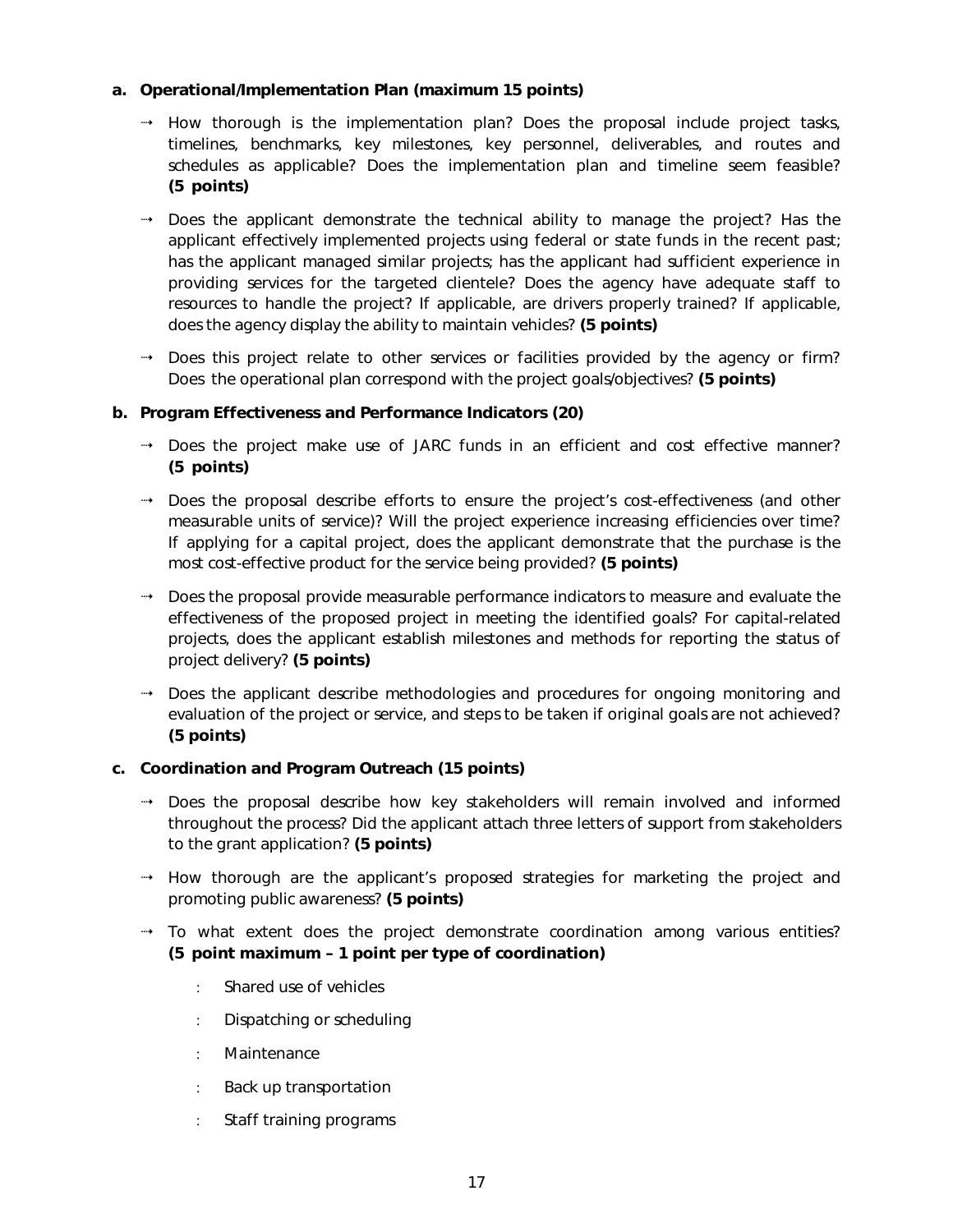#### *a. Operational/Implementation Plan (maximum 15 points)*

- $\rightarrow$  How thorough is the implementation plan? Does the proposal include project tasks, timelines, benchmarks, key milestones, key personnel, deliverables, and routes and schedules as applicable? Does the implementation plan and timeline seem feasible? **(5 points)**
- $\rightarrow$  Does the applicant demonstrate the technical ability to manage the project? Has the applicant effectively implemented projects using federal or state funds in the recent past; has the applicant managed similar projects; has the applicant had sufficient experience in providing services for the targeted clientele? Does the agency have adequate staff to resources to handle the project? If applicable, are drivers properly trained? If applicable, does the agency display the ability to maintain vehicles? **(5 points)**
- Does this project relate to other services or facilities provided by the agency or firm? Does the operational plan correspond with the project goals/objectives? **(5 points)**

#### *b. Program Effectiveness and Performance Indicators (20)*

- Does the project make use of JARC funds in an efficient and cost effective manner? **(5 points)**
- Does the proposal describe efforts to ensure the project's cost-effectiveness (and other measurable units of service)? Will the project experience increasing efficiencies over time? If applying for a capital project, does the applicant demonstrate that the purchase is the most cost-effective product for the service being provided? **(5 points)**
- Does the proposal provide measurable performance indicators to measure and evaluate the effectiveness of the proposed project in meeting the identified goals? For capital-related projects, does the applicant establish milestones and methods for reporting the status of project delivery? **(5 points)**
- Does the applicant describe methodologies and procedures for ongoing monitoring and evaluation of the project or service, and steps to be taken if original goals are not achieved? **(5 points)**

#### *c. Coordination and Program Outreach (15 points)*

- Does the proposal describe how key stakeholders will remain involved and informed throughout the process? Did the applicant attach three letters of support from stakeholders to the grant application? **(5 points)**
- $\rightarrow$  How thorough are the applicant's proposed strategies for marketing the project and promoting public awareness? **(5 points)**
- To what extent does the project demonstrate coordination among various entities? **(5 point maximum – 1 point per type of coordination)** 
	- : Shared use of vehicles
	- : Dispatching or scheduling
	- : Maintenance
	- : Back up transportation
	- : Staff training programs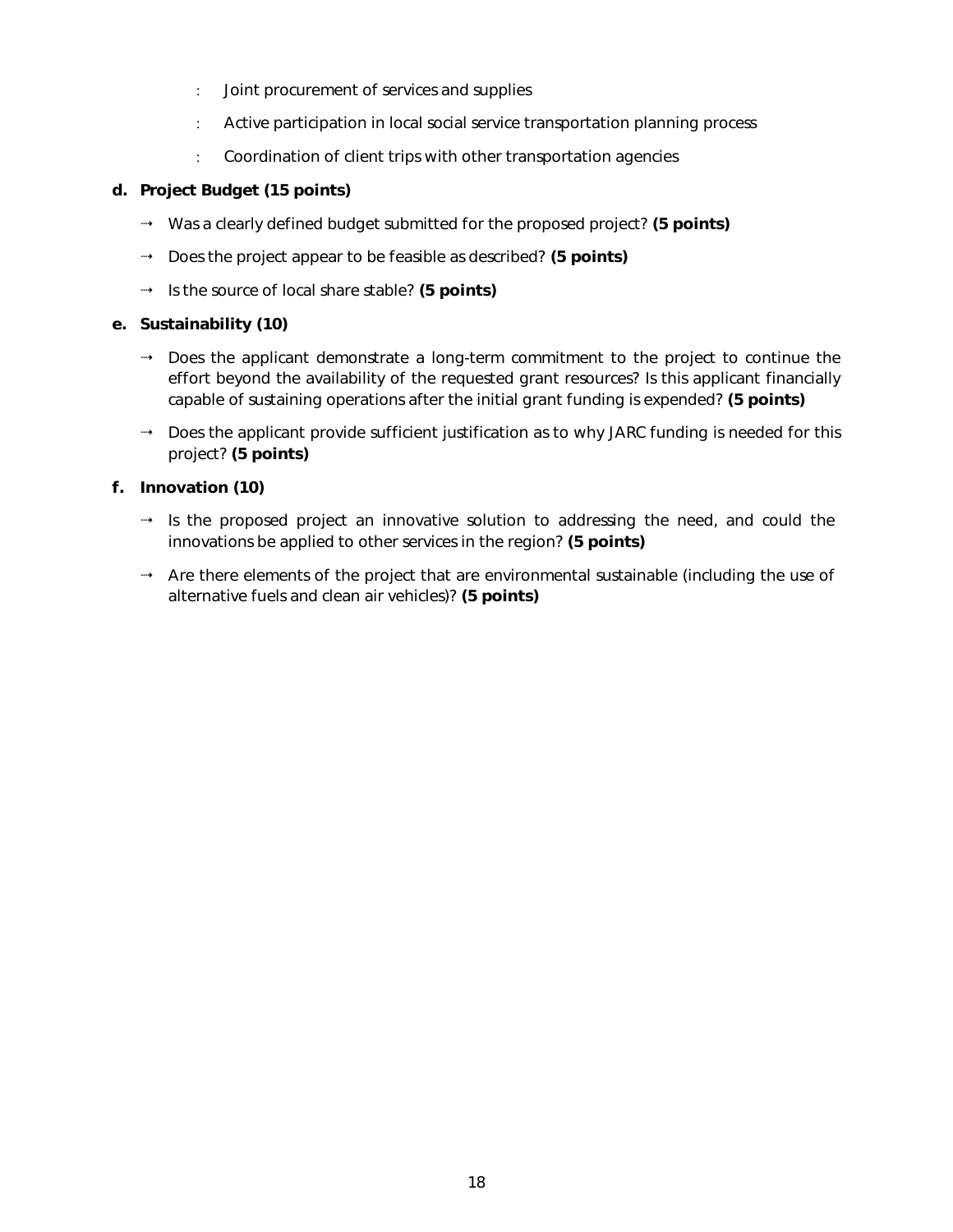- : Joint procurement of services and supplies
- : Active participation in local social service transportation planning process
- : Coordination of client trips with other transportation agencies

#### *d. Project Budget (15 points)*

- Was a clearly defined budget submitted for the proposed project? **(5 points)**
- Does the project appear to be feasible as described? **(5 points)**
- Is the source of local share stable? **(5 points)**

#### *e. Sustainability (10)*

- Does the applicant demonstrate a long-term commitment to the project to continue the effort beyond the availability of the requested grant resources? Is this applicant financially capable of sustaining operations after the initial grant funding is expended? **(5 points)**
- → Does the applicant provide sufficient justification as to why JARC funding is needed for this project? **(5 points)**

#### *f. Innovation (10)*

- $\rightarrow$  Is the proposed project an innovative solution to addressing the need, and could the innovations be applied to other services in the region? **(5 points)**
- Are there elements of the project that are environmental sustainable (including the use of alternative fuels and clean air vehicles)? **(5 points)**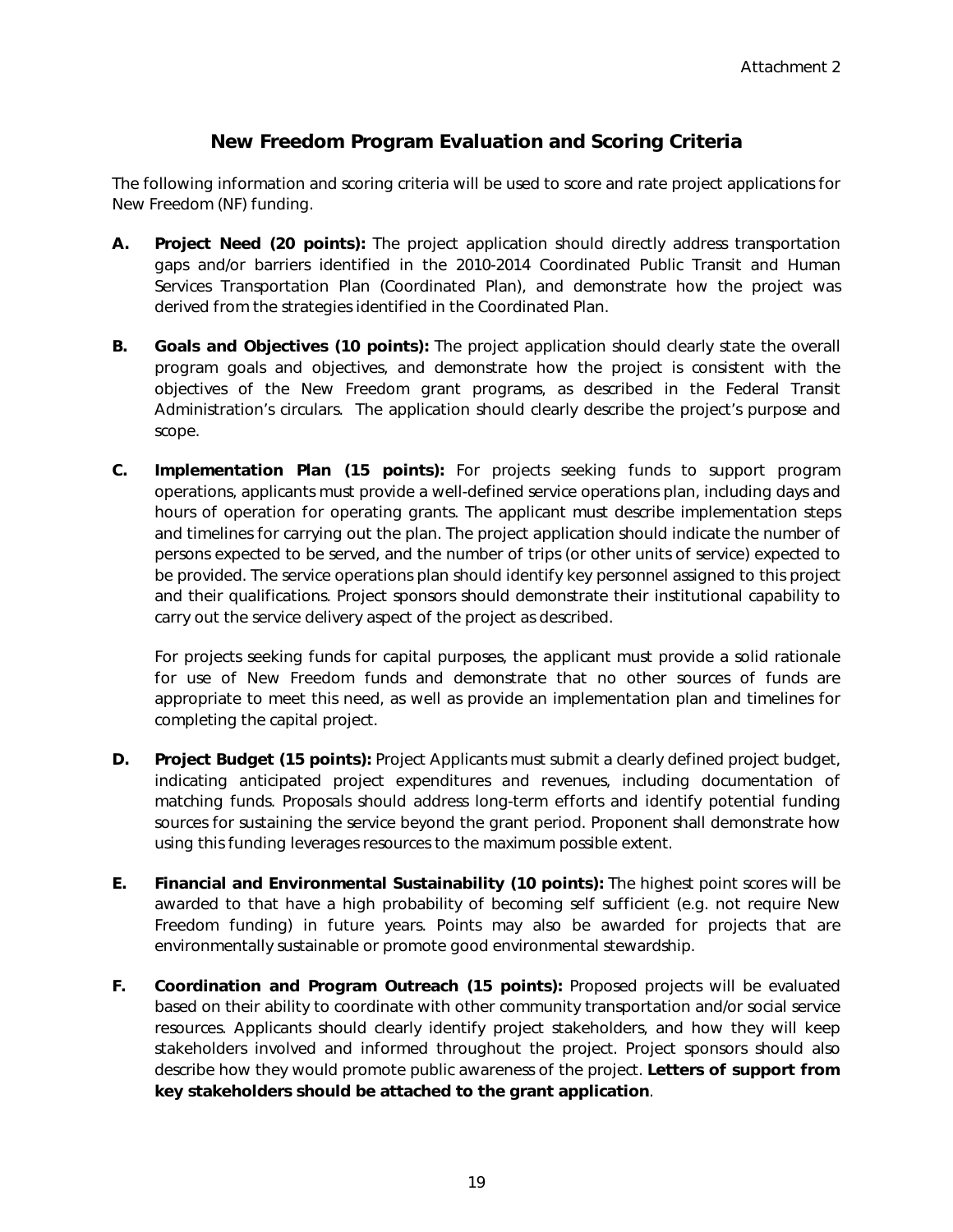#### **New Freedom Program Evaluation and Scoring Criteria**

The following information and scoring criteria will be used to score and rate project applications for New Freedom (NF) funding.

- **A.** *Project Need (20 points)***:** The project application should directly address transportation gaps and/or barriers identified in the 2010-2014 Coordinated Public Transit and Human Services Transportation Plan (Coordinated Plan), and demonstrate how the project was derived from the strategies identified in the Coordinated Plan.
- **B.** *Goals and Objectives (10 points)***:** The project application should clearly state the overall program goals and objectives, and demonstrate how the project is consistent with the objectives of the New Freedom grant programs, as described in the Federal Transit Administration's circulars. The application should clearly describe the project's purpose and scope.
- **C.** *Implementation Plan (15 points):* For projects seeking funds to support program operations, applicants must provide a well-defined service operations plan, including days and hours of operation for operating grants. The applicant must describe implementation steps and timelines for carrying out the plan. The project application should indicate the number of persons expected to be served, and the number of trips (or other units of service) expected to be provided. The service operations plan should identify key personnel assigned to this project and their qualifications. Project sponsors should demonstrate their institutional capability to carry out the service delivery aspect of the project as described.

For projects seeking funds for capital purposes, the applicant must provide a solid rationale for use of New Freedom funds and demonstrate that no other sources of funds are appropriate to meet this need, as well as provide an implementation plan and timelines for completing the capital project.

- **D.** *Project Budget (15 points):* Project Applicants must submit a clearly defined project budget, indicating anticipated project expenditures and revenues, including documentation of matching funds. Proposals should address long-term efforts and identify potential funding sources for sustaining the service beyond the grant period. Proponent shall demonstrate how using this funding leverages resources to the maximum possible extent.
- **E.** *Financial and Environmental Sustainability (10 points):* The highest point scores will be awarded to that have a high probability of becoming self sufficient (e.g. not require New Freedom funding) in future years. Points may also be awarded for projects that are environmentally sustainable or promote good environmental stewardship.
- **F.** *Coordination and Program Outreach (15 points):* Proposed projects will be evaluated based on their ability to coordinate with other community transportation and/or social service resources. Applicants should clearly identify project stakeholders, and how they will keep stakeholders involved and informed throughout the project. Project sponsors should also describe how they would promote public awareness of the project. **Letters of support from key stakeholders should be attached to the grant application**.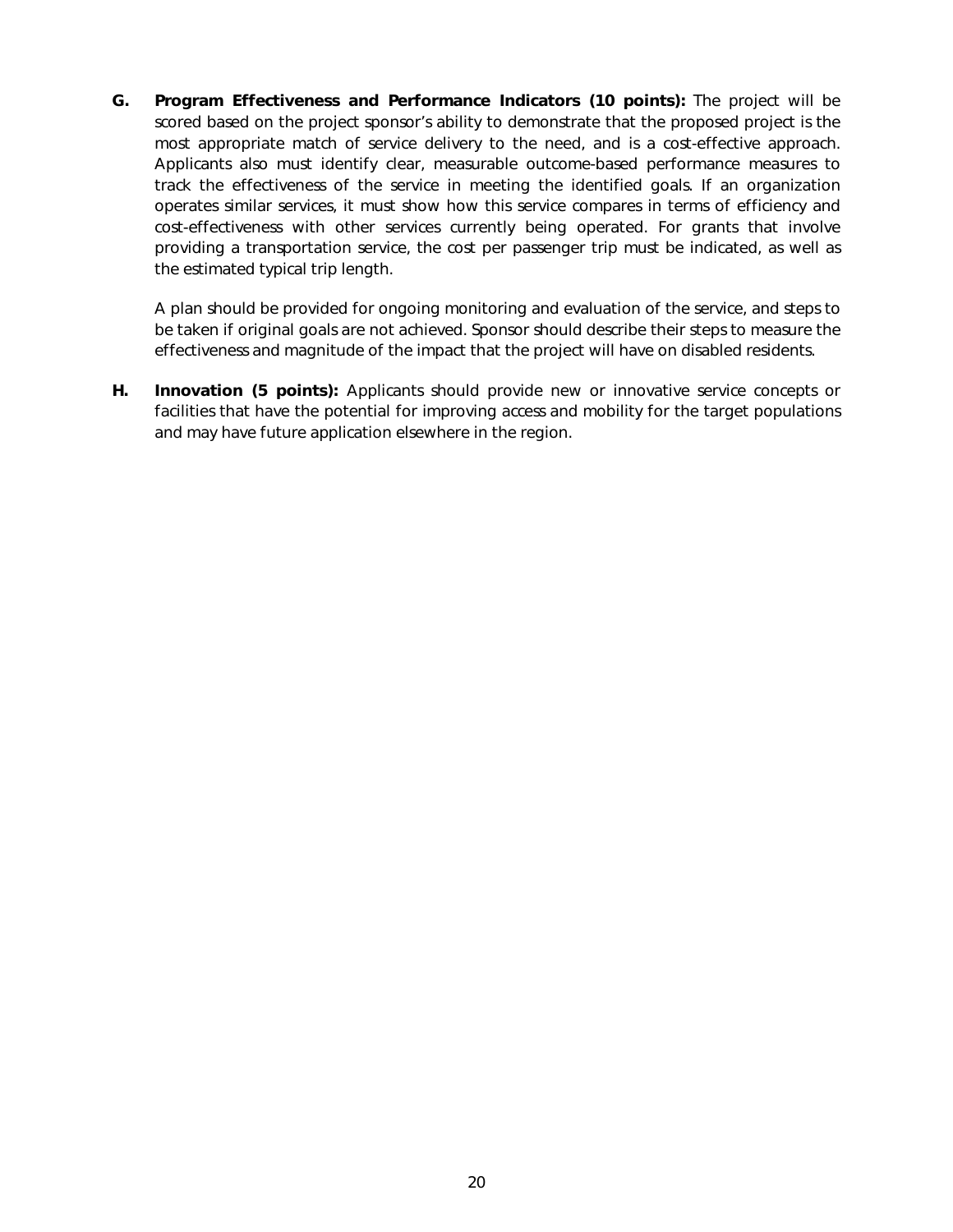**G.** *Program Effectiveness and Performance Indicators (10 points):* The project will be scored based on the project sponsor's ability to demonstrate that the proposed project is the most appropriate match of service delivery to the need, and is a cost-effective approach. Applicants also must identify clear, measurable outcome-based performance measures to track the effectiveness of the service in meeting the identified goals. If an organization operates similar services, it must show how this service compares in terms of efficiency and cost-effectiveness with other services currently being operated. For grants that involve providing a transportation service, the cost per passenger trip must be indicated, as well as the estimated typical trip length.

A plan should be provided for ongoing monitoring and evaluation of the service, and steps to be taken if original goals are not achieved. Sponsor should describe their steps to measure the effectiveness and magnitude of the impact that the project will have on disabled residents.

**H.** *Innovation (5 points):* Applicants should provide new or innovative service concepts or facilities that have the potential for improving access and mobility for the target populations and may have future application elsewhere in the region.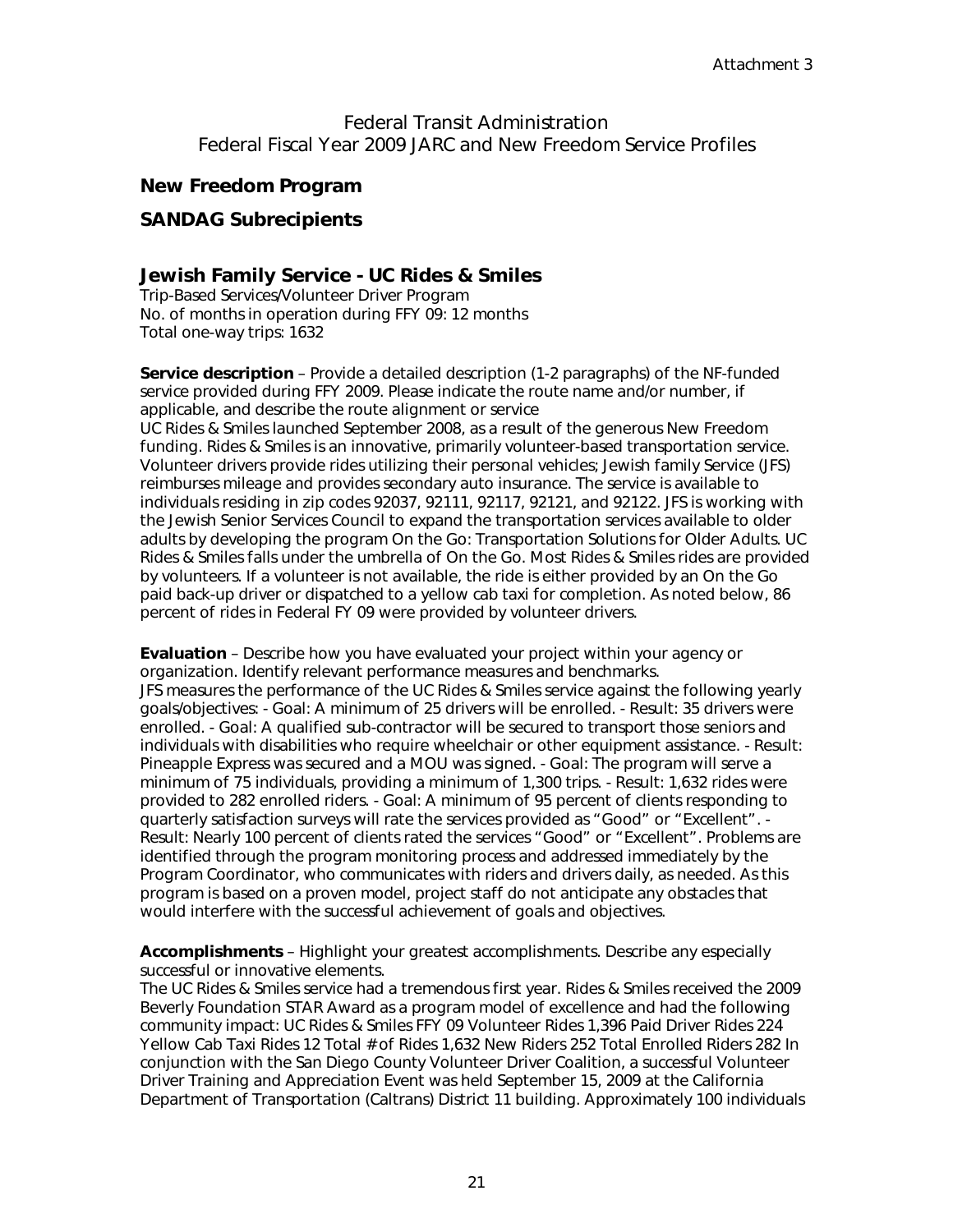Federal Transit Administration Federal Fiscal Year 2009 JARC and New Freedom Service Profiles

#### *New Freedom Program*

#### **SANDAG Subrecipients**

#### **Jewish Family Service - UC Rides & Smiles**

Trip-Based Services/Volunteer Driver Program No. of months in operation during FFY 09: 12 months Total one-way trips: 1632

**Service description** – Provide a detailed description (1-2 paragraphs) of the NF-funded service provided during FFY 2009. Please indicate the route name and/or number, if applicable, and describe the route alignment or service UC Rides & Smiles launched September 2008, as a result of the generous New Freedom funding. Rides & Smiles is an innovative, primarily volunteer-based transportation service. Volunteer drivers provide rides utilizing their personal vehicles; Jewish family Service (JFS) reimburses mileage and provides secondary auto insurance. The service is available to individuals residing in zip codes 92037, 92111, 92117, 92121, and 92122. JFS is working with the Jewish Senior Services Council to expand the transportation services available to older adults by developing the program On the Go: Transportation Solutions for Older Adults. UC Rides & Smiles falls under the umbrella of On the Go. Most Rides & Smiles rides are provided by volunteers. If a volunteer is not available, the ride is either provided by an On the Go paid back-up driver or dispatched to a yellow cab taxi for completion. As noted below, 86 percent of rides in Federal FY 09 were provided by volunteer drivers.

**Evaluation** – Describe how you have evaluated your project within your agency or organization. Identify relevant performance measures and benchmarks. JFS measures the performance of the UC Rides & Smiles service against the following yearly goals/objectives: - Goal: A minimum of 25 drivers will be enrolled. - Result: 35 drivers were enrolled. - Goal: A qualified sub-contractor will be secured to transport those seniors and individuals with disabilities who require wheelchair or other equipment assistance. - Result: Pineapple Express was secured and a MOU was signed. - Goal: The program will serve a minimum of 75 individuals, providing a minimum of 1,300 trips. - Result: 1,632 rides were provided to 282 enrolled riders. - Goal: A minimum of 95 percent of clients responding to quarterly satisfaction surveys will rate the services provided as "Good" or "Excellent". -Result: Nearly 100 percent of clients rated the services "Good" or "Excellent". Problems are identified through the program monitoring process and addressed immediately by the Program Coordinator, who communicates with riders and drivers daily, as needed. As this program is based on a proven model, project staff do not anticipate any obstacles that would interfere with the successful achievement of goals and objectives.

**Accomplishments** – Highlight your greatest accomplishments. Describe any especially successful or innovative elements.

The UC Rides & Smiles service had a tremendous first year. Rides & Smiles received the 2009 Beverly Foundation STAR Award as a program model of excellence and had the following community impact: UC Rides & Smiles FFY 09 Volunteer Rides 1,396 Paid Driver Rides 224 Yellow Cab Taxi Rides 12 Total # of Rides 1,632 New Riders 252 Total Enrolled Riders 282 In conjunction with the San Diego County Volunteer Driver Coalition, a successful Volunteer Driver Training and Appreciation Event was held September 15, 2009 at the California Department of Transportation (Caltrans) District 11 building. Approximately 100 individuals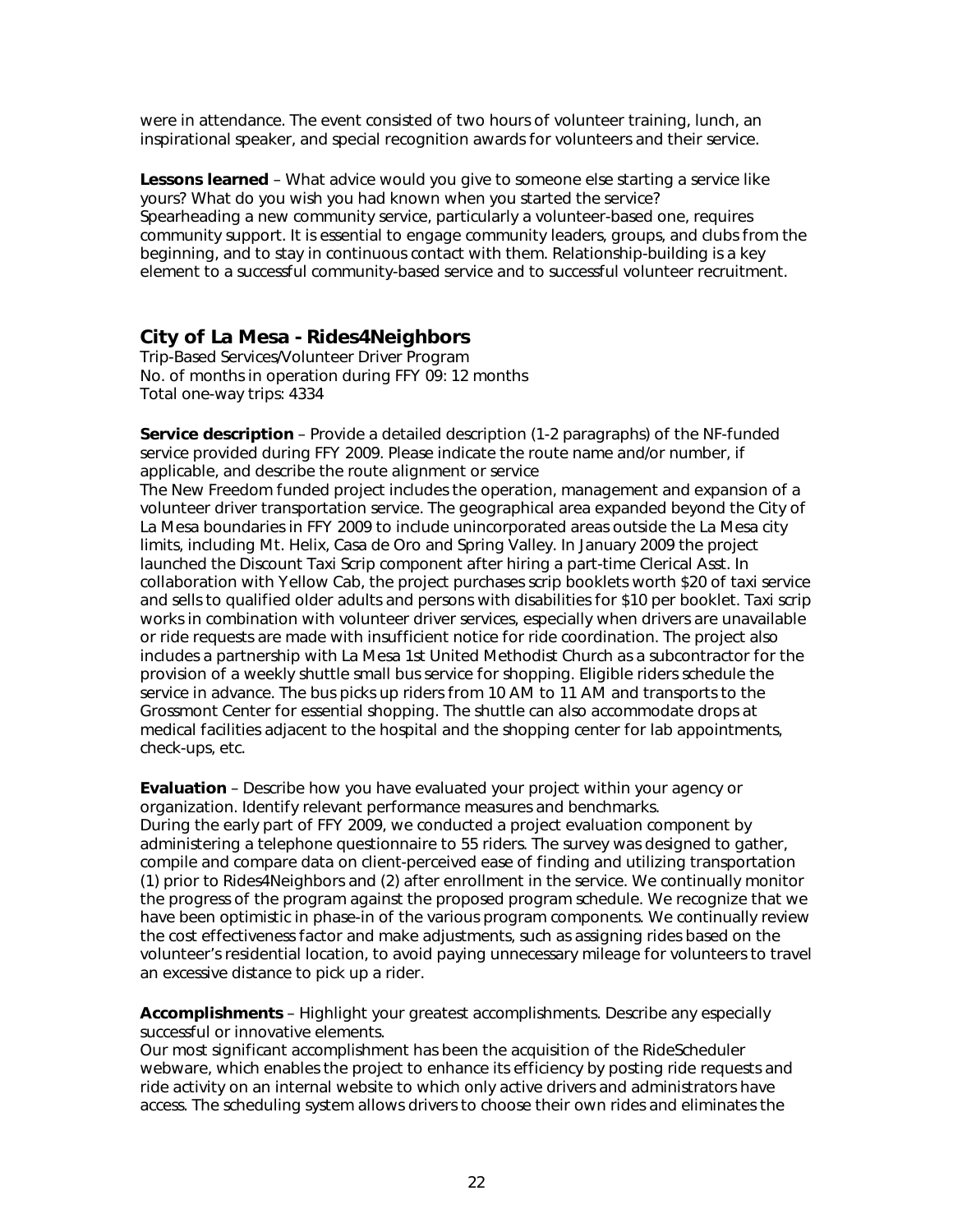were in attendance. The event consisted of two hours of volunteer training, lunch, an inspirational speaker, and special recognition awards for volunteers and their service.

**Lessons learned** – What advice would you give to someone else starting a service like yours? What do you wish you had known when you started the service? Spearheading a new community service, particularly a volunteer-based one, requires community support. It is essential to engage community leaders, groups, and clubs from the beginning, and to stay in continuous contact with them. Relationship-building is a key element to a successful community-based service and to successful volunteer recruitment.

#### **City of La Mesa - Rides4Neighbors**

Trip-Based Services/Volunteer Driver Program No. of months in operation during FFY 09: 12 months Total one-way trips: 4334

**Service description** – Provide a detailed description (1-2 paragraphs) of the NF-funded service provided during FFY 2009. Please indicate the route name and/or number, if applicable, and describe the route alignment or service

The New Freedom funded project includes the operation, management and expansion of a volunteer driver transportation service. The geographical area expanded beyond the City of La Mesa boundaries in FFY 2009 to include unincorporated areas outside the La Mesa city limits, including Mt. Helix, Casa de Oro and Spring Valley. In January 2009 the project launched the Discount Taxi Scrip component after hiring a part-time Clerical Asst. In collaboration with Yellow Cab, the project purchases scrip booklets worth \$20 of taxi service and sells to qualified older adults and persons with disabilities for \$10 per booklet. Taxi scrip works in combination with volunteer driver services, especially when drivers are unavailable or ride requests are made with insufficient notice for ride coordination. The project also includes a partnership with La Mesa 1st United Methodist Church as a subcontractor for the provision of a weekly shuttle small bus service for shopping. Eligible riders schedule the service in advance. The bus picks up riders from 10 AM to 11 AM and transports to the Grossmont Center for essential shopping. The shuttle can also accommodate drops at medical facilities adjacent to the hospital and the shopping center for lab appointments, check-ups, etc.

**Evaluation** – Describe how you have evaluated your project within your agency or organization. Identify relevant performance measures and benchmarks. During the early part of FFY 2009, we conducted a project evaluation component by administering a telephone questionnaire to 55 riders. The survey was designed to gather, compile and compare data on client-perceived ease of finding and utilizing transportation (1) prior to Rides4Neighbors and (2) after enrollment in the service. We continually monitor the progress of the program against the proposed program schedule. We recognize that we have been optimistic in phase-in of the various program components. We continually review the cost effectiveness factor and make adjustments, such as assigning rides based on the volunteer's residential location, to avoid paying unnecessary mileage for volunteers to travel an excessive distance to pick up a rider.

**Accomplishments** – Highlight your greatest accomplishments. Describe any especially successful or innovative elements.

Our most significant accomplishment has been the acquisition of the RideScheduler webware, which enables the project to enhance its efficiency by posting ride requests and ride activity on an internal website to which only active drivers and administrators have access. The scheduling system allows drivers to choose their own rides and eliminates the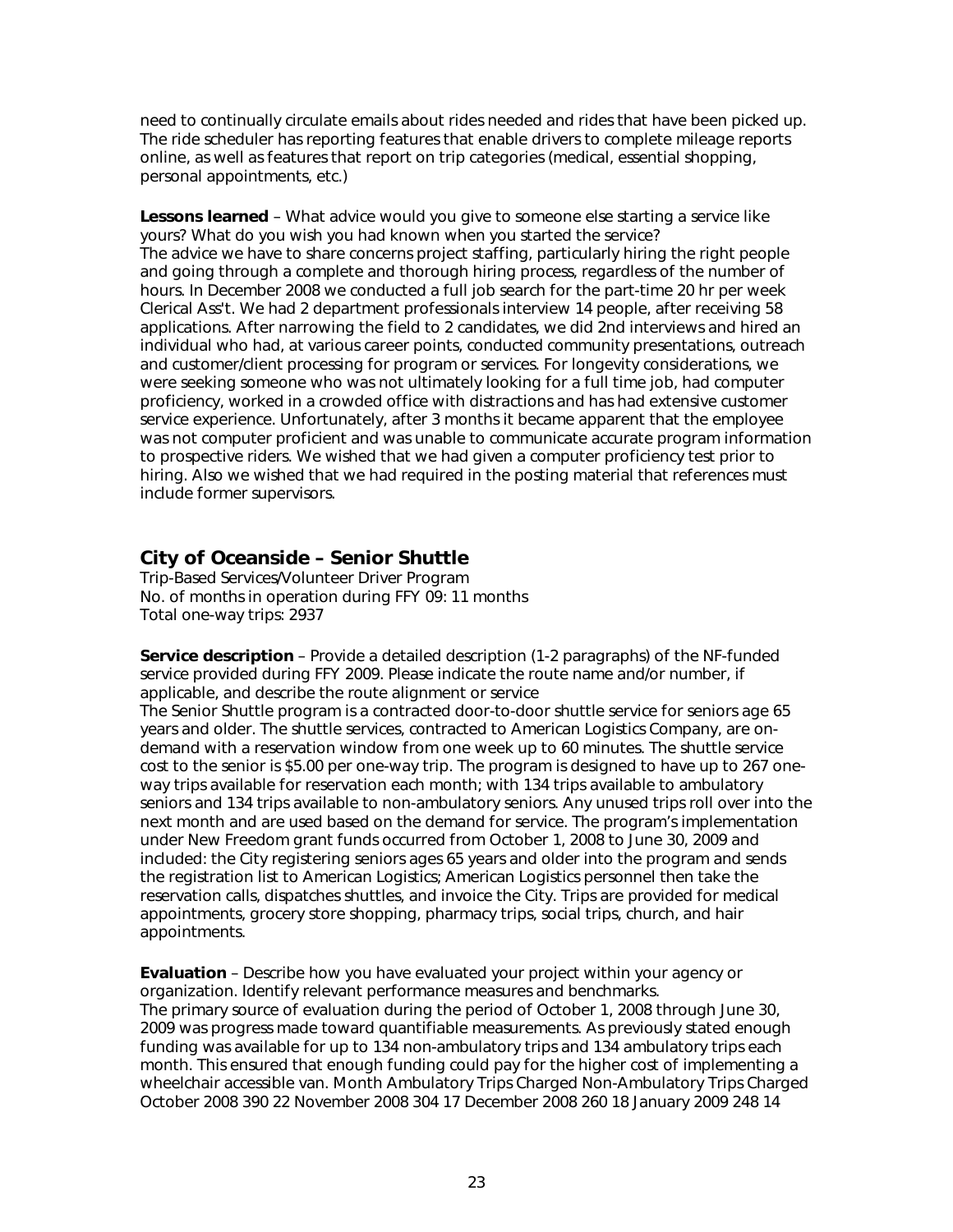need to continually circulate emails about rides needed and rides that have been picked up. The ride scheduler has reporting features that enable drivers to complete mileage reports online, as well as features that report on trip categories (medical, essential shopping, personal appointments, etc.)

**Lessons learned** – What advice would you give to someone else starting a service like yours? What do you wish you had known when you started the service? The advice we have to share concerns project staffing, particularly hiring the right people and going through a complete and thorough hiring process, regardless of the number of hours. In December 2008 we conducted a full job search for the part-time 20 hr per week Clerical Ass't. We had 2 department professionals interview 14 people, after receiving 58 applications. After narrowing the field to 2 candidates, we did 2nd interviews and hired an individual who had, at various career points, conducted community presentations, outreach and customer/client processing for program or services. For longevity considerations, we were seeking someone who was not ultimately looking for a full time job, had computer proficiency, worked in a crowded office with distractions and has had extensive customer service experience. Unfortunately, after 3 months it became apparent that the employee was not computer proficient and was unable to communicate accurate program information to prospective riders. We wished that we had given a computer proficiency test prior to hiring. Also we wished that we had required in the posting material that references must include former supervisors.

#### **City of Oceanside – Senior Shuttle**

Trip-Based Services/Volunteer Driver Program No. of months in operation during FFY 09: 11 months Total one-way trips: 2937

**Service description** – Provide a detailed description (1-2 paragraphs) of the NF-funded service provided during FFY 2009. Please indicate the route name and/or number, if applicable, and describe the route alignment or service

The Senior Shuttle program is a contracted door-to-door shuttle service for seniors age 65 years and older. The shuttle services, contracted to American Logistics Company, are ondemand with a reservation window from one week up to 60 minutes. The shuttle service cost to the senior is \$5.00 per one-way trip. The program is designed to have up to 267 oneway trips available for reservation each month; with 134 trips available to ambulatory seniors and 134 trips available to non-ambulatory seniors. Any unused trips roll over into the next month and are used based on the demand for service. The program's implementation under New Freedom grant funds occurred from October 1, 2008 to June 30, 2009 and included: the City registering seniors ages 65 years and older into the program and sends the registration list to American Logistics; American Logistics personnel then take the reservation calls, dispatches shuttles, and invoice the City. Trips are provided for medical appointments, grocery store shopping, pharmacy trips, social trips, church, and hair appointments.

**Evaluation** – Describe how you have evaluated your project within your agency or organization. Identify relevant performance measures and benchmarks. The primary source of evaluation during the period of October 1, 2008 through June 30, 2009 was progress made toward quantifiable measurements. As previously stated enough funding was available for up to 134 non-ambulatory trips and 134 ambulatory trips each month. This ensured that enough funding could pay for the higher cost of implementing a wheelchair accessible van. Month Ambulatory Trips Charged Non-Ambulatory Trips Charged October 2008 390 22 November 2008 304 17 December 2008 260 18 January 2009 248 14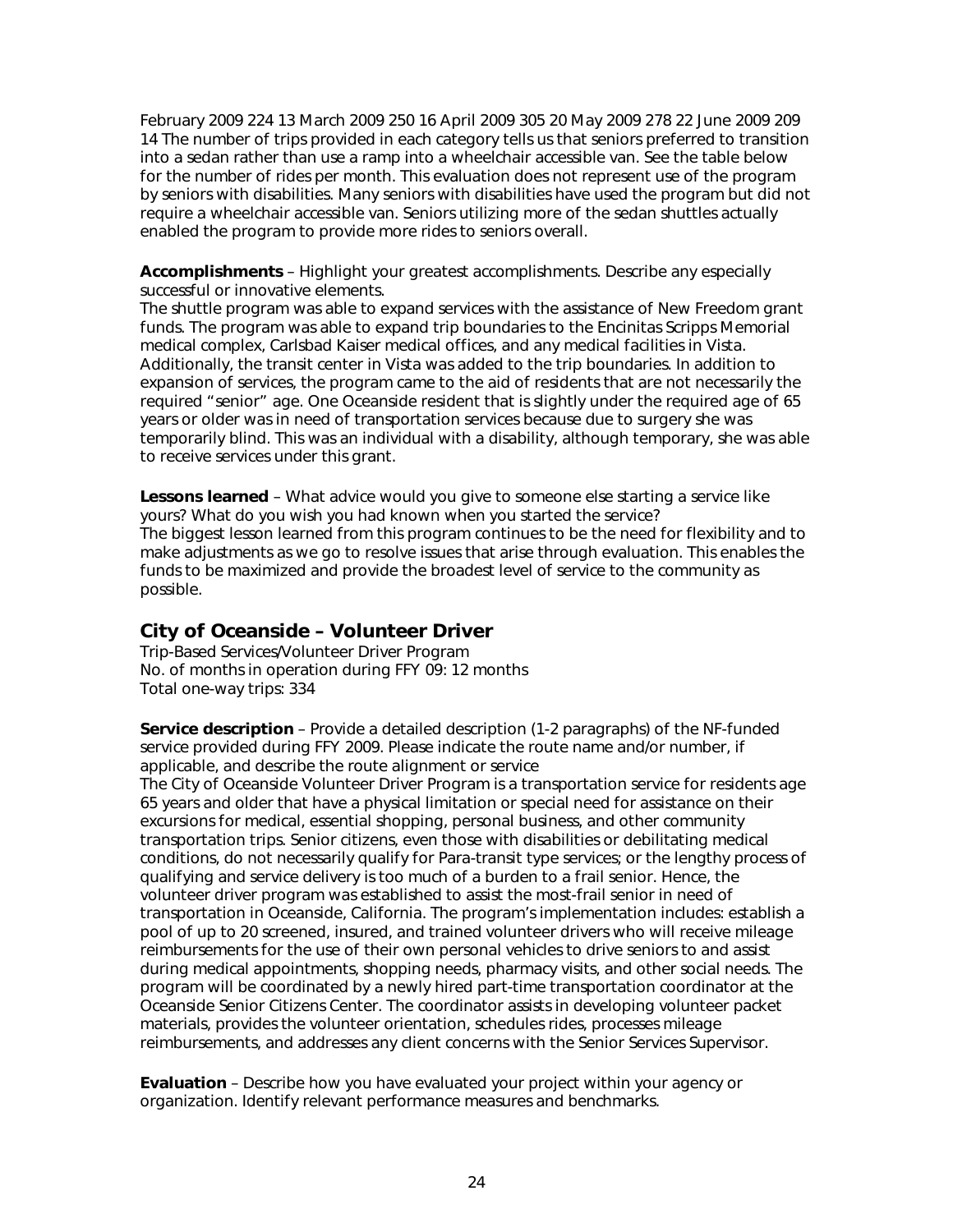February 2009 224 13 March 2009 250 16 April 2009 305 20 May 2009 278 22 June 2009 209 14 The number of trips provided in each category tells us that seniors preferred to transition into a sedan rather than use a ramp into a wheelchair accessible van. See the table below for the number of rides per month. This evaluation does not represent use of the program by seniors with disabilities. Many seniors with disabilities have used the program but did not require a wheelchair accessible van. Seniors utilizing more of the sedan shuttles actually enabled the program to provide more rides to seniors overall.

**Accomplishments** – Highlight your greatest accomplishments. Describe any especially successful or innovative elements.

The shuttle program was able to expand services with the assistance of New Freedom grant funds. The program was able to expand trip boundaries to the Encinitas Scripps Memorial medical complex, Carlsbad Kaiser medical offices, and any medical facilities in Vista. Additionally, the transit center in Vista was added to the trip boundaries. In addition to expansion of services, the program came to the aid of residents that are not necessarily the required "senior" age. One Oceanside resident that is slightly under the required age of 65 years or older was in need of transportation services because due to surgery she was temporarily blind. This was an individual with a disability, although temporary, she was able to receive services under this grant.

**Lessons learned** – What advice would you give to someone else starting a service like yours? What do you wish you had known when you started the service? The biggest lesson learned from this program continues to be the need for flexibility and to make adjustments as we go to resolve issues that arise through evaluation. This enables the funds to be maximized and provide the broadest level of service to the community as possible.

#### **City of Oceanside – Volunteer Driver**

Trip-Based Services/Volunteer Driver Program No. of months in operation during FFY 09: 12 months Total one-way trips: 334

**Service description** – Provide a detailed description (1-2 paragraphs) of the NF-funded service provided during FFY 2009. Please indicate the route name and/or number, if applicable, and describe the route alignment or service

The City of Oceanside Volunteer Driver Program is a transportation service for residents age 65 years and older that have a physical limitation or special need for assistance on their excursions for medical, essential shopping, personal business, and other community transportation trips. Senior citizens, even those with disabilities or debilitating medical conditions, do not necessarily qualify for Para-transit type services; or the lengthy process of qualifying and service delivery is too much of a burden to a frail senior. Hence, the volunteer driver program was established to assist the most-frail senior in need of transportation in Oceanside, California. The program's implementation includes: establish a pool of up to 20 screened, insured, and trained volunteer drivers who will receive mileage reimbursements for the use of their own personal vehicles to drive seniors to and assist during medical appointments, shopping needs, pharmacy visits, and other social needs. The program will be coordinated by a newly hired part-time transportation coordinator at the Oceanside Senior Citizens Center. The coordinator assists in developing volunteer packet materials, provides the volunteer orientation, schedules rides, processes mileage reimbursements, and addresses any client concerns with the Senior Services Supervisor.

**Evaluation** – Describe how you have evaluated your project within your agency or organization. Identify relevant performance measures and benchmarks.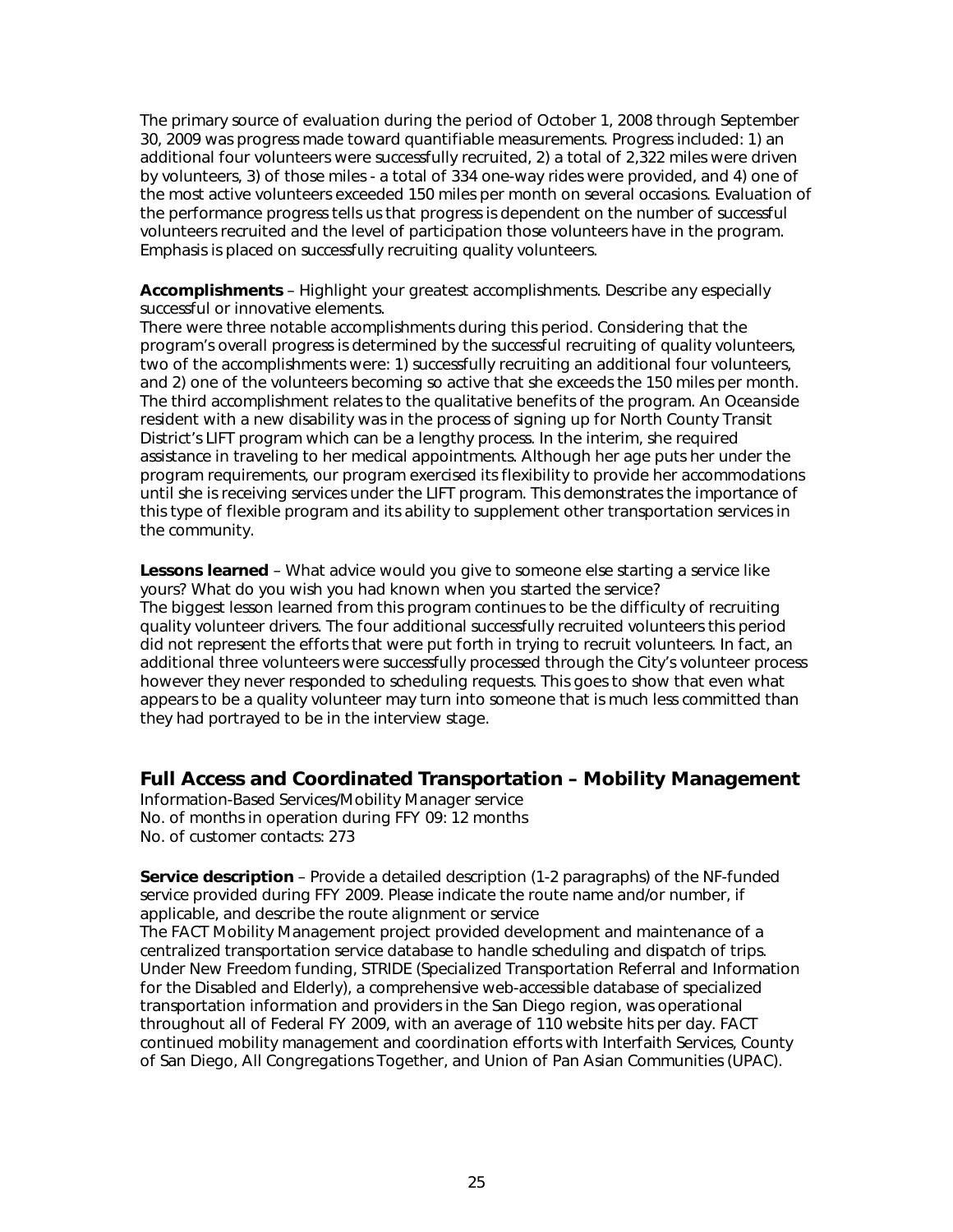The primary source of evaluation during the period of October 1, 2008 through September 30, 2009 was progress made toward quantifiable measurements. Progress included: 1) an additional four volunteers were successfully recruited, 2) a total of 2,322 miles were driven by volunteers, 3) of those miles - a total of 334 one-way rides were provided, and 4) one of the most active volunteers exceeded 150 miles per month on several occasions. Evaluation of the performance progress tells us that progress is dependent on the number of successful volunteers recruited and the level of participation those volunteers have in the program. Emphasis is placed on successfully recruiting quality volunteers.

**Accomplishments** – Highlight your greatest accomplishments. Describe any especially successful or innovative elements.

There were three notable accomplishments during this period. Considering that the program's overall progress is determined by the successful recruiting of quality volunteers, two of the accomplishments were: 1) successfully recruiting an additional four volunteers, and 2) one of the volunteers becoming so active that she exceeds the 150 miles per month. The third accomplishment relates to the qualitative benefits of the program. An Oceanside resident with a new disability was in the process of signing up for North County Transit District's LIFT program which can be a lengthy process. In the interim, she required assistance in traveling to her medical appointments. Although her age puts her under the program requirements, our program exercised its flexibility to provide her accommodations until she is receiving services under the LIFT program. This demonstrates the importance of this type of flexible program and its ability to supplement other transportation services in the community.

**Lessons learned** – What advice would you give to someone else starting a service like yours? What do you wish you had known when you started the service? The biggest lesson learned from this program continues to be the difficulty of recruiting quality volunteer drivers. The four additional successfully recruited volunteers this period did not represent the efforts that were put forth in trying to recruit volunteers. In fact, an additional three volunteers were successfully processed through the City's volunteer process however they never responded to scheduling requests. This goes to show that even what appears to be a quality volunteer may turn into someone that is much less committed than they had portrayed to be in the interview stage.

#### **Full Access and Coordinated Transportation – Mobility Management**

Information-Based Services/Mobility Manager service No. of months in operation during FFY 09: 12 months No. of customer contacts: 273

**Service description** – Provide a detailed description (1-2 paragraphs) of the NF-funded service provided during FFY 2009. Please indicate the route name and/or number, if applicable, and describe the route alignment or service

The FACT Mobility Management project provided development and maintenance of a centralized transportation service database to handle scheduling and dispatch of trips. Under New Freedom funding, STRIDE (Specialized Transportation Referral and Information for the Disabled and Elderly), a comprehensive web-accessible database of specialized transportation information and providers in the San Diego region, was operational throughout all of Federal FY 2009, with an average of 110 website hits per day. FACT continued mobility management and coordination efforts with Interfaith Services, County of San Diego, All Congregations Together, and Union of Pan Asian Communities (UPAC).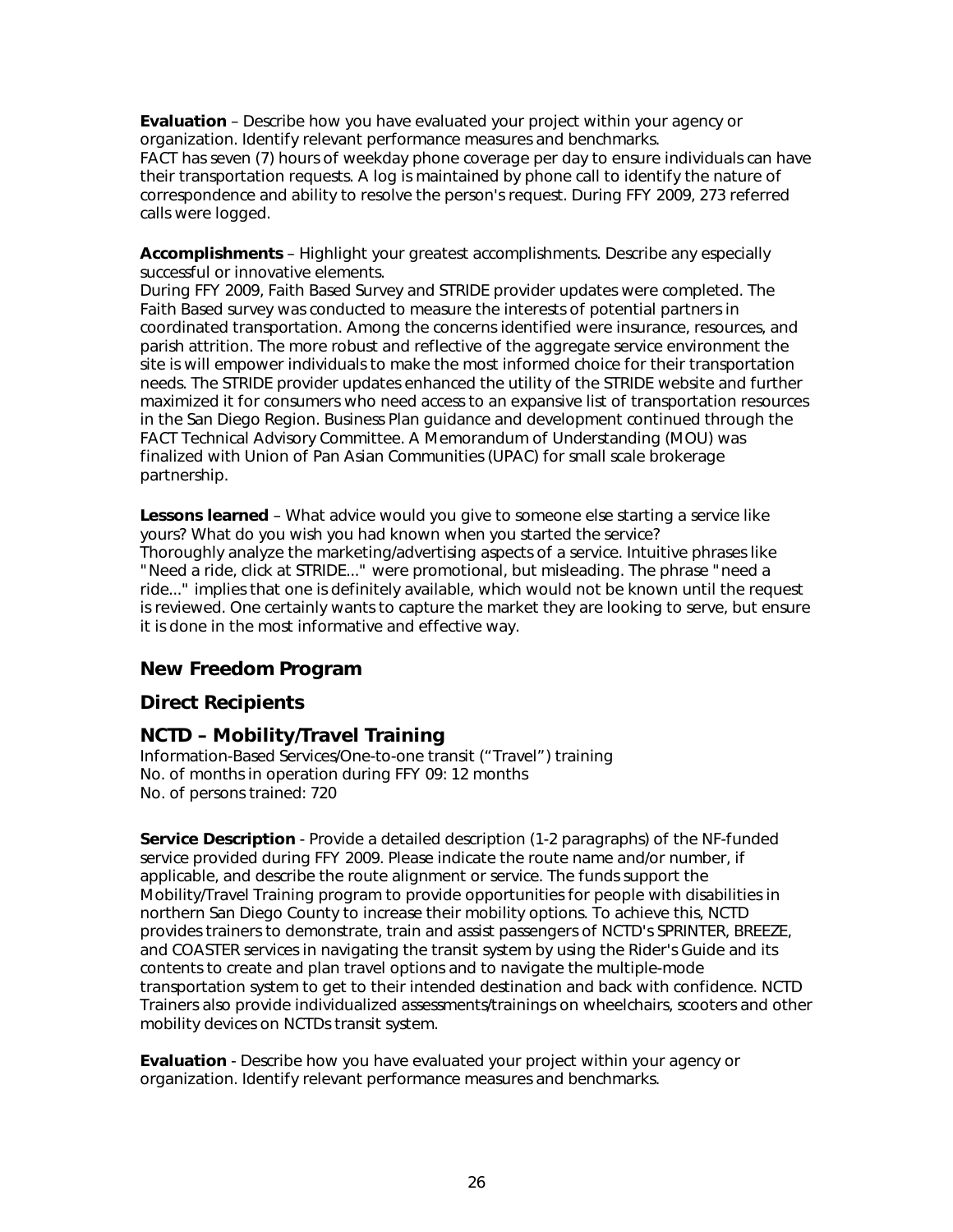**Evaluation** – Describe how you have evaluated your project within your agency or organization. Identify relevant performance measures and benchmarks. FACT has seven (7) hours of weekday phone coverage per day to ensure individuals can have their transportation requests. A log is maintained by phone call to identify the nature of correspondence and ability to resolve the person's request. During FFY 2009, 273 referred calls were logged.

**Accomplishments** – Highlight your greatest accomplishments. Describe any especially successful or innovative elements.

During FFY 2009, Faith Based Survey and STRIDE provider updates were completed. The Faith Based survey was conducted to measure the interests of potential partners in coordinated transportation. Among the concerns identified were insurance, resources, and parish attrition. The more robust and reflective of the aggregate service environment the site is will empower individuals to make the most informed choice for their transportation needs. The STRIDE provider updates enhanced the utility of the STRIDE website and further maximized it for consumers who need access to an expansive list of transportation resources in the San Diego Region. Business Plan guidance and development continued through the FACT Technical Advisory Committee. A Memorandum of Understanding (MOU) was finalized with Union of Pan Asian Communities (UPAC) for small scale brokerage partnership.

**Lessons learned** – What advice would you give to someone else starting a service like yours? What do you wish you had known when you started the service? Thoroughly analyze the marketing/advertising aspects of a service. Intuitive phrases like "Need a ride, click at STRIDE..." were promotional, but misleading. The phrase "need a ride..." implies that one is definitely available, which would not be known until the request is reviewed. One certainly wants to capture the market they are looking to serve, but ensure it is done in the most informative and effective way.

#### *New Freedom Program*

#### **Direct Recipients**

#### **NCTD – Mobility/Travel Training**

Information-Based Services/One-to-one transit ("Travel") training No. of months in operation during FFY 09: 12 months No. of persons trained: 720

**Service Description** - Provide a detailed description (1-2 paragraphs) of the NF-funded service provided during FFY 2009. Please indicate the route name and/or number, if applicable, and describe the route alignment or service. The funds support the Mobility/Travel Training program to provide opportunities for people with disabilities in northern San Diego County to increase their mobility options. To achieve this, NCTD provides trainers to demonstrate, train and assist passengers of NCTD's SPRINTER, BREEZE, and COASTER services in navigating the transit system by using the Rider's Guide and its contents to create and plan travel options and to navigate the multiple-mode transportation system to get to their intended destination and back with confidence. NCTD Trainers also provide individualized assessments/trainings on wheelchairs, scooters and other mobility devices on NCTDs transit system.

**Evaluation** - Describe how you have evaluated your project within your agency or organization. Identify relevant performance measures and benchmarks.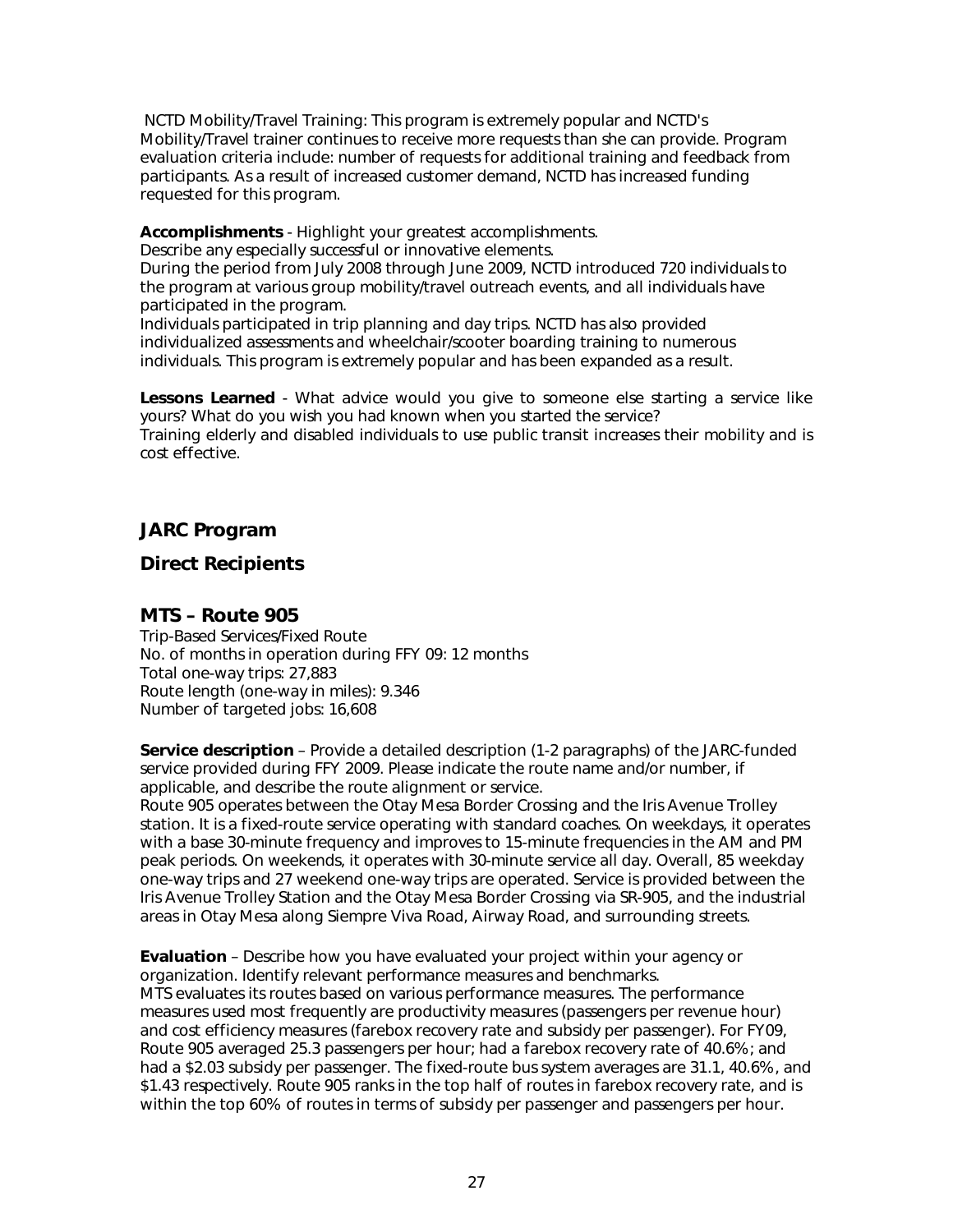NCTD Mobility/Travel Training: This program is extremely popular and NCTD's Mobility/Travel trainer continues to receive more requests than she can provide. Program evaluation criteria include: number of requests for additional training and feedback from participants. As a result of increased customer demand, NCTD has increased funding requested for this program.

**Accomplishments** - Highlight your greatest accomplishments.

Describe any especially successful or innovative elements.

During the period from July 2008 through June 2009, NCTD introduced 720 individuals to the program at various group mobility/travel outreach events, and all individuals have participated in the program.

Individuals participated in trip planning and day trips. NCTD has also provided individualized assessments and wheelchair/scooter boarding training to numerous individuals. This program is extremely popular and has been expanded as a result.

**Lessons Learned** - What advice would you give to someone else starting a service like yours? What do you wish you had known when you started the service? Training elderly and disabled individuals to use public transit increases their mobility and is cost effective.

### *JARC Program*

#### **Direct Recipients**

#### **MTS – Route 905**

Trip-Based Services/Fixed Route No. of months in operation during FFY 09: 12 months Total one-way trips: 27,883 Route length (one-way in miles): 9.346 Number of targeted jobs: 16,608

**Service description** – Provide a detailed description (1-2 paragraphs) of the JARC-funded service provided during FFY 2009. Please indicate the route name and/or number, if applicable, and describe the route alignment or service.

Route 905 operates between the Otay Mesa Border Crossing and the Iris Avenue Trolley station. It is a fixed-route service operating with standard coaches. On weekdays, it operates with a base 30-minute frequency and improves to 15-minute frequencies in the AM and PM peak periods. On weekends, it operates with 30-minute service all day. Overall, 85 weekday one-way trips and 27 weekend one-way trips are operated. Service is provided between the Iris Avenue Trolley Station and the Otay Mesa Border Crossing via SR-905, and the industrial areas in Otay Mesa along Siempre Viva Road, Airway Road, and surrounding streets.

**Evaluation** – Describe how you have evaluated your project within your agency or organization. Identify relevant performance measures and benchmarks. MTS evaluates its routes based on various performance measures. The performance measures used most frequently are productivity measures (passengers per revenue hour) and cost efficiency measures (farebox recovery rate and subsidy per passenger). For FY09, Route 905 averaged 25.3 passengers per hour; had a farebox recovery rate of 40.6%; and had a \$2.03 subsidy per passenger. The fixed-route bus system averages are 31.1, 40.6%, and \$1.43 respectively. Route 905 ranks in the top half of routes in farebox recovery rate, and is within the top 60% of routes in terms of subsidy per passenger and passengers per hour.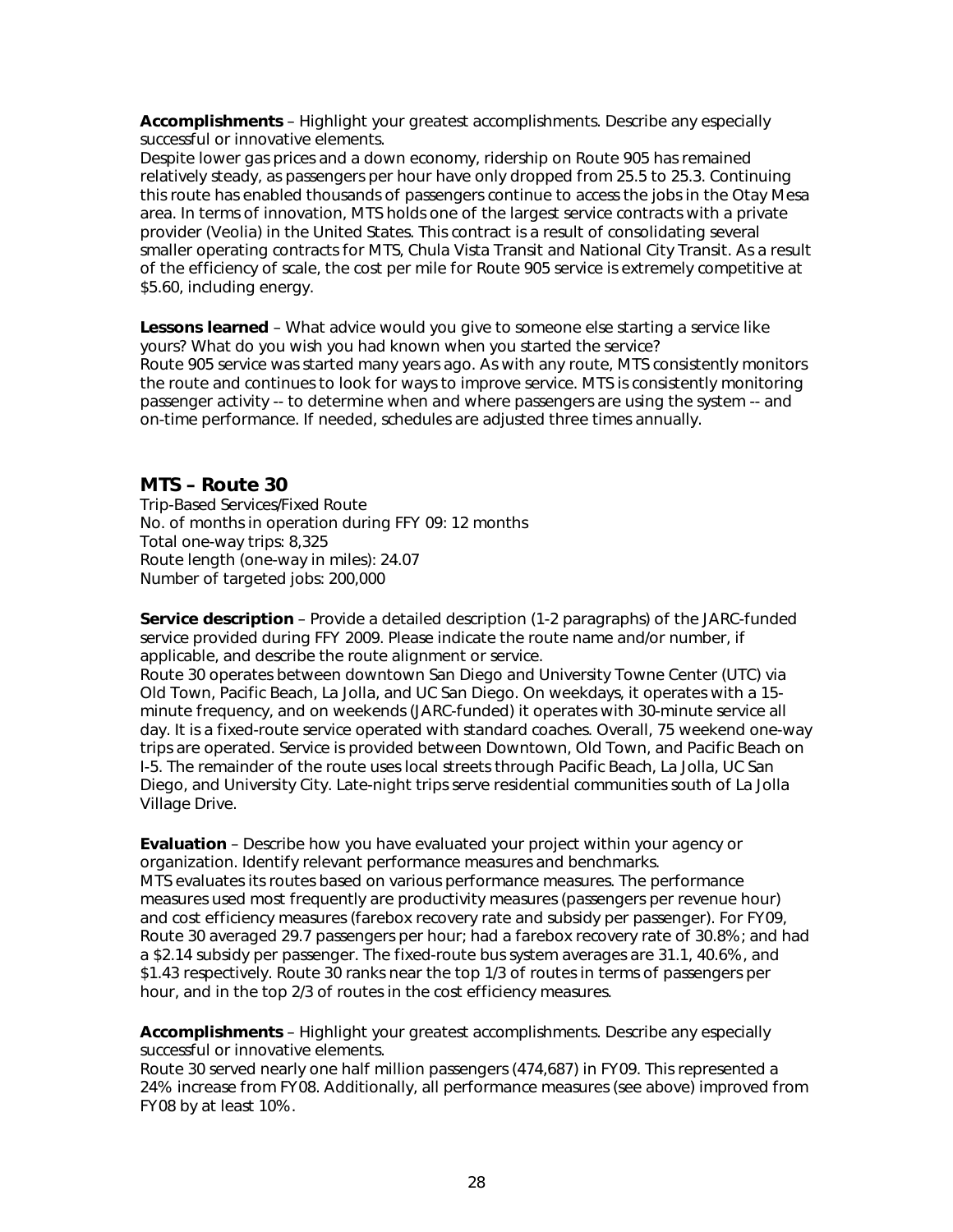**Accomplishments** – Highlight your greatest accomplishments. Describe any especially successful or innovative elements.

Despite lower gas prices and a down economy, ridership on Route 905 has remained relatively steady, as passengers per hour have only dropped from 25.5 to 25.3. Continuing this route has enabled thousands of passengers continue to access the jobs in the Otay Mesa area. In terms of innovation, MTS holds one of the largest service contracts with a private provider (Veolia) in the United States. This contract is a result of consolidating several smaller operating contracts for MTS, Chula Vista Transit and National City Transit. As a result of the efficiency of scale, the cost per mile for Route 905 service is extremely competitive at \$5.60, including energy.

**Lessons learned** – What advice would you give to someone else starting a service like yours? What do you wish you had known when you started the service? Route 905 service was started many years ago. As with any route, MTS consistently monitors the route and continues to look for ways to improve service. MTS is consistently monitoring passenger activity -- to determine when and where passengers are using the system -- and on-time performance. If needed, schedules are adjusted three times annually.

#### **MTS – Route 30**

Trip-Based Services/Fixed Route No. of months in operation during FFY 09: 12 months Total one-way trips: 8,325 Route length (one-way in miles): 24.07 Number of targeted jobs: 200,000

**Service description** – Provide a detailed description (1-2 paragraphs) of the JARC-funded service provided during FFY 2009. Please indicate the route name and/or number, if applicable, and describe the route alignment or service.

Route 30 operates between downtown San Diego and University Towne Center (UTC) via Old Town, Pacific Beach, La Jolla, and UC San Diego. On weekdays, it operates with a 15 minute frequency, and on weekends (JARC-funded) it operates with 30-minute service all day. It is a fixed-route service operated with standard coaches. Overall, 75 weekend one-way trips are operated. Service is provided between Downtown, Old Town, and Pacific Beach on I-5. The remainder of the route uses local streets through Pacific Beach, La Jolla, UC San Diego, and University City. Late-night trips serve residential communities south of La Jolla Village Drive.

**Evaluation** – Describe how you have evaluated your project within your agency or organization. Identify relevant performance measures and benchmarks. MTS evaluates its routes based on various performance measures. The performance measures used most frequently are productivity measures (passengers per revenue hour) and cost efficiency measures (farebox recovery rate and subsidy per passenger). For FY09, Route 30 averaged 29.7 passengers per hour; had a farebox recovery rate of 30.8%; and had a \$2.14 subsidy per passenger. The fixed-route bus system averages are 31.1, 40.6%, and \$1.43 respectively. Route 30 ranks near the top 1/3 of routes in terms of passengers per hour, and in the top 2/3 of routes in the cost efficiency measures.

**Accomplishments** – Highlight your greatest accomplishments. Describe any especially successful or innovative elements.

Route 30 served nearly one half million passengers (474,687) in FY09. This represented a 24% increase from FY08. Additionally, all performance measures (see above) improved from FY08 by at least 10%.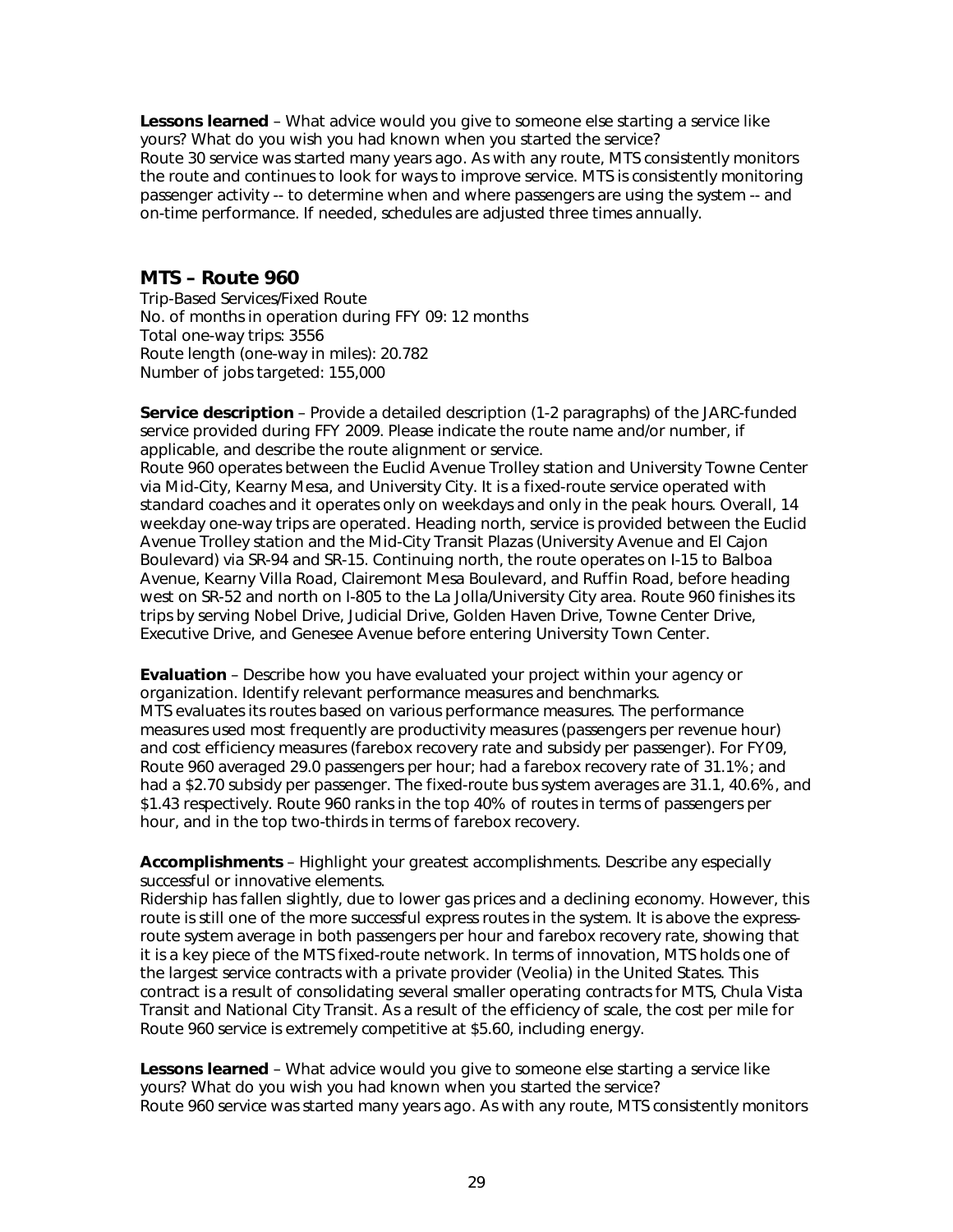**Lessons learned** – What advice would you give to someone else starting a service like yours? What do you wish you had known when you started the service? Route 30 service was started many years ago. As with any route, MTS consistently monitors the route and continues to look for ways to improve service. MTS is consistently monitoring passenger activity -- to determine when and where passengers are using the system -- and on-time performance. If needed, schedules are adjusted three times annually.

#### **MTS – Route 960**

Trip-Based Services/Fixed Route No. of months in operation during FFY 09: 12 months Total one-way trips: 3556 Route length (one-way in miles): 20.782 Number of jobs targeted: 155,000

**Service description** – Provide a detailed description (1-2 paragraphs) of the JARC-funded service provided during FFY 2009. Please indicate the route name and/or number, if applicable, and describe the route alignment or service.

Route 960 operates between the Euclid Avenue Trolley station and University Towne Center via Mid-City, Kearny Mesa, and University City. It is a fixed-route service operated with standard coaches and it operates only on weekdays and only in the peak hours. Overall, 14 weekday one-way trips are operated. Heading north, service is provided between the Euclid Avenue Trolley station and the Mid-City Transit Plazas (University Avenue and El Cajon Boulevard) via SR-94 and SR-15. Continuing north, the route operates on I-15 to Balboa Avenue, Kearny Villa Road, Clairemont Mesa Boulevard, and Ruffin Road, before heading west on SR-52 and north on I-805 to the La Jolla/University City area. Route 960 finishes its trips by serving Nobel Drive, Judicial Drive, Golden Haven Drive, Towne Center Drive, Executive Drive, and Genesee Avenue before entering University Town Center.

**Evaluation** – Describe how you have evaluated your project within your agency or organization. Identify relevant performance measures and benchmarks. MTS evaluates its routes based on various performance measures. The performance measures used most frequently are productivity measures (passengers per revenue hour) and cost efficiency measures (farebox recovery rate and subsidy per passenger). For FY09, Route 960 averaged 29.0 passengers per hour; had a farebox recovery rate of 31.1%; and had a \$2.70 subsidy per passenger. The fixed-route bus system averages are 31.1, 40.6%, and \$1.43 respectively. Route 960 ranks in the top 40% of routes in terms of passengers per hour, and in the top two-thirds in terms of farebox recovery.

**Accomplishments** – Highlight your greatest accomplishments. Describe any especially successful or innovative elements.

Ridership has fallen slightly, due to lower gas prices and a declining economy. However, this route is still one of the more successful express routes in the system. It is above the expressroute system average in both passengers per hour and farebox recovery rate, showing that it is a key piece of the MTS fixed-route network. In terms of innovation, MTS holds one of the largest service contracts with a private provider (Veolia) in the United States. This contract is a result of consolidating several smaller operating contracts for MTS, Chula Vista Transit and National City Transit. As a result of the efficiency of scale, the cost per mile for Route 960 service is extremely competitive at \$5.60, including energy.

**Lessons learned** – What advice would you give to someone else starting a service like yours? What do you wish you had known when you started the service? Route 960 service was started many years ago. As with any route, MTS consistently monitors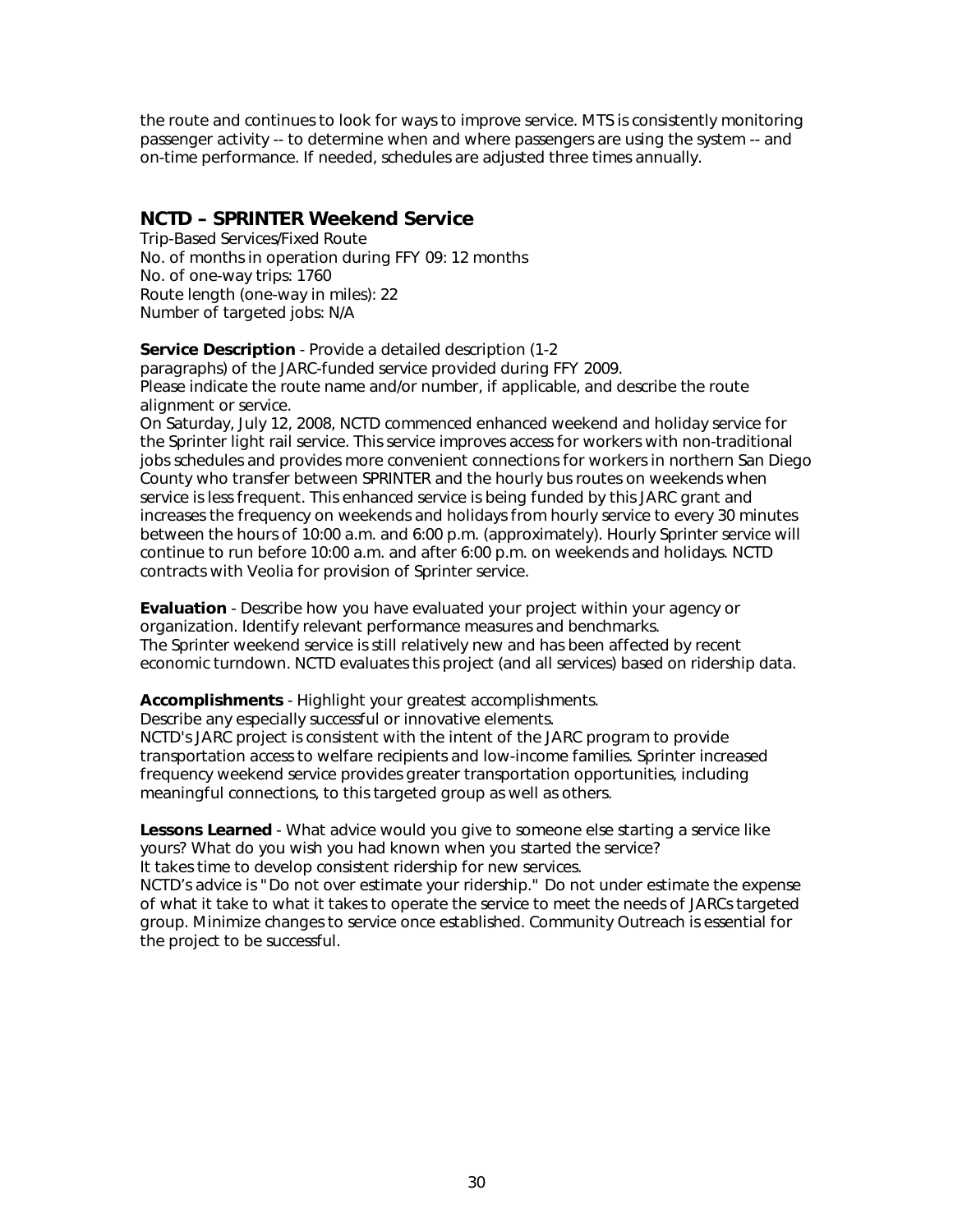the route and continues to look for ways to improve service. MTS is consistently monitoring passenger activity -- to determine when and where passengers are using the system -- and on-time performance. If needed, schedules are adjusted three times annually.

#### **NCTD – SPRINTER Weekend Service**

Trip-Based Services/Fixed Route No. of months in operation during FFY 09: 12 months No. of one-way trips: 1760 Route length (one-way in miles): 22 Number of targeted jobs: N/A

**Service Description** - Provide a detailed description (1-2

paragraphs) of the JARC-funded service provided during FFY 2009. Please indicate the route name and/or number, if applicable, and describe the route alignment or service.

On Saturday, July 12, 2008, NCTD commenced enhanced weekend and holiday service for the Sprinter light rail service. This service improves access for workers with non-traditional jobs schedules and provides more convenient connections for workers in northern San Diego County who transfer between SPRINTER and the hourly bus routes on weekends when service is less frequent. This enhanced service is being funded by this JARC grant and increases the frequency on weekends and holidays from hourly service to every 30 minutes between the hours of 10:00 a.m. and 6:00 p.m. (approximately). Hourly Sprinter service will continue to run before 10:00 a.m. and after 6:00 p.m. on weekends and holidays. NCTD contracts with Veolia for provision of Sprinter service.

**Evaluation** - Describe how you have evaluated your project within your agency or organization. Identify relevant performance measures and benchmarks. The Sprinter weekend service is still relatively new and has been affected by recent economic turndown. NCTD evaluates this project (and all services) based on ridership data.

**Accomplishments** - Highlight your greatest accomplishments.

Describe any especially successful or innovative elements.

NCTD's JARC project is consistent with the intent of the JARC program to provide transportation access to welfare recipients and low-income families. Sprinter increased frequency weekend service provides greater transportation opportunities, including meaningful connections, to this targeted group as well as others.

**Lessons Learned** - What advice would you give to someone else starting a service like yours? What do you wish you had known when you started the service? It takes time to develop consistent ridership for new services.

NCTD's advice is "Do not over estimate your ridership." Do not under estimate the expense of what it take to what it takes to operate the service to meet the needs of JARCs targeted group. Minimize changes to service once established. Community Outreach is essential for the project to be successful.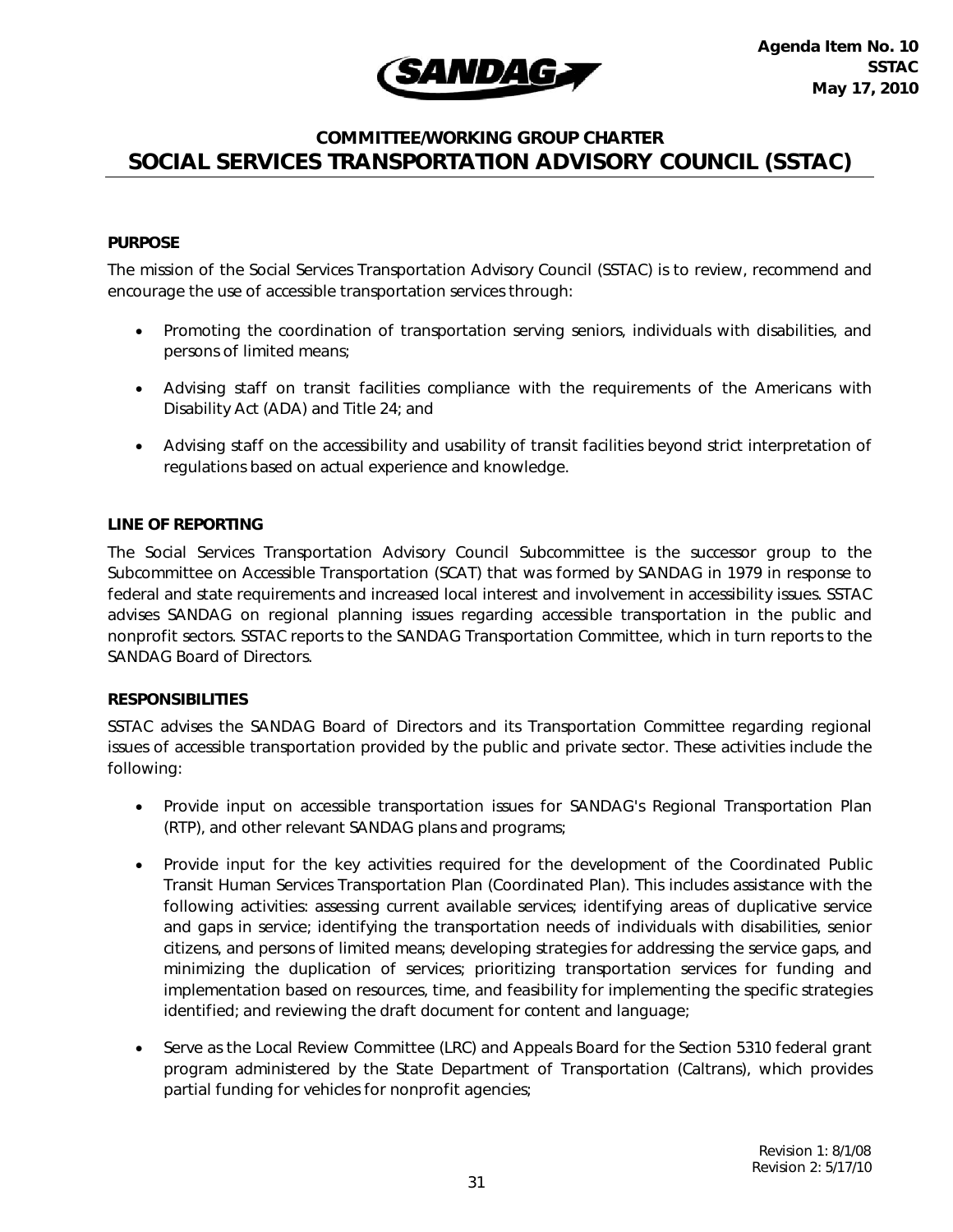

#### **COMMITTEE/WORKING GROUP CHARTER SOCIAL SERVICES TRANSPORTATION ADVISORY COUNCIL (SSTAC)**

#### **PURPOSE**

The mission of the Social Services Transportation Advisory Council (SSTAC) is to review, recommend and encourage the use of accessible transportation services through:

- Promoting the coordination of transportation serving seniors, individuals with disabilities, and persons of limited means;
- Advising staff on transit facilities compliance with the requirements of the Americans with Disability Act (ADA) and Title 24; and
- Advising staff on the accessibility and usability of transit facilities beyond strict interpretation of regulations based on actual experience and knowledge.

#### **LINE OF REPORTING**

The Social Services Transportation Advisory Council Subcommittee is the successor group to the Subcommittee on Accessible Transportation (SCAT) that was formed by SANDAG in 1979 in response to federal and state requirements and increased local interest and involvement in accessibility issues. SSTAC advises SANDAG on regional planning issues regarding accessible transportation in the public and nonprofit sectors. SSTAC reports to the SANDAG Transportation Committee, which in turn reports to the SANDAG Board of Directors.

#### **RESPONSIBILITIES**

SSTAC advises the SANDAG Board of Directors and its Transportation Committee regarding regional issues of accessible transportation provided by the public and private sector. These activities include the following:

- Provide input on accessible transportation issues for SANDAG's Regional Transportation Plan (RTP), and other relevant SANDAG plans and programs;
- Provide input for the key activities required for the development of the Coordinated Public Transit Human Services Transportation Plan (Coordinated Plan). This includes assistance with the following activities: assessing current available services; identifying areas of duplicative service and gaps in service; identifying the transportation needs of individuals with disabilities, senior citizens, and persons of limited means; developing strategies for addressing the service gaps, and minimizing the duplication of services; prioritizing transportation services for funding and implementation based on resources, time, and feasibility for implementing the specific strategies identified; and reviewing the draft document for content and language;
- Serve as the Local Review Committee (LRC) and Appeals Board for the Section 5310 federal grant program administered by the State Department of Transportation (Caltrans), which provides partial funding for vehicles for nonprofit agencies;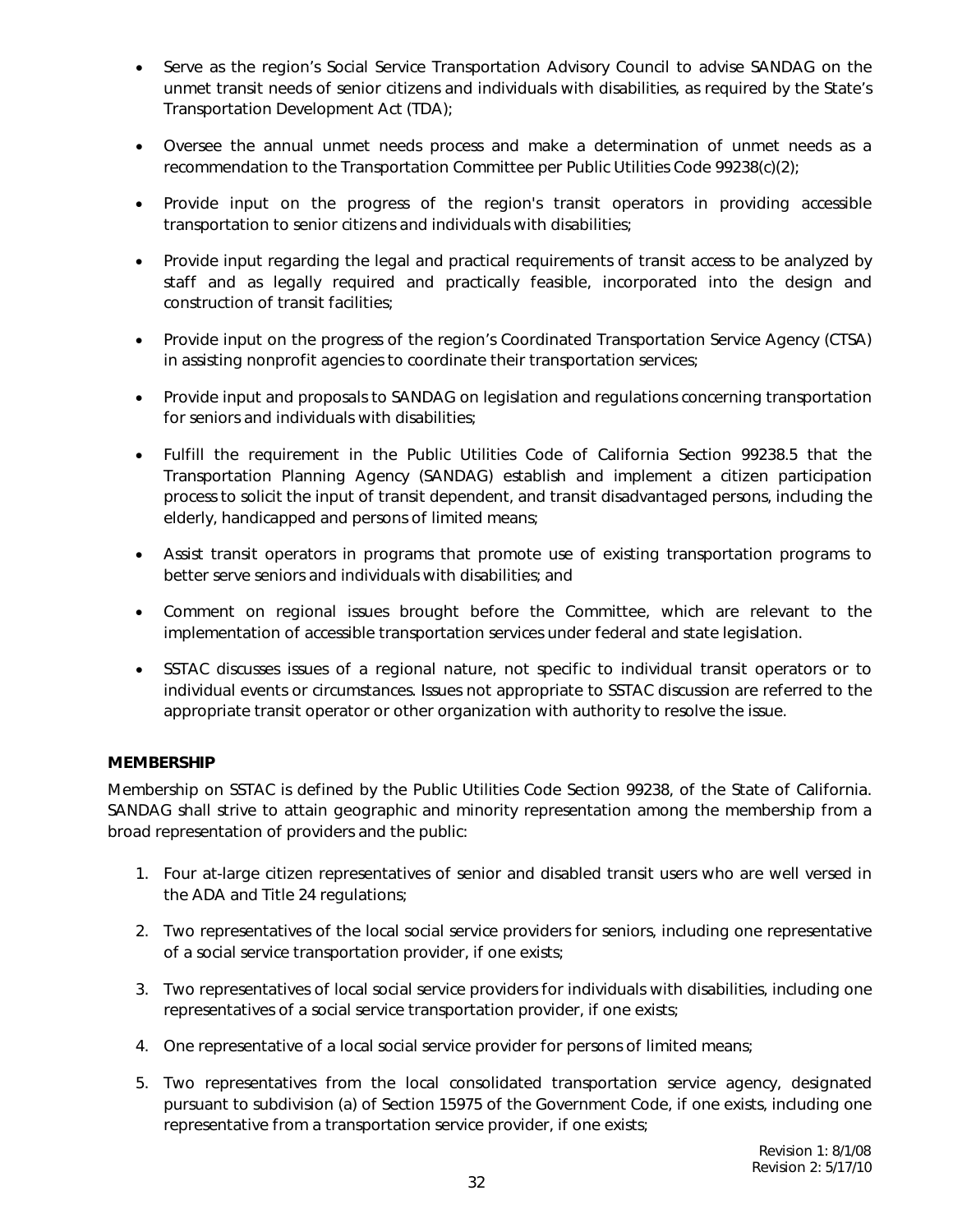- Serve as the region's Social Service Transportation Advisory Council to advise SANDAG on the unmet transit needs of senior citizens and individuals with disabilities, as required by the State's Transportation Development Act (TDA);
- Oversee the annual unmet needs process and make a determination of unmet needs as a recommendation to the Transportation Committee per Public Utilities Code 99238(c)(2);
- Provide input on the progress of the region's transit operators in providing accessible transportation to senior citizens and individuals with disabilities;
- Provide input regarding the legal and practical requirements of transit access to be analyzed by staff and as legally required and practically feasible, incorporated into the design and construction of transit facilities;
- Provide input on the progress of the region's Coordinated Transportation Service Agency (CTSA) in assisting nonprofit agencies to coordinate their transportation services;
- Provide input and proposals to SANDAG on legislation and regulations concerning transportation for seniors and individuals with disabilities;
- Fulfill the requirement in the Public Utilities Code of California Section 99238.5 that the Transportation Planning Agency (SANDAG) establish and implement a citizen participation process to solicit the input of transit dependent, and transit disadvantaged persons, including the elderly, handicapped and persons of limited means;
- Assist transit operators in programs that promote use of existing transportation programs to better serve seniors and individuals with disabilities; and
- Comment on regional issues brought before the Committee, which are relevant to the implementation of accessible transportation services under federal and state legislation.
- SSTAC discusses issues of a regional nature, not specific to individual transit operators or to individual events or circumstances. Issues not appropriate to SSTAC discussion are referred to the appropriate transit operator or other organization with authority to resolve the issue.

#### **MEMBERSHIP**

Membership on SSTAC is defined by the Public Utilities Code Section 99238, of the State of California. SANDAG shall strive to attain geographic and minority representation among the membership from a broad representation of providers and the public:

- 1. Four at-large citizen representatives of senior and disabled transit users who are well versed in the ADA and Title 24 regulations;
- 2. Two representatives of the local social service providers for seniors, including one representative of a social service transportation provider, if one exists;
- 3. Two representatives of local social service providers for individuals with disabilities, including one representatives of a social service transportation provider, if one exists;
- 4. One representative of a local social service provider for persons of limited means;
- 5. Two representatives from the local consolidated transportation service agency, designated pursuant to subdivision (a) of Section 15975 of the Government Code, if one exists, including one representative from a transportation service provider, if one exists;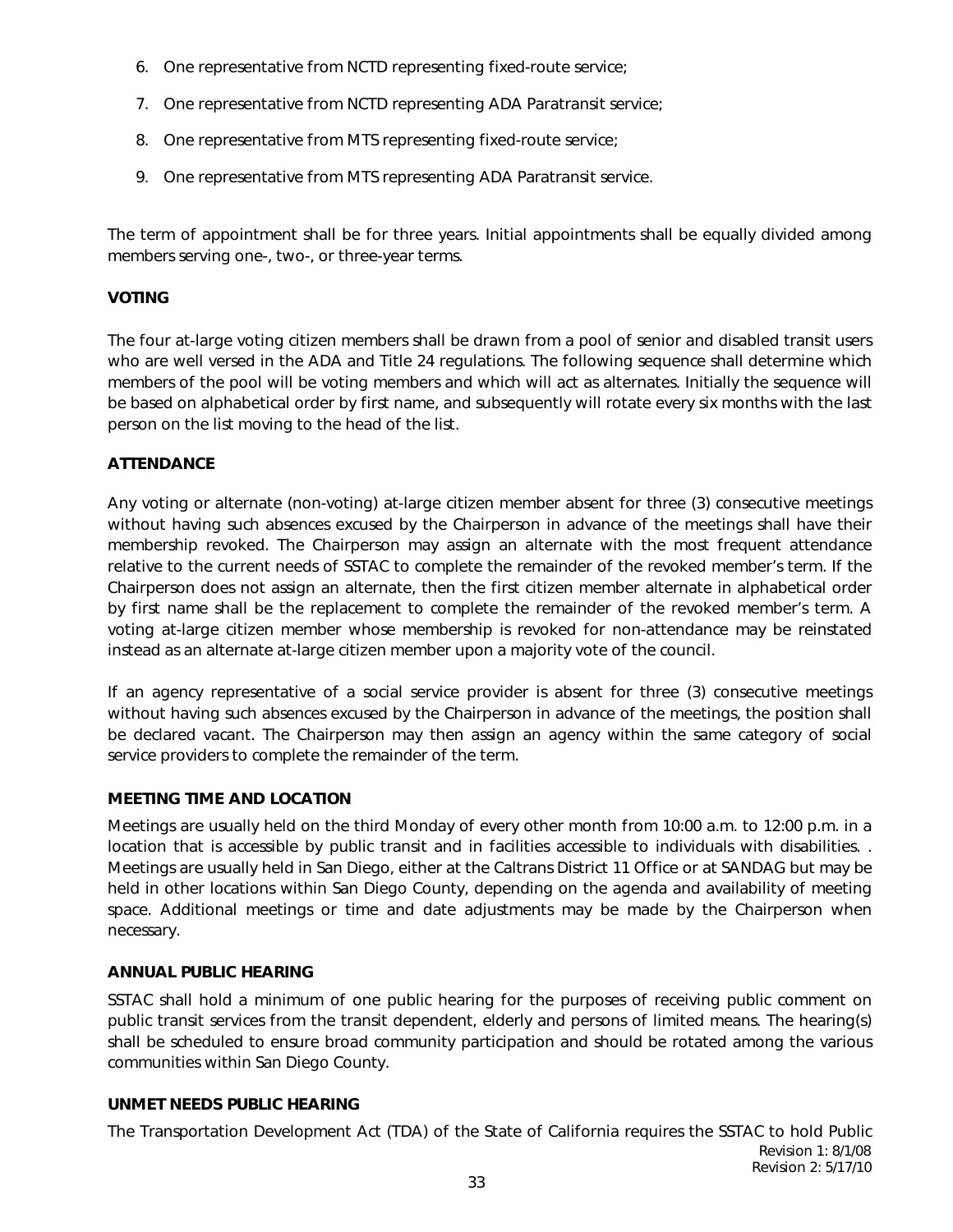- 6. One representative from NCTD representing fixed-route service;
- 7. One representative from NCTD representing ADA Paratransit service;
- 8. One representative from MTS representing fixed-route service;
- 9. One representative from MTS representing ADA Paratransit service.

The term of appointment shall be for three years. Initial appointments shall be equally divided among members serving one-, two-, or three-year terms.

#### **VOTING**

The four at-large voting citizen members shall be drawn from a pool of senior and disabled transit users who are well versed in the ADA and Title 24 regulations. The following sequence shall determine which members of the pool will be voting members and which will act as alternates. Initially the sequence will be based on alphabetical order by first name, and subsequently will rotate every six months with the last person on the list moving to the head of the list.

#### **ATTENDANCE**

Any voting or alternate (non-voting) at-large citizen member absent for three (3) consecutive meetings without having such absences excused by the Chairperson in advance of the meetings shall have their membership revoked. The Chairperson may assign an alternate with the most frequent attendance relative to the current needs of SSTAC to complete the remainder of the revoked member's term. If the Chairperson does not assign an alternate, then the first citizen member alternate in alphabetical order by first name shall be the replacement to complete the remainder of the revoked member's term. A voting at-large citizen member whose membership is revoked for non-attendance may be reinstated instead as an alternate at-large citizen member upon a majority vote of the council.

If an agency representative of a social service provider is absent for three (3) consecutive meetings without having such absences excused by the Chairperson in advance of the meetings, the position shall be declared vacant. The Chairperson may then assign an agency within the same category of social service providers to complete the remainder of the term.

#### **MEETING TIME AND LOCATION**

Meetings are usually held on the third Monday of every other month from 10:00 a.m. to 12:00 p.m. in a location that is accessible by public transit and in facilities accessible to individuals with disabilities. . Meetings are usually held in San Diego, either at the Caltrans District 11 Office or at SANDAG but may be held in other locations within San Diego County, depending on the agenda and availability of meeting space. Additional meetings or time and date adjustments may be made by the Chairperson when necessary.

#### **ANNUAL PUBLIC HEARING**

SSTAC shall hold a minimum of one public hearing for the purposes of receiving public comment on public transit services from the transit dependent, elderly and persons of limited means. The hearing(s) shall be scheduled to ensure broad community participation and should be rotated among the various communities within San Diego County.

#### **UNMET NEEDS PUBLIC HEARING**

The Transportation Development Act (TDA) of the State of California requires the SSTAC to hold Public Revision 1: 8/1/08 Revision 2: 5/17/10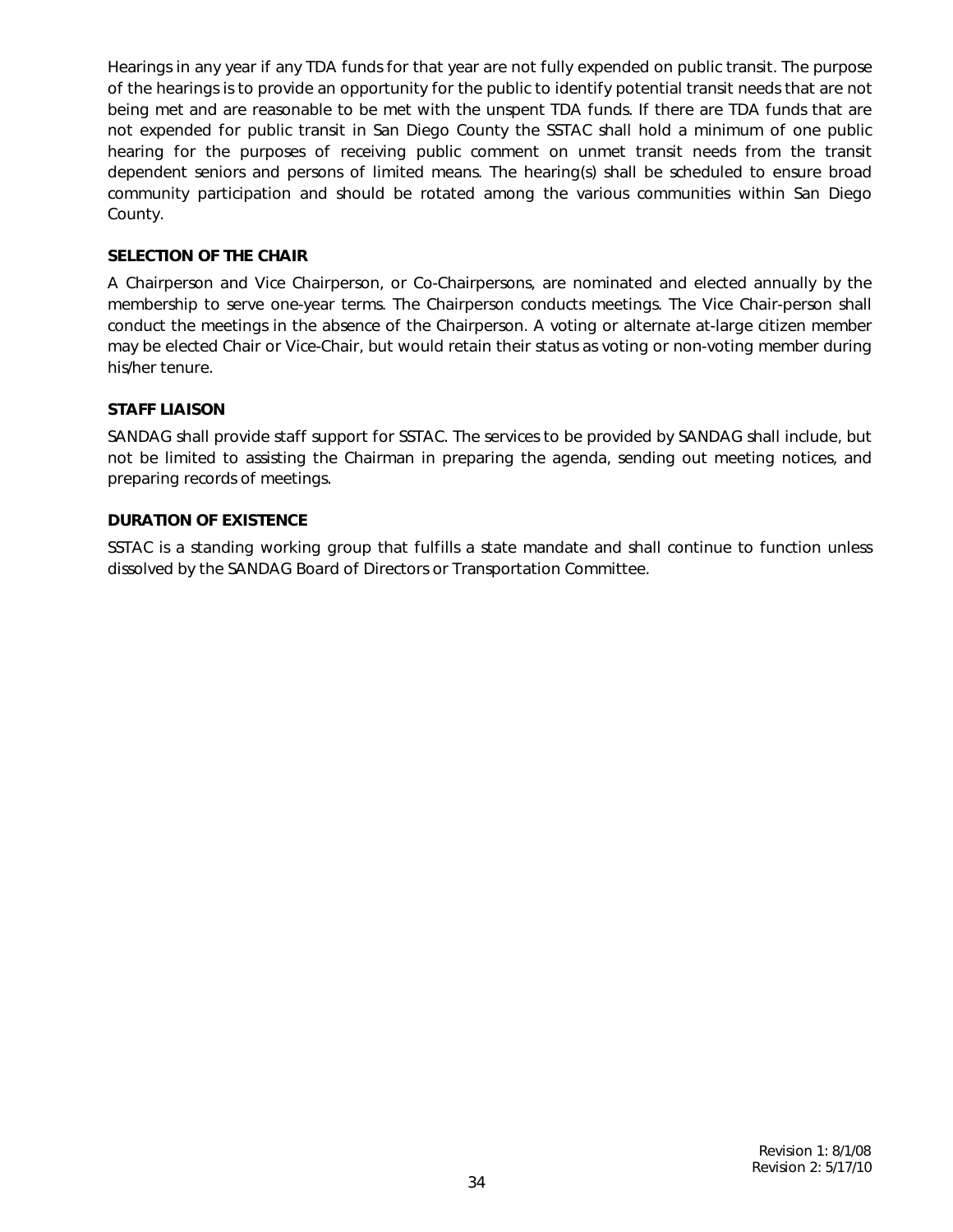Hearings in any year if any TDA funds for that year are not fully expended on public transit. The purpose of the hearings is to provide an opportunity for the public to identify potential transit needs that are not being met and are reasonable to be met with the unspent TDA funds. If there are TDA funds that are not expended for public transit in San Diego County the SSTAC shall hold a minimum of one public hearing for the purposes of receiving public comment on unmet transit needs from the transit dependent seniors and persons of limited means. The hearing(s) shall be scheduled to ensure broad community participation and should be rotated among the various communities within San Diego County.

#### **SELECTION OF THE CHAIR**

A Chairperson and Vice Chairperson, or Co-Chairpersons, are nominated and elected annually by the membership to serve one-year terms. The Chairperson conducts meetings. The Vice Chair-person shall conduct the meetings in the absence of the Chairperson. A voting or alternate at-large citizen member may be elected Chair or Vice-Chair, but would retain their status as voting or non-voting member during his/her tenure.

#### **STAFF LIAISON**

SANDAG shall provide staff support for SSTAC. The services to be provided by SANDAG shall include, but not be limited to assisting the Chairman in preparing the agenda, sending out meeting notices, and preparing records of meetings.

#### **DURATION OF EXISTENCE**

SSTAC is a standing working group that fulfills a state mandate and shall continue to function unless dissolved by the SANDAG Board of Directors or Transportation Committee.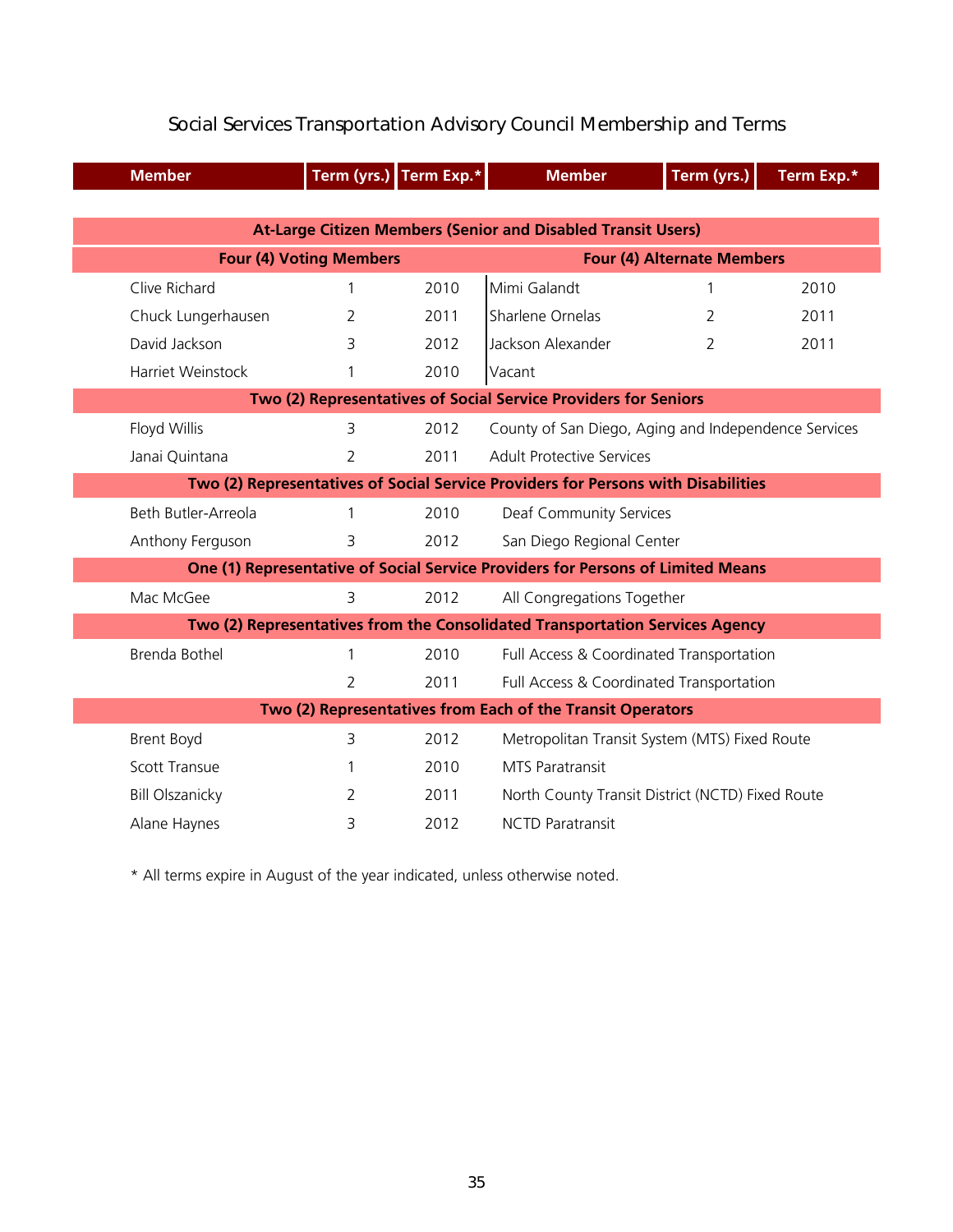| <b>Member</b>                                              |                                                                                   | Term (yrs.) Term Exp.* | <b>Member</b>                                                                   | Term (yrs.)                       | Term Exp.* |  |  |
|------------------------------------------------------------|-----------------------------------------------------------------------------------|------------------------|---------------------------------------------------------------------------------|-----------------------------------|------------|--|--|
|                                                            |                                                                                   |                        |                                                                                 |                                   |            |  |  |
|                                                            |                                                                                   |                        | <b>At-Large Citizen Members (Senior and Disabled Transit Users)</b>             |                                   |            |  |  |
|                                                            | <b>Four (4) Voting Members</b>                                                    |                        |                                                                                 | <b>Four (4) Alternate Members</b> |            |  |  |
| Clive Richard                                              | 1                                                                                 | 2010                   | Mimi Galandt                                                                    | 1                                 | 2010       |  |  |
| Chuck Lungerhausen                                         | 2                                                                                 | 2011                   | Sharlene Ornelas                                                                | 2                                 | 2011       |  |  |
| David Jackson                                              | 3                                                                                 | 2012                   | Jackson Alexander                                                               | $\overline{2}$                    | 2011       |  |  |
| Harriet Weinstock                                          |                                                                                   | 2010                   | Vacant                                                                          |                                   |            |  |  |
|                                                            | Two (2) Representatives of Social Service Providers for Seniors                   |                        |                                                                                 |                                   |            |  |  |
| Floyd Willis                                               | 3                                                                                 | 2012                   | County of San Diego, Aging and Independence Services                            |                                   |            |  |  |
| Janai Quintana                                             | 2                                                                                 | 2011                   | <b>Adult Protective Services</b>                                                |                                   |            |  |  |
|                                                            | Two (2) Representatives of Social Service Providers for Persons with Disabilities |                        |                                                                                 |                                   |            |  |  |
| Beth Butler-Arreola                                        |                                                                                   | 2010                   | Deaf Community Services                                                         |                                   |            |  |  |
| Anthony Ferguson                                           | 3                                                                                 | 2012                   | San Diego Regional Center                                                       |                                   |            |  |  |
|                                                            |                                                                                   |                        | One (1) Representative of Social Service Providers for Persons of Limited Means |                                   |            |  |  |
| Mac McGee                                                  | 3                                                                                 | 2012                   | All Congregations Together                                                      |                                   |            |  |  |
|                                                            | Two (2) Representatives from the Consolidated Transportation Services Agency      |                        |                                                                                 |                                   |            |  |  |
| Brenda Bothel                                              | 1                                                                                 | 2010                   | Full Access & Coordinated Transportation                                        |                                   |            |  |  |
|                                                            | 2                                                                                 | 2011                   | Full Access & Coordinated Transportation                                        |                                   |            |  |  |
| Two (2) Representatives from Each of the Transit Operators |                                                                                   |                        |                                                                                 |                                   |            |  |  |
| <b>Brent Boyd</b>                                          | 3                                                                                 | 2012                   | Metropolitan Transit System (MTS) Fixed Route                                   |                                   |            |  |  |
| <b>Scott Transue</b>                                       | 1                                                                                 | 2010                   | <b>MTS Paratransit</b>                                                          |                                   |            |  |  |
| <b>Bill Olszanicky</b>                                     | 2                                                                                 | 2011                   | North County Transit District (NCTD) Fixed Route                                |                                   |            |  |  |
| Alane Haynes                                               | 3                                                                                 | 2012                   | <b>NCTD Paratransit</b>                                                         |                                   |            |  |  |

### Social Services Transportation Advisory Council Membership and Terms

\* All terms expire in August of the year indicated, unless otherwise noted.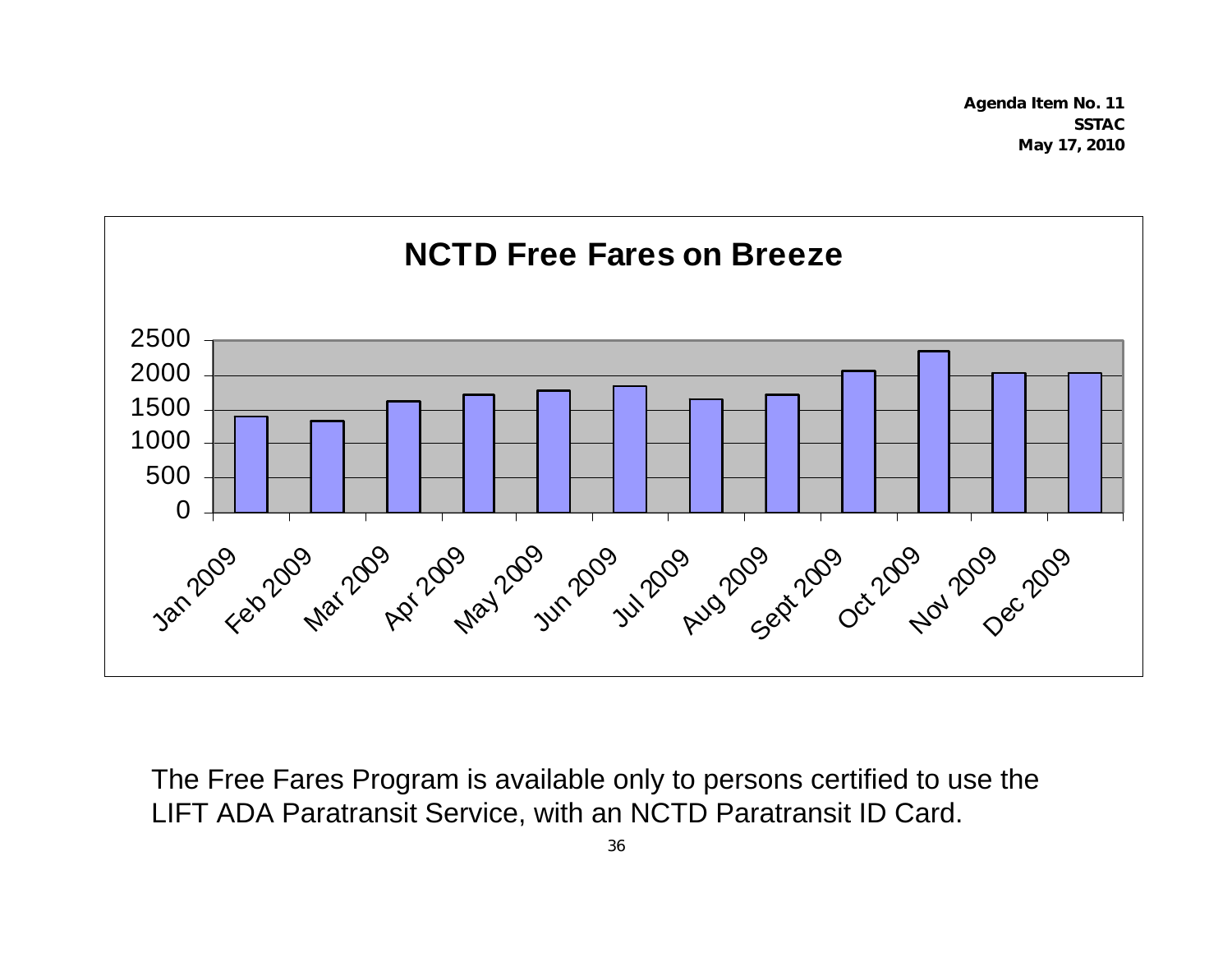**Agenda Item No. 11 SSTAC May 17, 2010** 



The Free Fares Program is available only to persons certified to use the LIFT ADA Paratransit Service, with an NCTD Paratransit ID Card.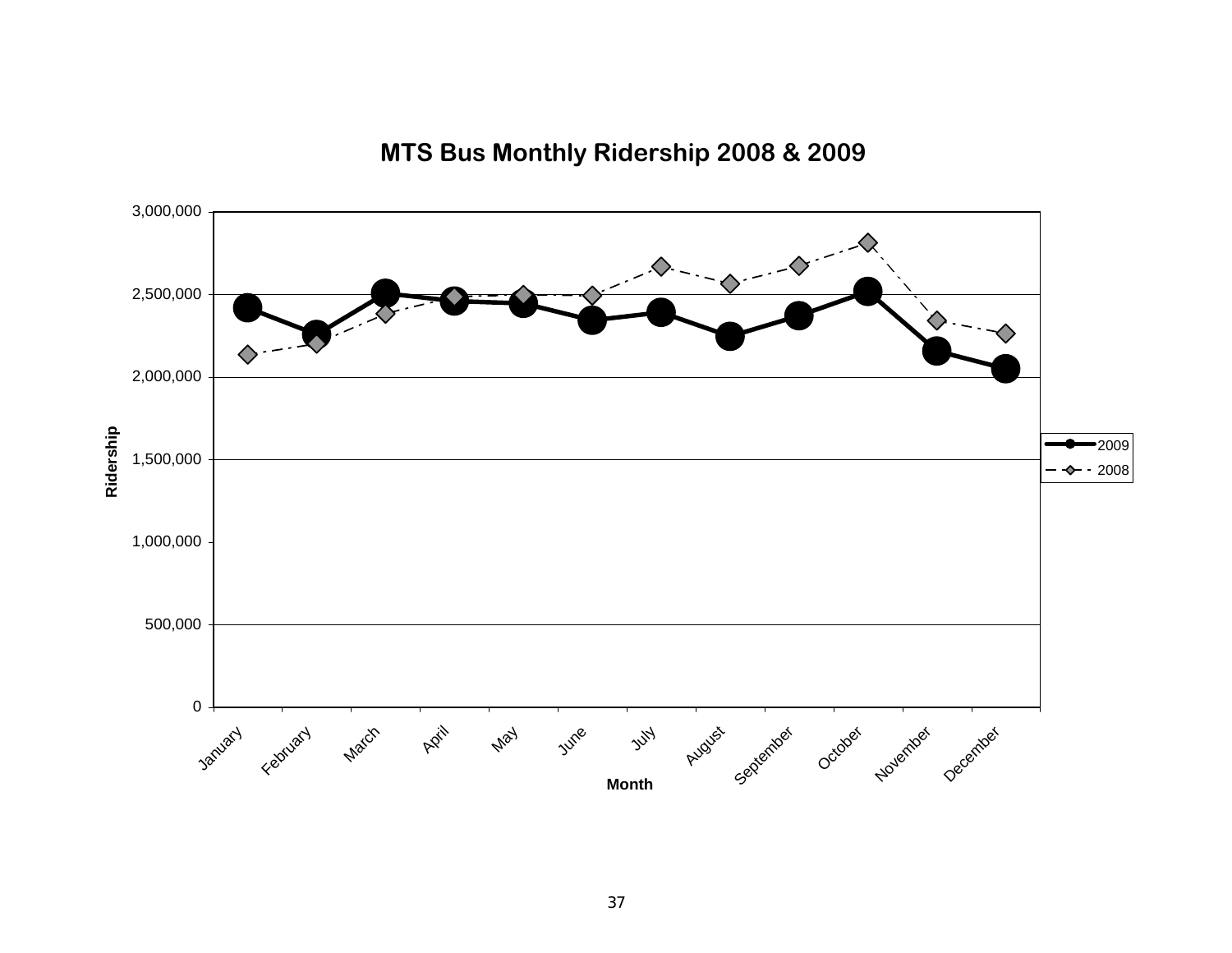

### **MTS Bus Monthly Ridership 2008 & 2009**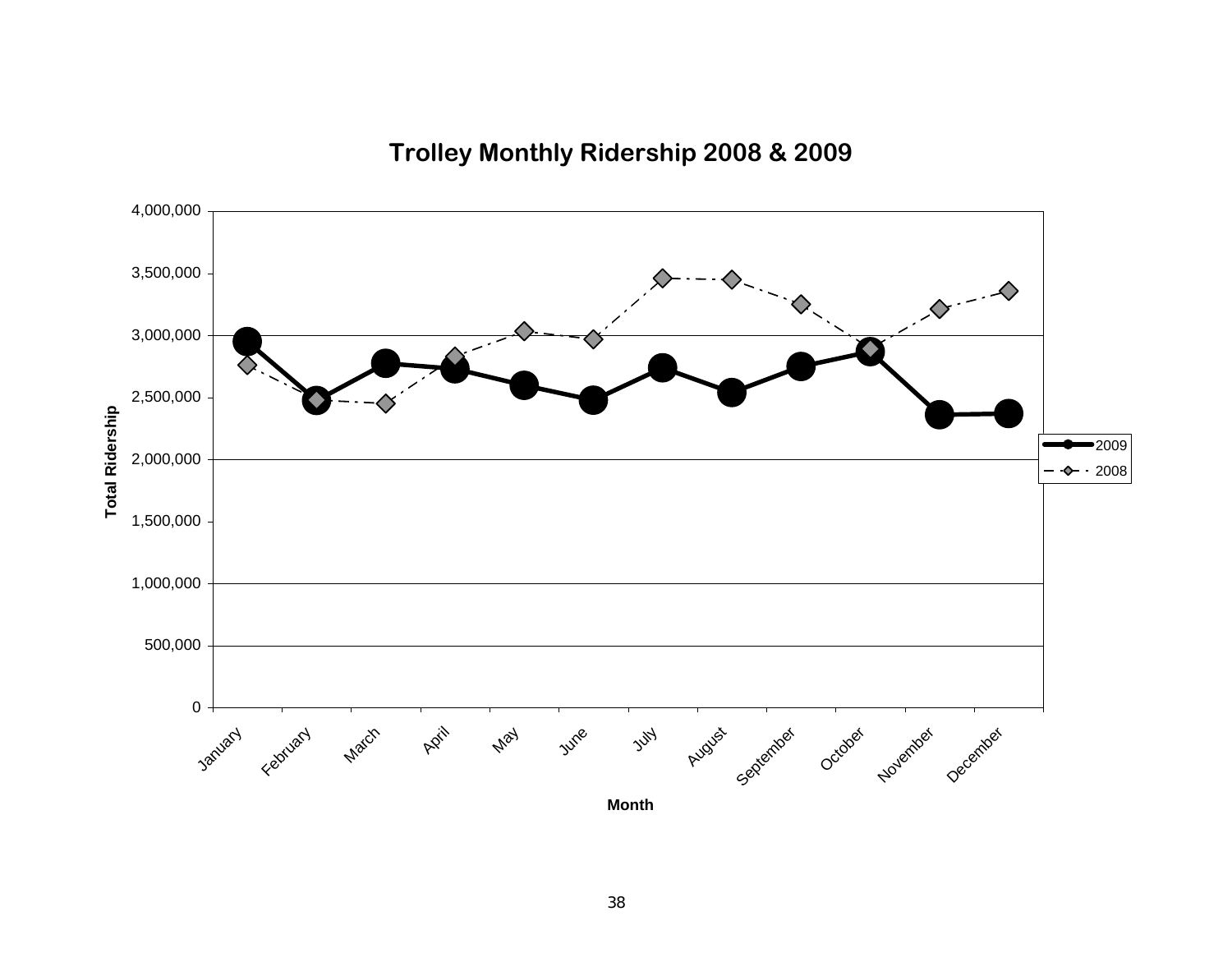**Trolley Monthly Ridership 2008 & 2009**

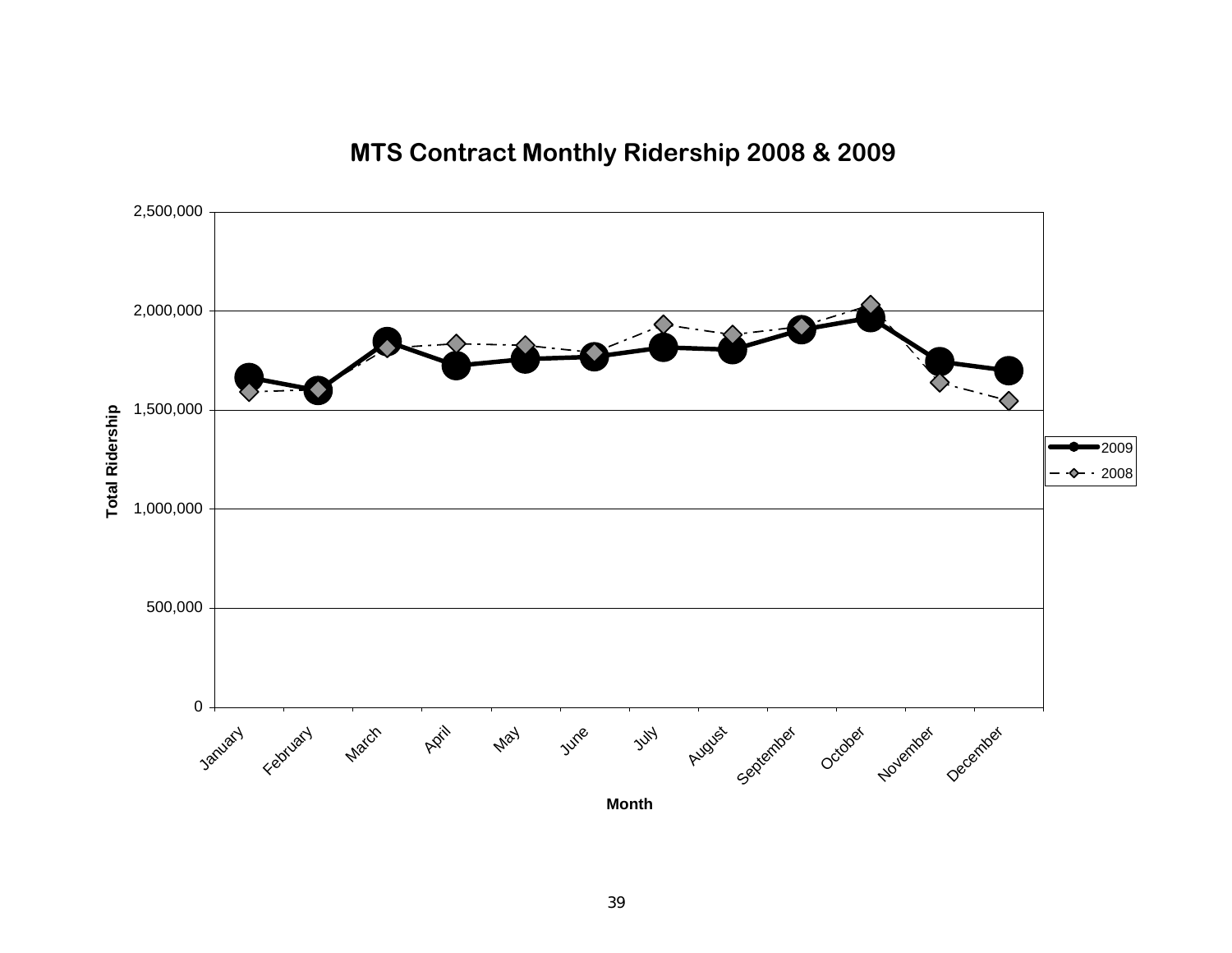**MTS Contract Monthly Ridership 2008 & 2009**

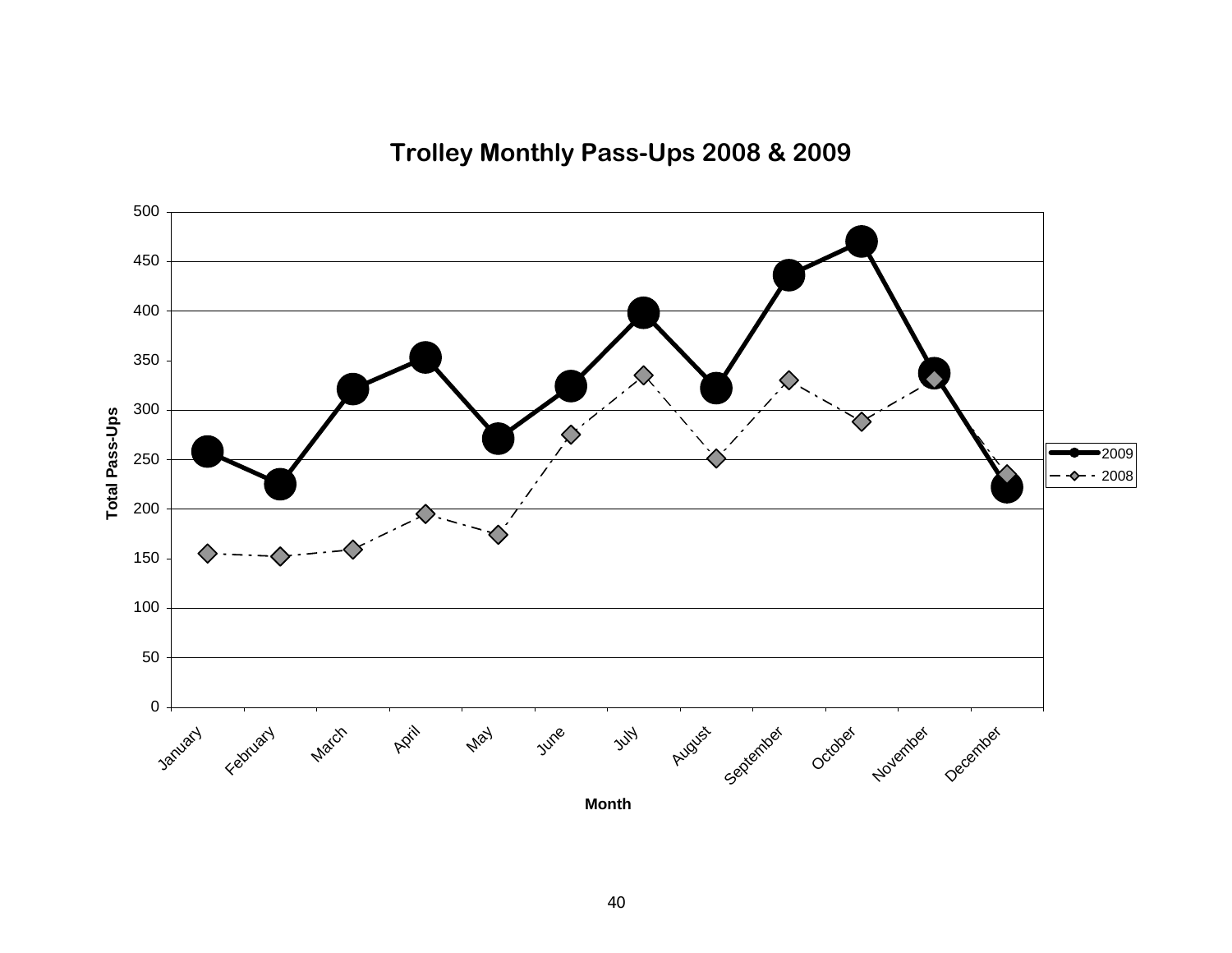**Trolley Monthly Pass-Ups 2008 & 2009**

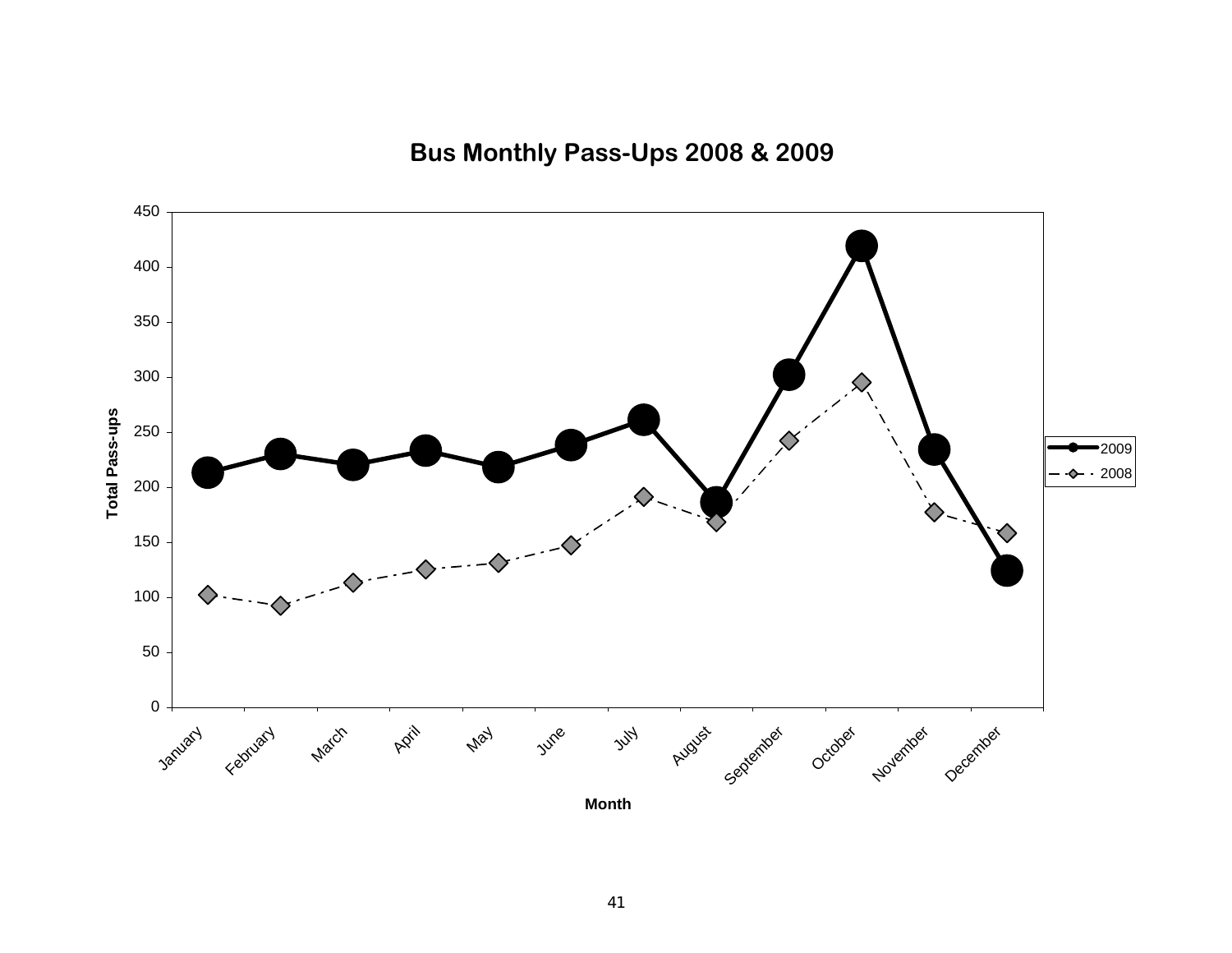**Bus Monthly Pass-Ups 2008 & 2009**

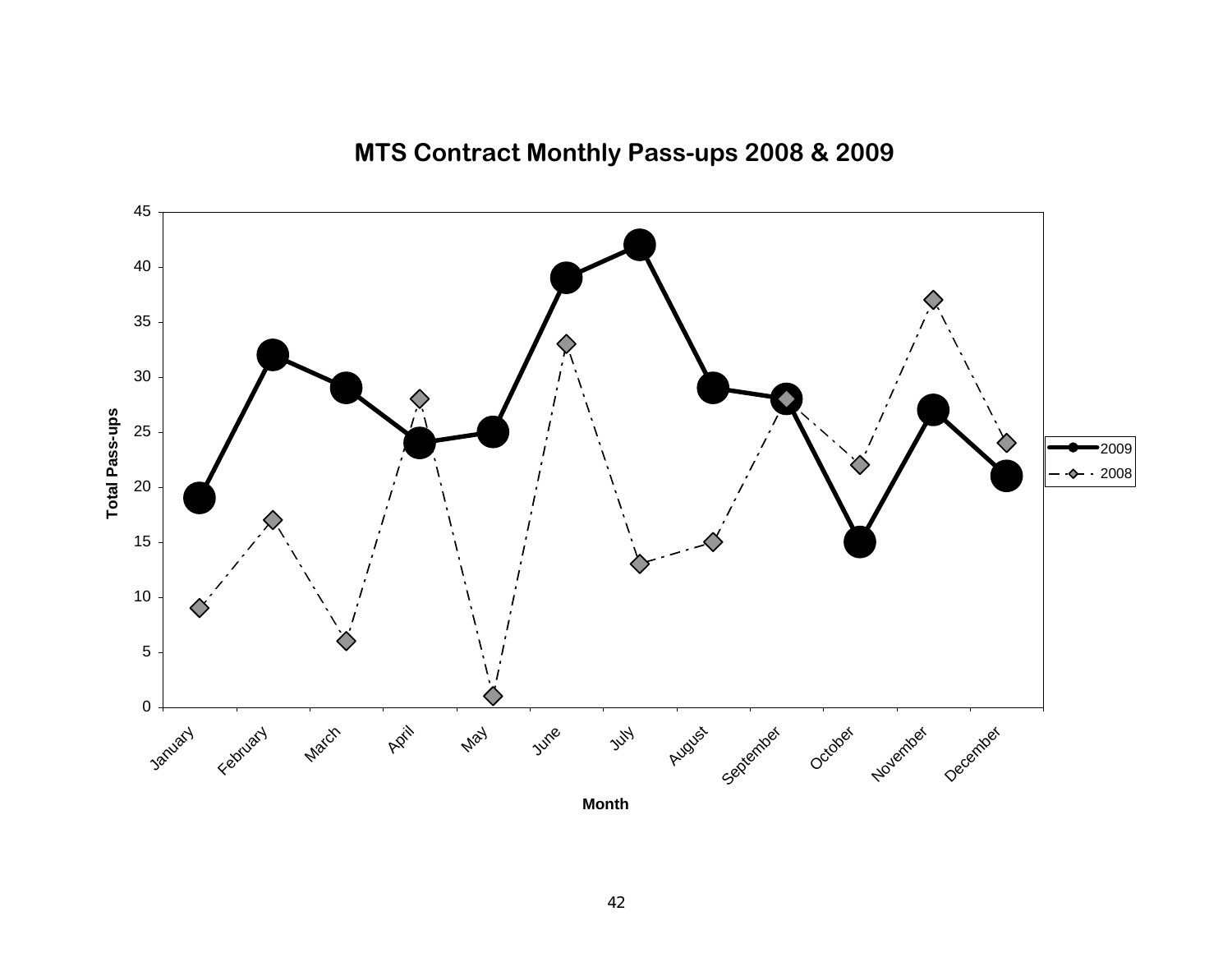

**MTS Contract Monthly Pass-ups 2008 & 2009**

**Month**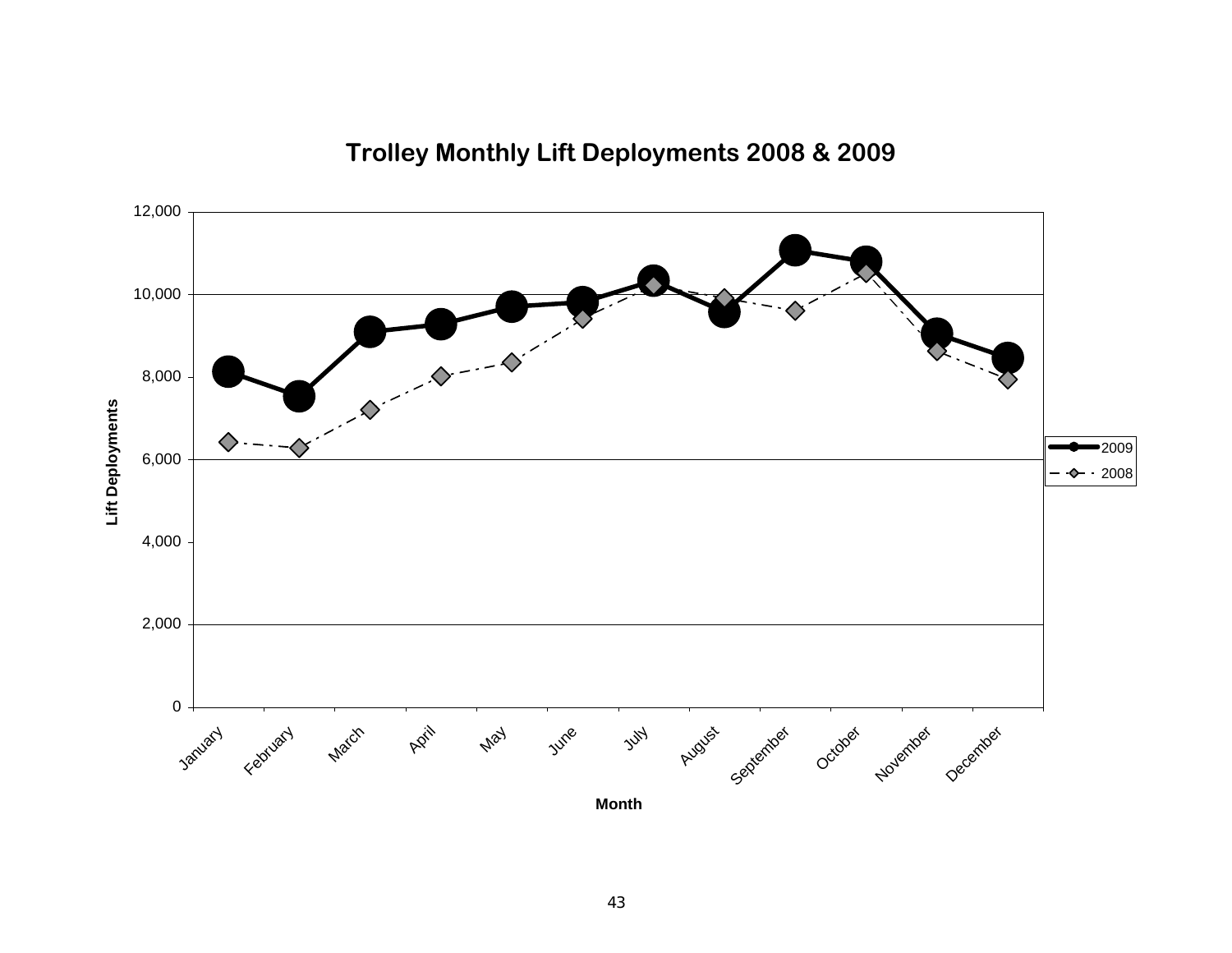

### **Trolley Monthly Lift Deployments 2008 & 2009**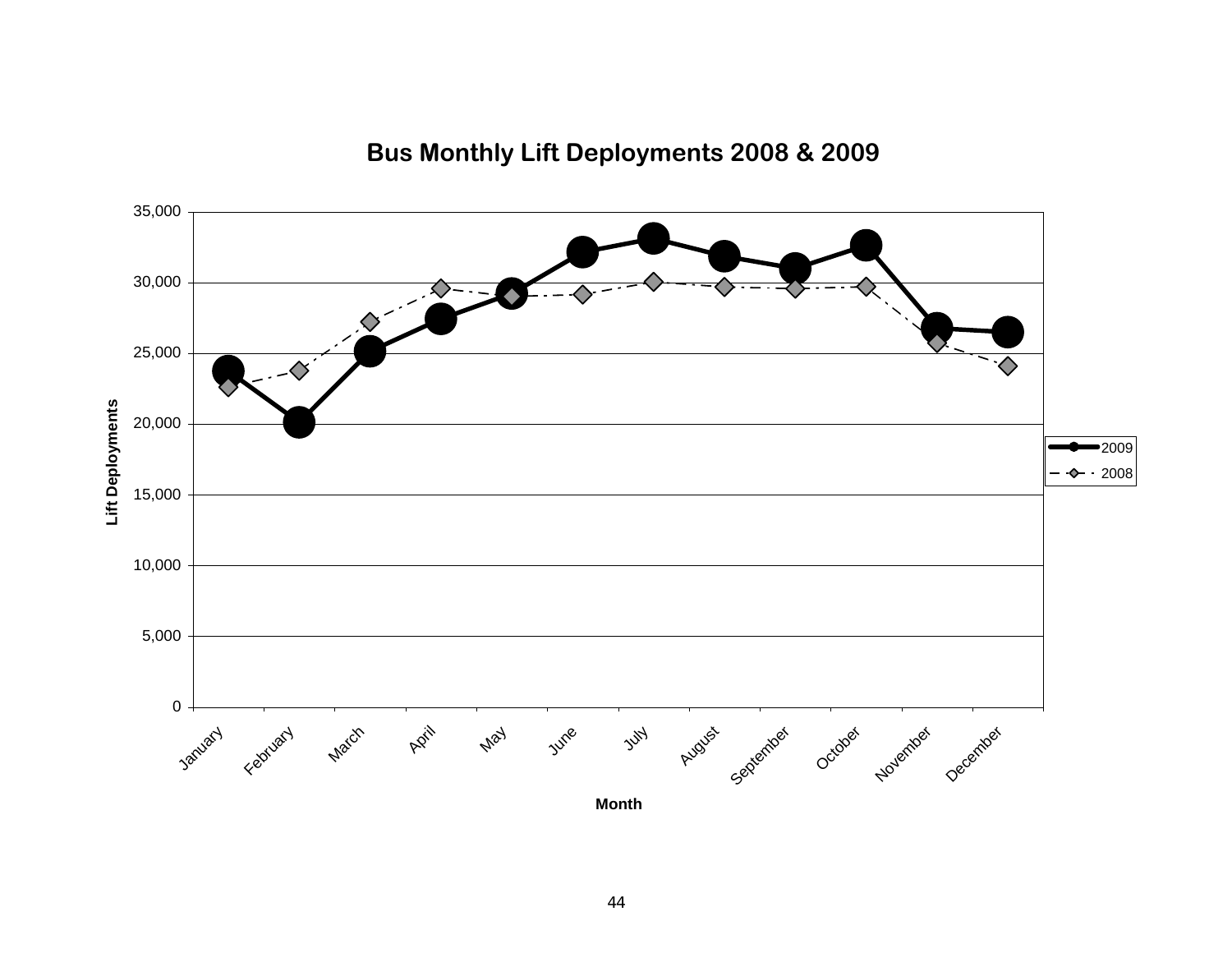

### **Bus Monthly Lift Deployments 2008 & 2009**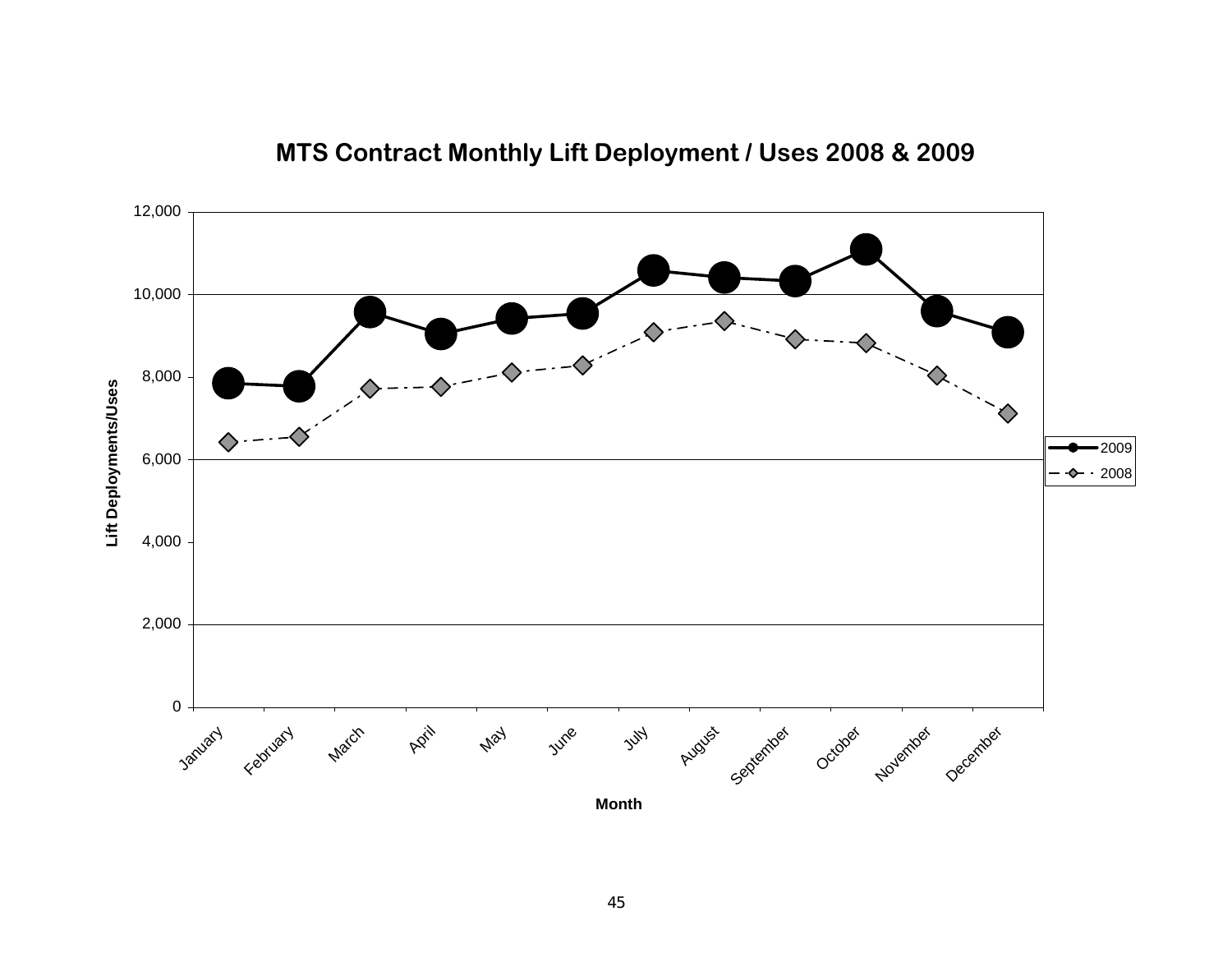

### **MTS Contract Monthly Lift Deployment / Uses 2008 & 2009**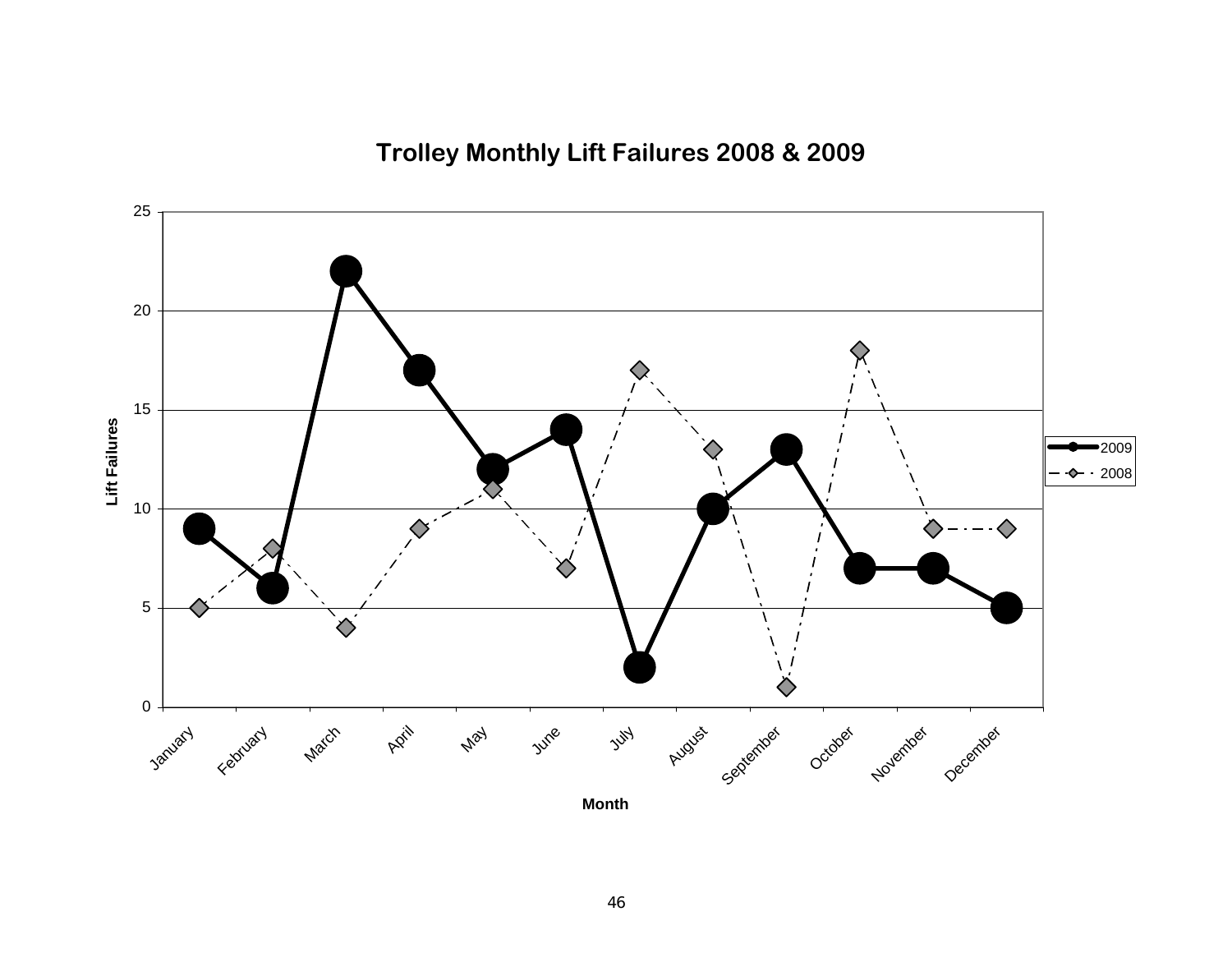**Trolley Monthly Lift Failures 2008 & 2009**

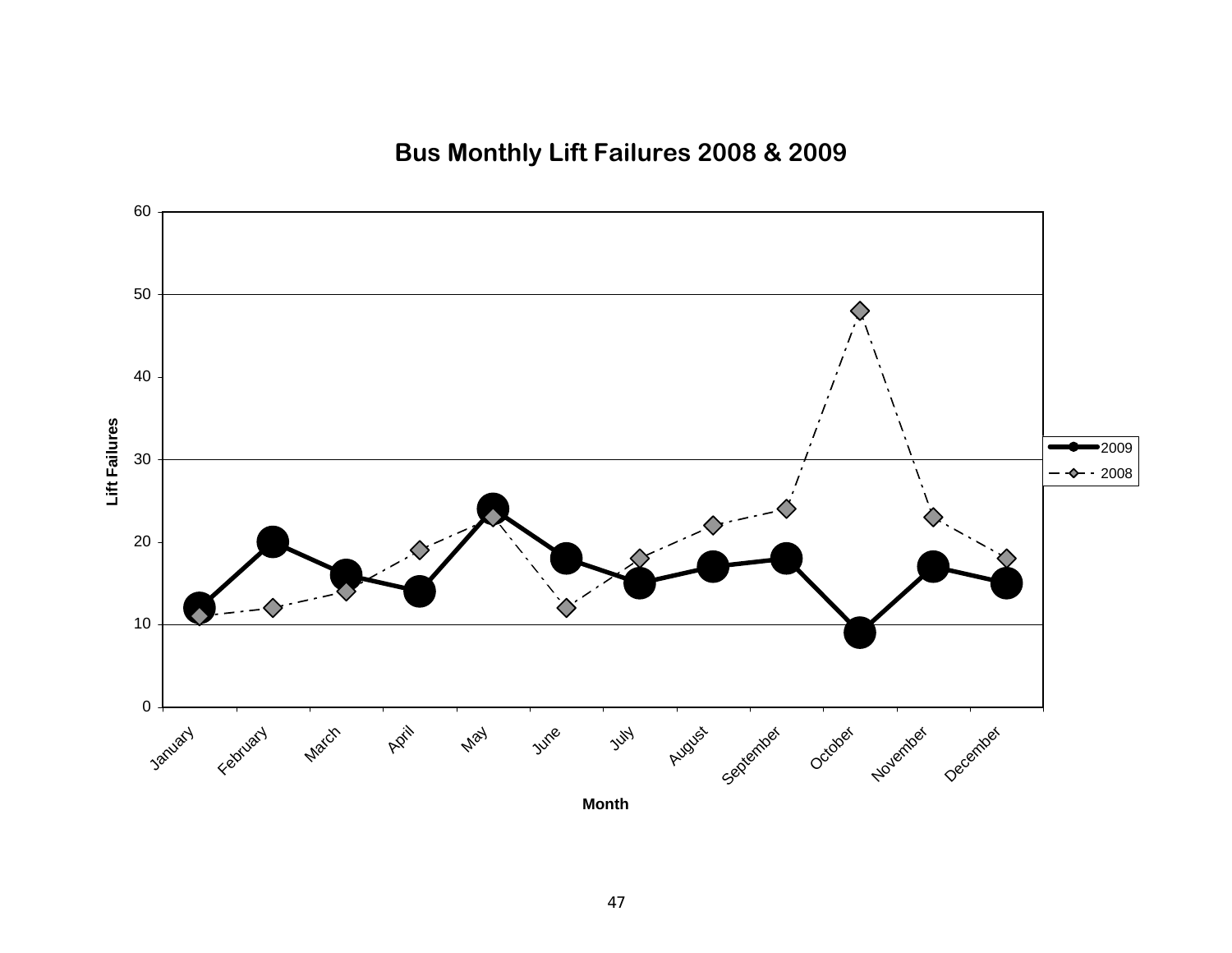**Bus Monthly Lift Failures 2008 & 2009**

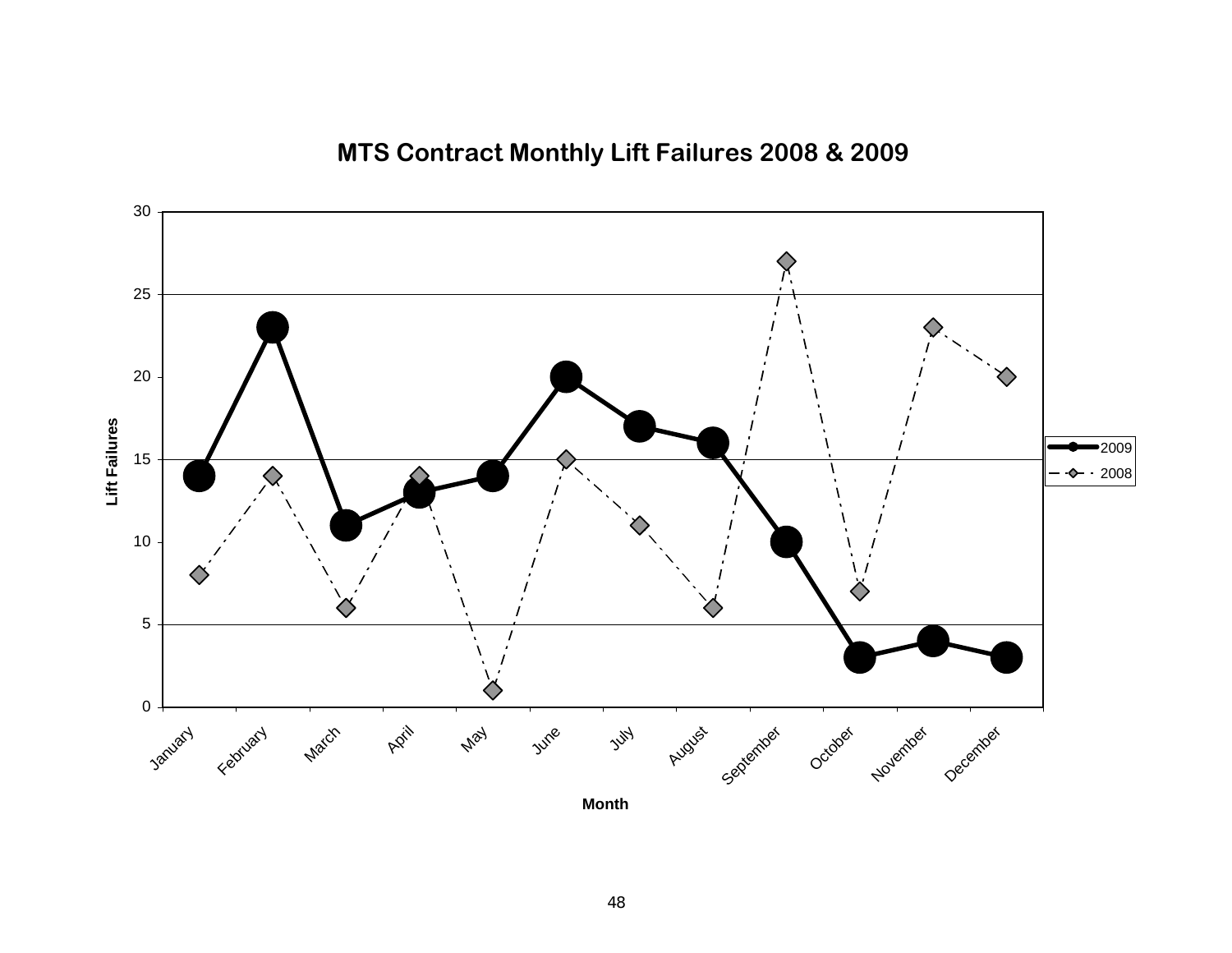### **MTS Contract Monthly Lift Failures 2008 & 2009**

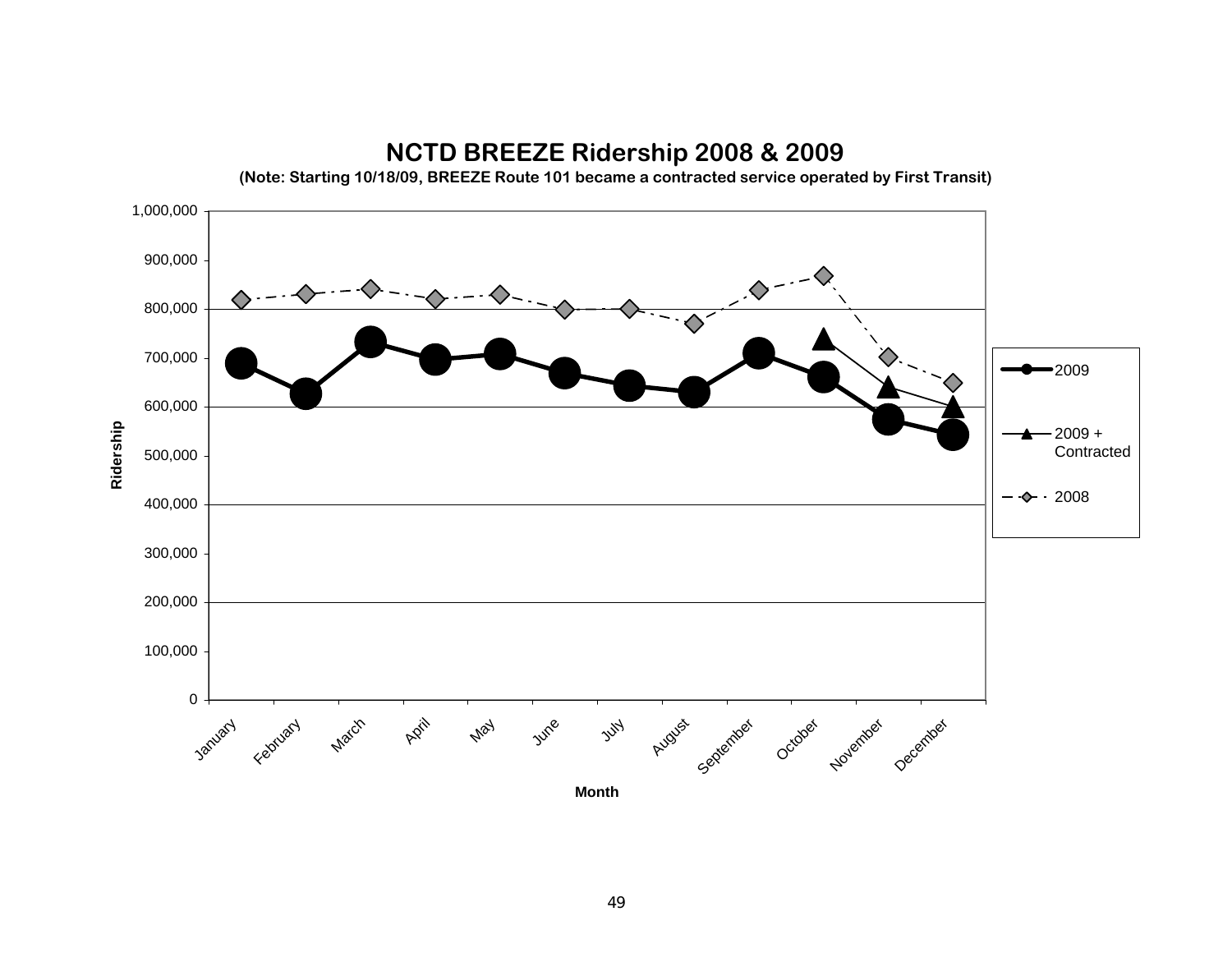

### **NCTD BREEZE Ridership 2008 & 2009**

49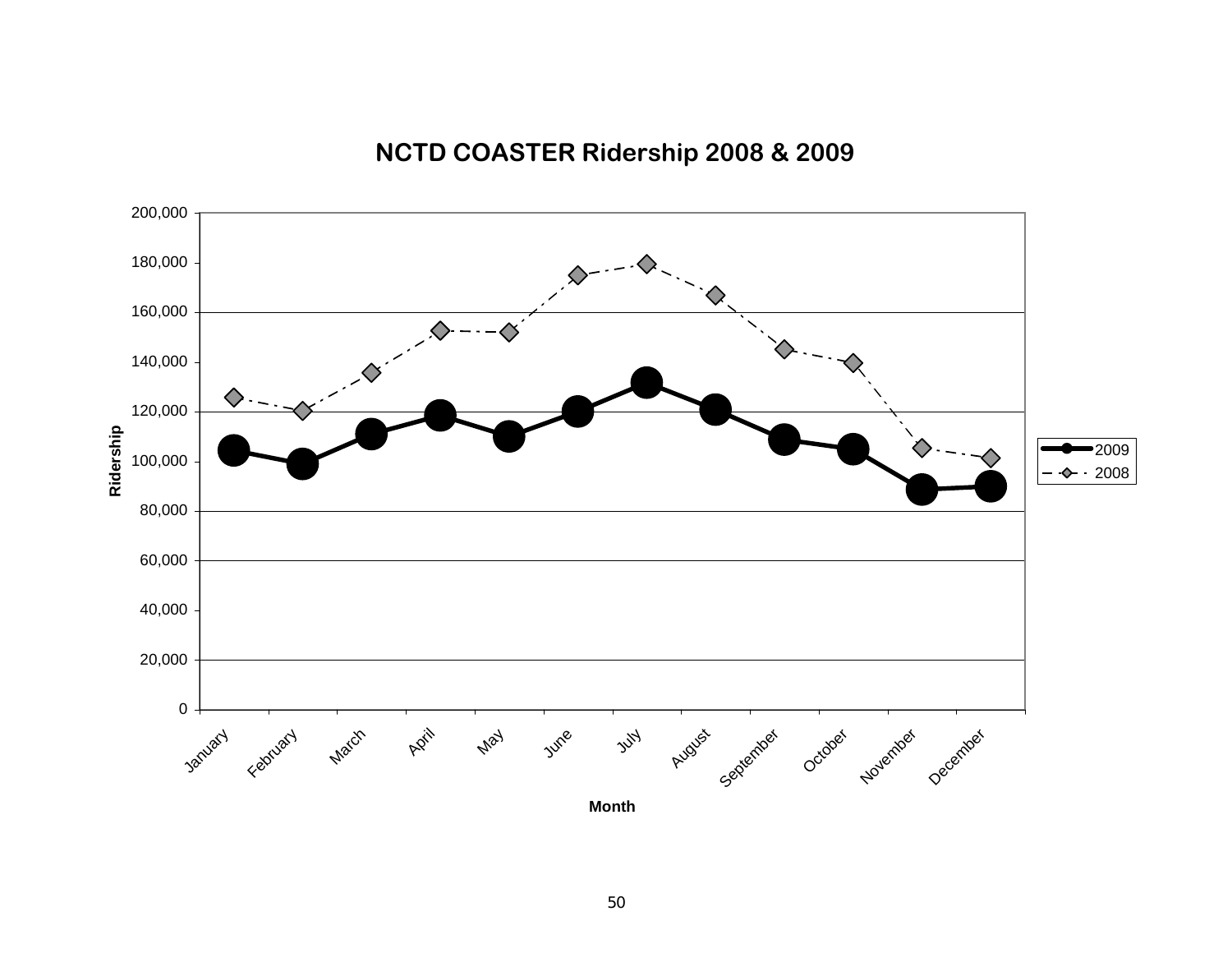

### **NCTD COASTER Ridership 2008 & 2009**